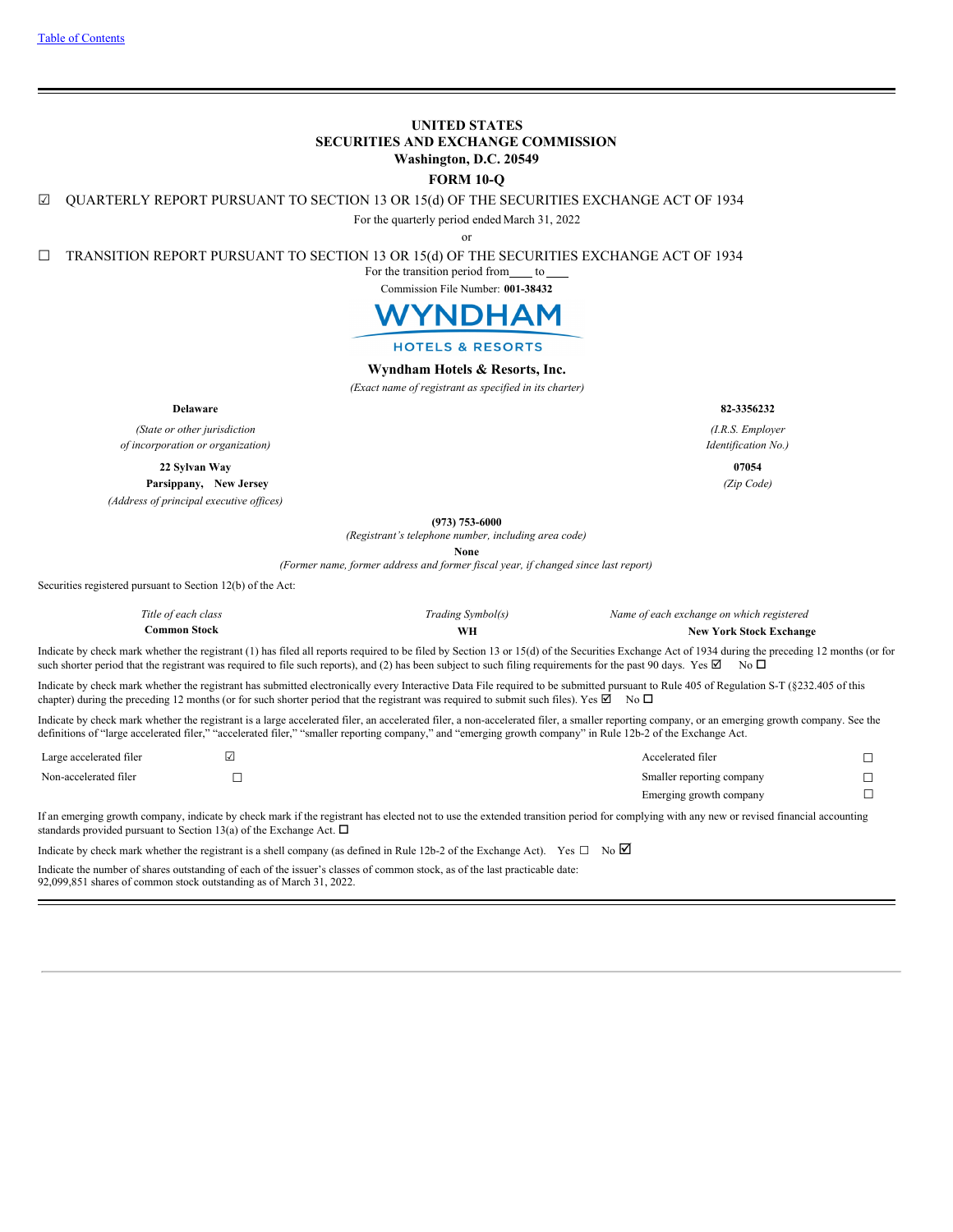# **UNITED STATES SECURITIES AND EXCHANGE COMMISSION Washington, D.C. 20549**

# **FORM 10-Q**

☑ QUARTERLY REPORT PURSUANT TO SECTION 13 OR 15(d) OF THE SECURITIES EXCHANGE ACT OF 1934

For the quarterly period ended March 31, 2022

or

☐ TRANSITION REPORT PURSUANT TO SECTION 13 OR 15(d) OF THE SECURITIES EXCHANGE ACT OF 1934

For the transition period from to

Commission File Number: **001-38432**



## **HOTELS & RESORTS**

# **Wyndham Hotels & Resorts, Inc.**

*(Exact name of registrant as specified in its charter)*

**Delaware 82-3356232**

*(State or other jurisdiction of incorporation or organization)*

**22 Sylvan Way 07054**

**Parsippany, New Jersey** *(Zip Code) (Address of principal executive of ices)*

**(973) 753-6000**

*(Registrant's telephone number, including area code)*

**None**

*(Former name, former address and former fiscal year, if changed since last report)*

Securities registered pursuant to Section 12(b) of the Act:

| Title of each class | Trading Symbol(s) | Name of each exchange on which registered |
|---------------------|-------------------|-------------------------------------------|
| Common Stock        |                   | <b>New York Stock Exchange</b>            |

Indicate by check mark whether the registrant (1) has filed all reports required to be filed by Section 13 or 15(d) of the Securities Exchange Act of 1934 during the preceding 12 months (or for such shorter period that the registrant was required to file such reports), and (2) has been subject to such filing requirements for the past 90 days. Yes  $\boxtimes$  No  $\Box$ 

Indicate by check mark whether the registrant has submitted electronically every Interactive Data File required to be submitted pursuant to Rule 405 of Regulation S-T (§232.405 of this chapter) during the preceding 12 months (or for such shorter period that the registrant was required to submit such files). Yes  $\boxtimes$  No  $\Box$ 

Indicate by check mark whether the registrant is a large accelerated filer, an accelerated filer, a non-accelerated filer, a smaller reporting company, or an emerging growth company. See the definitions of "large accelerated filer," "accelerated filer," "smaller reporting company," and "emerging growth company" in Rule 12b-2 of the Exchange Act.

| Large accelerated filer | Accelerated filer         |  |
|-------------------------|---------------------------|--|
| Non-accelerated filer   | Smaller reporting company |  |
|                         | Emerging growth company   |  |

If an emerging growth company, indicate by check mark if the registrant has elected not to use the extended transition period for complying with any new or revised financial accounting standards provided pursuant to Section 13(a) of the Exchange Act.  $\Box$ 

Indicate by check mark whether the registrant is a shell company (as defined in Rule 12b-2 of the Exchange Act). Yes  $\Box$  No  $\Box$ Indicate the number of shares outstanding of each of the issuer's classes of common stock, as of the last practicable date:

<span id="page-0-0"></span>92,099,851 shares of common stock outstanding as of March 31, 2022.

*(I.R.S. Employer*

*Identification No.)*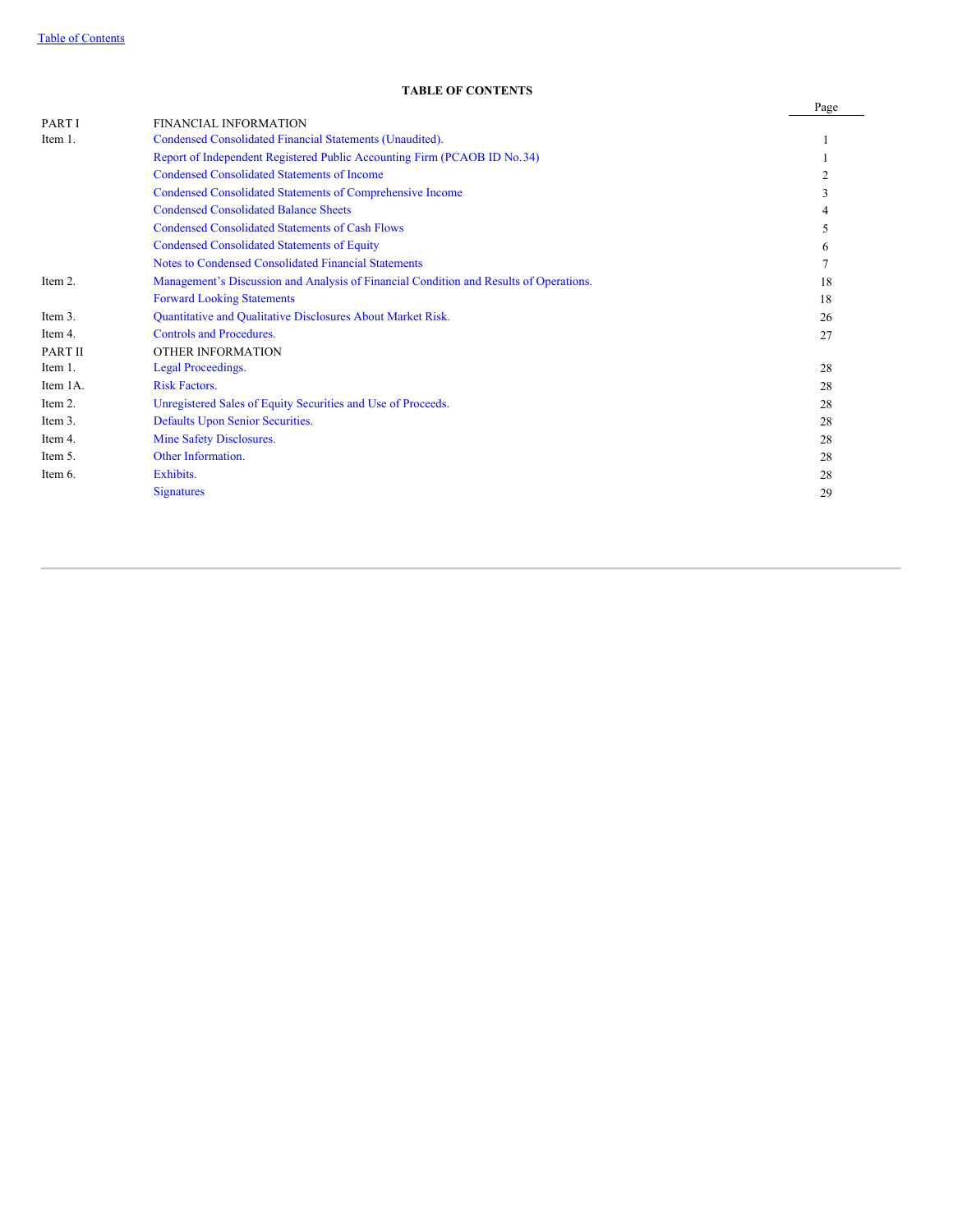# **TABLE OF CONTENTS**

|                                                                                        | Page              |
|----------------------------------------------------------------------------------------|-------------------|
| <b>FINANCIAL INFORMATION</b>                                                           |                   |
| Condensed Consolidated Financial Statements (Unaudited).                               |                   |
| Report of Independent Registered Public Accounting Firm (PCAOB ID No. 34)              |                   |
| <b>Condensed Consolidated Statements of Income</b>                                     |                   |
| Condensed Consolidated Statements of Comprehensive Income                              | 3                 |
| <b>Condensed Consolidated Balance Sheets</b>                                           | 4                 |
| <b>Condensed Consolidated Statements of Cash Flows</b>                                 | 5                 |
| <b>Condensed Consolidated Statements of Equity</b>                                     | 6                 |
| Notes to Condensed Consolidated Financial Statements                                   |                   |
| Management's Discussion and Analysis of Financial Condition and Results of Operations. | 18                |
| <b>Forward Looking Statements</b>                                                      | 18                |
| Quantitative and Qualitative Disclosures About Market Risk.                            | 26                |
| <b>Controls and Procedures.</b>                                                        | 27                |
| <b>OTHER INFORMATION</b>                                                               |                   |
| Legal Proceedings.                                                                     | 28                |
| <b>Risk Factors.</b>                                                                   | 28                |
| Unregistered Sales of Equity Securities and Use of Proceeds.                           | 28                |
| Defaults Upon Senior Securities.                                                       | 28                |
| Mine Safety Disclosures.                                                               | 28                |
| Other Information.                                                                     | 28                |
| Exhibits.                                                                              | 28                |
| <b>Signatures</b>                                                                      | 29                |
|                                                                                        | ТАВЕЕ ОГ СОВТЕВНЯ |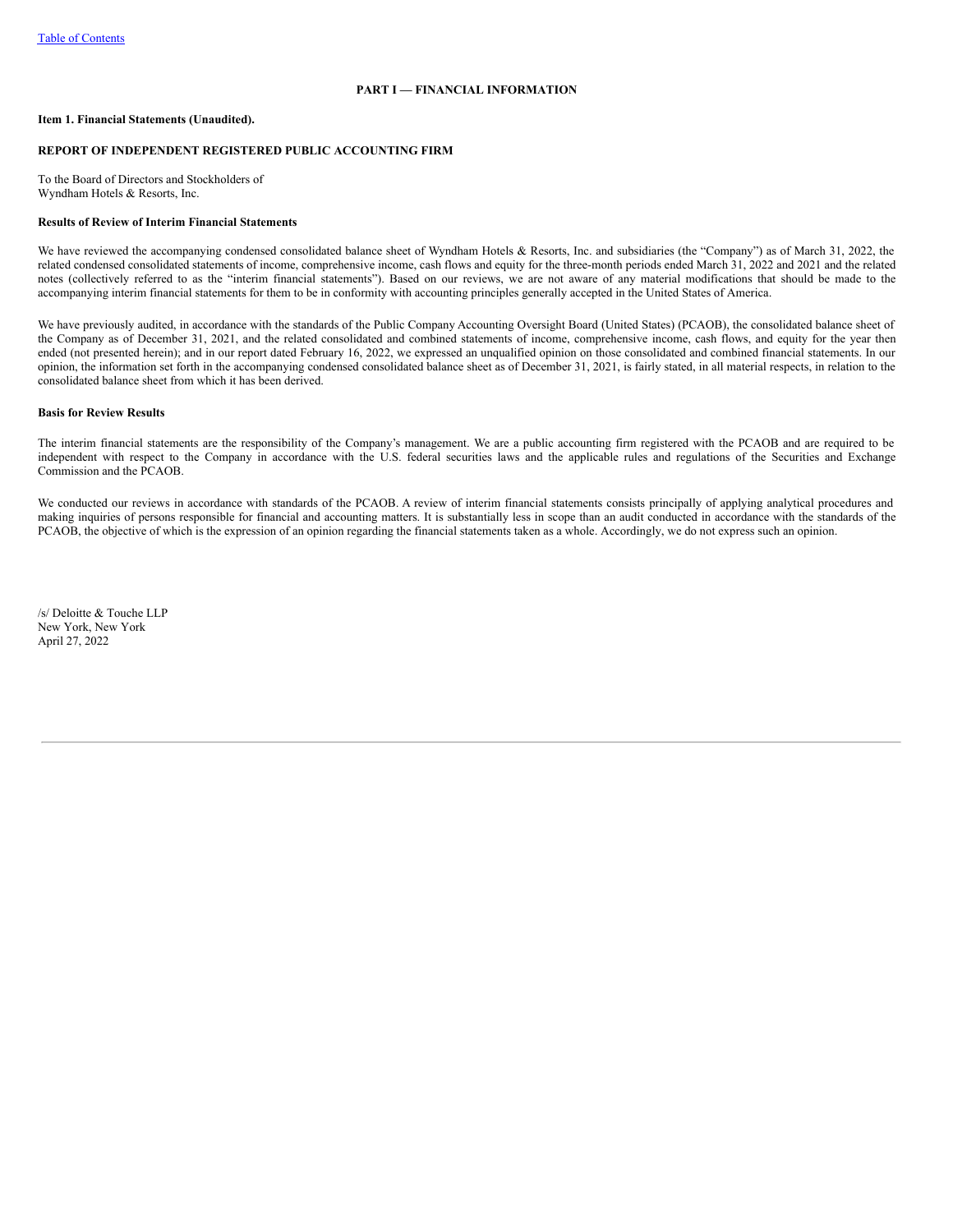# **PART I — FINANCIAL INFORMATION**

## <span id="page-2-1"></span><span id="page-2-0"></span>**Item 1. Financial Statements (Unaudited).**

## **REPORT OF INDEPENDENT REGISTERED PUBLIC ACCOUNTING FIRM**

To the Board of Directors and Stockholders of Wyndham Hotels & Resorts, Inc.

## **Results of Review of Interim Financial Statements**

We have reviewed the accompanying condensed consolidated balance sheet of Wyndham Hotels & Resorts, Inc. and subsidiaries (the "Company") as of March 31, 2022, the related condensed consolidated statements of income, comprehensive income, cash flows and equity for the three-month periods ended March 31, 2022 and 2021 and the related notes (collectively referred to as the "interim financial statements"). Based on our reviews, we are not aware of any material modifications that should be made to the accompanying interim financial statements for them to be in conformity with accounting principles generally accepted in the United States of America.

We have previously audited, in accordance with the standards of the Public Company Accounting Oversight Board (United States) (PCAOB), the consolidated balance sheet of the Company as of December 31, 2021, and the related consolidated and combined statements of income, comprehensive income, cash flows, and equity for the year then ended (not presented herein); and in our report dated February 16, 2022, we expressed an unqualified opinion on those consolidated and combined financial statements. In our opinion, the information set forth in the accompanying condensed consolidated balance sheet as of December 31, 2021, is fairly stated, in all material respects, in relation to the consolidated balance sheet from which it has been derived.

# **Basis for Review Results**

The interim financial statements are the responsibility of the Company's management. We are a public accounting firm registered with the PCAOB and are required to be independent with respect to the Company in accordance with the U.S. federal securities laws and the applicable rules and regulations of the Securities and Exchange Commission and the PCAOB.

We conducted our reviews in accordance with standards of the PCAOB. A review of interim financial statements consists principally of applying analytical procedures and making inquiries of persons responsible for financial and accounting matters. It is substantially less in scope than an audit conducted in accordance with the standards of the PCAOB, the objective of which is the expression of an opinion regarding the financial statements taken as a whole. Accordingly, we do not express such an opinion.

<span id="page-2-2"></span>/s/ Deloitte & Touche LLP New York, New York April 27, 2022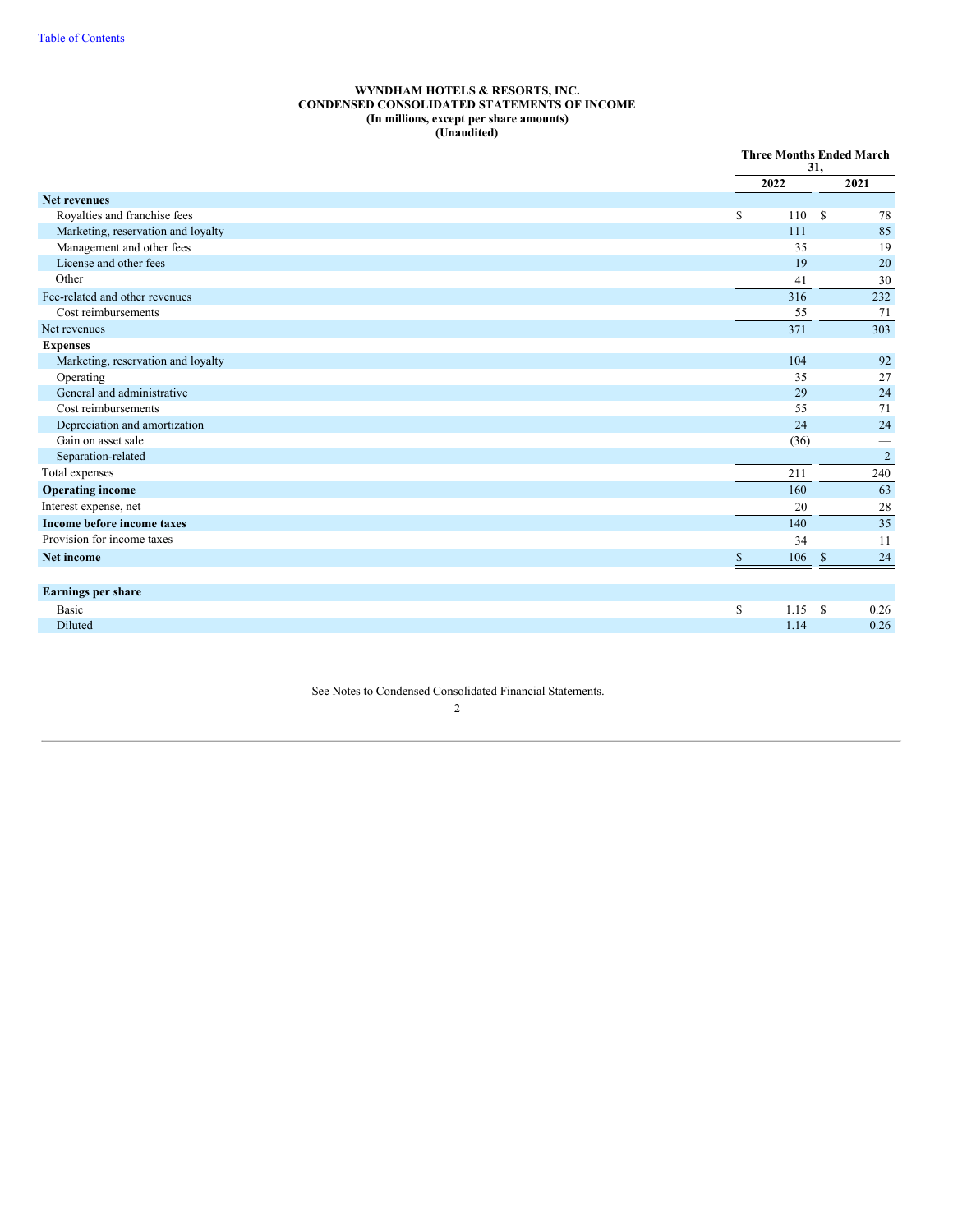## **WYNDHAM HOTELS & RESORTS, INC. CONDENSED CONSOLIDATED STATEMENTS OF INCOME (In millions, except per share amounts) (Unaudited)**

|                                    | <b>Three Months Ended March</b><br>31, |                       |  |
|------------------------------------|----------------------------------------|-----------------------|--|
|                                    | 2022                                   | 2021                  |  |
| <b>Net revenues</b>                |                                        |                       |  |
| Royalties and franchise fees       | \$<br>110                              | <sup>\$</sup><br>78   |  |
| Marketing, reservation and loyalty | 111                                    | 85                    |  |
| Management and other fees          | 35                                     | 19                    |  |
| License and other fees             | 19                                     | 20                    |  |
| Other                              | 41                                     | 30                    |  |
| Fee-related and other revenues     | 316                                    | 232                   |  |
| Cost reimbursements                | 55                                     | 71                    |  |
| Net revenues                       | 371                                    | 303                   |  |
| <b>Expenses</b>                    |                                        |                       |  |
| Marketing, reservation and loyalty | 104                                    | 92                    |  |
| Operating                          | 35                                     | 27                    |  |
| General and administrative         | 29                                     | 24                    |  |
| Cost reimbursements                | 55                                     | 71                    |  |
| Depreciation and amortization      | 24                                     | 24                    |  |
| Gain on asset sale                 | (36)                                   | -                     |  |
| Separation-related                 |                                        | $\overline{2}$        |  |
| Total expenses                     | 211                                    | 240                   |  |
| <b>Operating income</b>            | 160                                    | 63                    |  |
| Interest expense, net              | 20                                     | 28                    |  |
| Income before income taxes         | 140                                    | 35                    |  |
| Provision for income taxes         | 34                                     | 11                    |  |
| Net income                         | $\mathbb{S}$<br>106                    | 24<br>$\mathbb{S}$    |  |
| Earnings per share                 |                                        |                       |  |
| Basic                              | \$<br>1.15                             | <sup>\$</sup><br>0.26 |  |
| Diluted                            | 1.14                                   | 0.26                  |  |

<span id="page-3-0"></span>See Notes to Condensed Consolidated Financial Statements.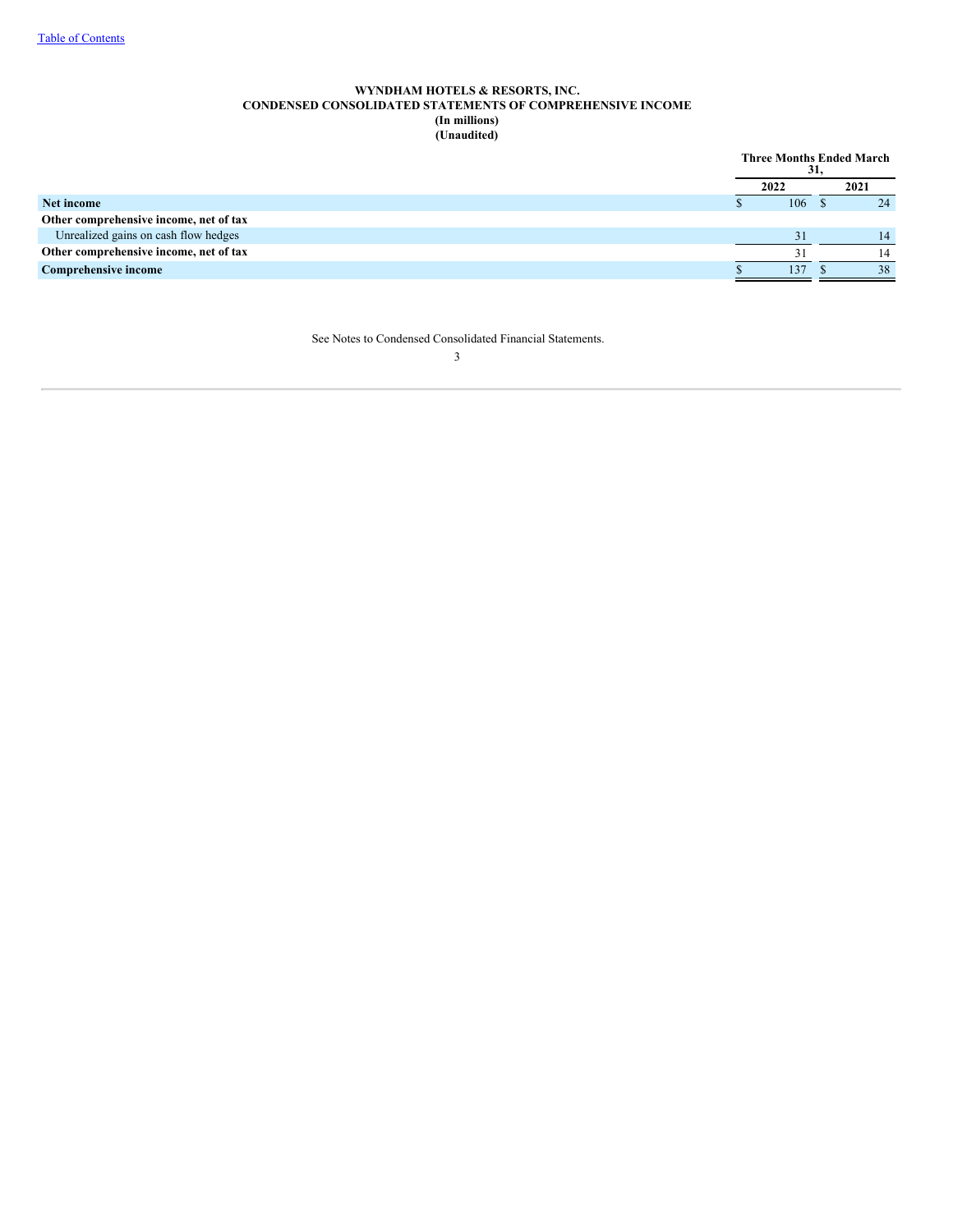# **WYNDHAM HOTELS & RESORTS, INC. CONDENSED CONSOLIDATED STATEMENTS OF COMPREHENSIVE INCOME (In millions) (Unaudited)**

<span id="page-4-0"></span>

|                                        | <b>Three Months Ended March</b> | 31, |      |
|----------------------------------------|---------------------------------|-----|------|
|                                        | 2022                            |     | 2021 |
| Net income                             | 106                             |     | 24   |
| Other comprehensive income, net of tax |                                 |     |      |
| Unrealized gains on cash flow hedges   | 31                              |     | 14   |
| Other comprehensive income, net of tax | 31                              |     |      |
| <b>Comprehensive income</b>            | 137                             |     | 38   |

See Notes to Condensed Consolidated Financial Statements.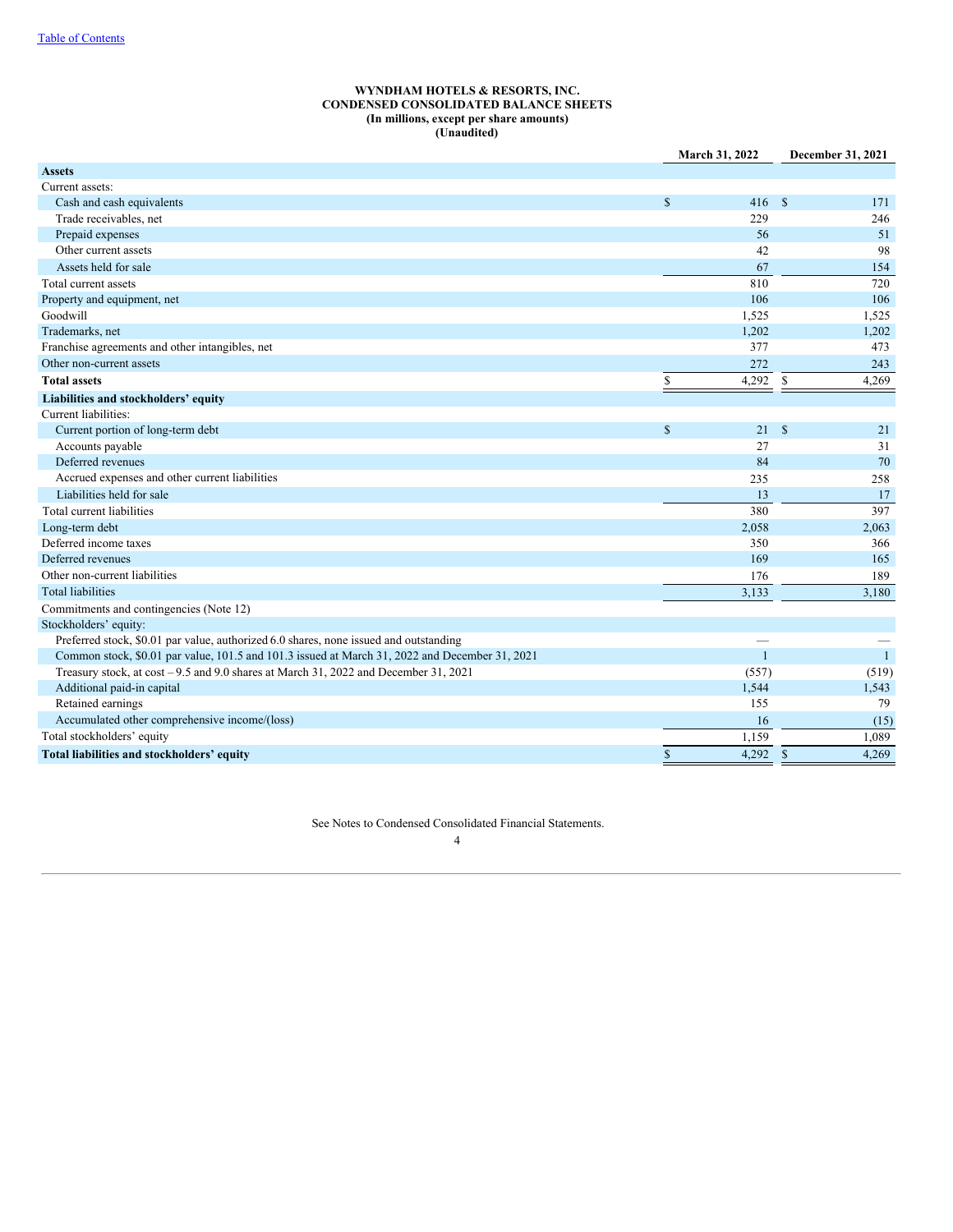## **WYNDHAM HOTELS & RESORTS, INC. CONDENSED CONSOLIDATED BALANCE SHEETS (In millions, except per share amounts) (Unaudited)**

|                                                                                                | March 31, 2022         | December 31, 2021     |
|------------------------------------------------------------------------------------------------|------------------------|-----------------------|
| <b>Assets</b>                                                                                  |                        |                       |
| Current assets:                                                                                |                        |                       |
| Cash and cash equivalents                                                                      | $\mathcal{S}$<br>416   | $\mathbb{S}$<br>171   |
| Trade receivables, net                                                                         | 229                    | 246                   |
| Prepaid expenses                                                                               | 56                     | 51                    |
| Other current assets                                                                           | 42                     | 98                    |
| Assets held for sale                                                                           | 67                     | 154                   |
| Total current assets                                                                           | 810                    | 720                   |
| Property and equipment, net                                                                    | 106                    | 106                   |
| Goodwill                                                                                       | 1,525                  | 1,525                 |
| Trademarks, net                                                                                | 1,202                  | 1,202                 |
| Franchise agreements and other intangibles, net                                                | 377                    | 473                   |
| Other non-current assets                                                                       | 272                    | 243                   |
| <b>Total assets</b>                                                                            | $\mathbb{S}$<br>4,292  | \$<br>4,269           |
| Liabilities and stockholders' equity                                                           |                        |                       |
| Current liabilities:                                                                           |                        |                       |
| Current portion of long-term debt                                                              | $\mathsf{\$}$<br>21    | $\mathcal{S}$<br>21   |
| Accounts payable                                                                               | 27                     | 31                    |
| Deferred revenues                                                                              | 84                     | 70                    |
| Accrued expenses and other current liabilities                                                 | 235                    | 258                   |
| Liabilities held for sale                                                                      | 13                     | 17                    |
| Total current liabilities                                                                      | 380                    | 397                   |
| Long-term debt                                                                                 | 2,058                  | 2,063                 |
| Deferred income taxes                                                                          | 350                    | 366                   |
| Deferred revenues                                                                              | 169                    | 165                   |
| Other non-current liabilities                                                                  | 176                    | 189                   |
| <b>Total liabilities</b>                                                                       | 3,133                  | 3,180                 |
| Commitments and contingencies (Note 12)                                                        |                        |                       |
| Stockholders' equity:                                                                          |                        |                       |
| Preferred stock, \$0.01 par value, authorized 6.0 shares, none issued and outstanding          |                        |                       |
| Common stock, \$0.01 par value, 101.5 and 101.3 issued at March 31, 2022 and December 31, 2021 | $\mathbf{1}$           | $\mathbf{1}$          |
| Treasury stock, at cost -9.5 and 9.0 shares at March 31, 2022 and December 31, 2021            | (557)                  | (519)                 |
| Additional paid-in capital                                                                     | 1,544                  | 1,543                 |
| Retained earnings                                                                              | 155                    | 79                    |
| Accumulated other comprehensive income/(loss)                                                  | 16                     | (15)                  |
| Total stockholders' equity                                                                     | 1.159                  | 1,089                 |
| Total liabilities and stockholders' equity                                                     | $\mathsf{\$}$<br>4.292 | 4.269<br>$\mathbf{s}$ |

<span id="page-5-0"></span>See Notes to Condensed Consolidated Financial Statements.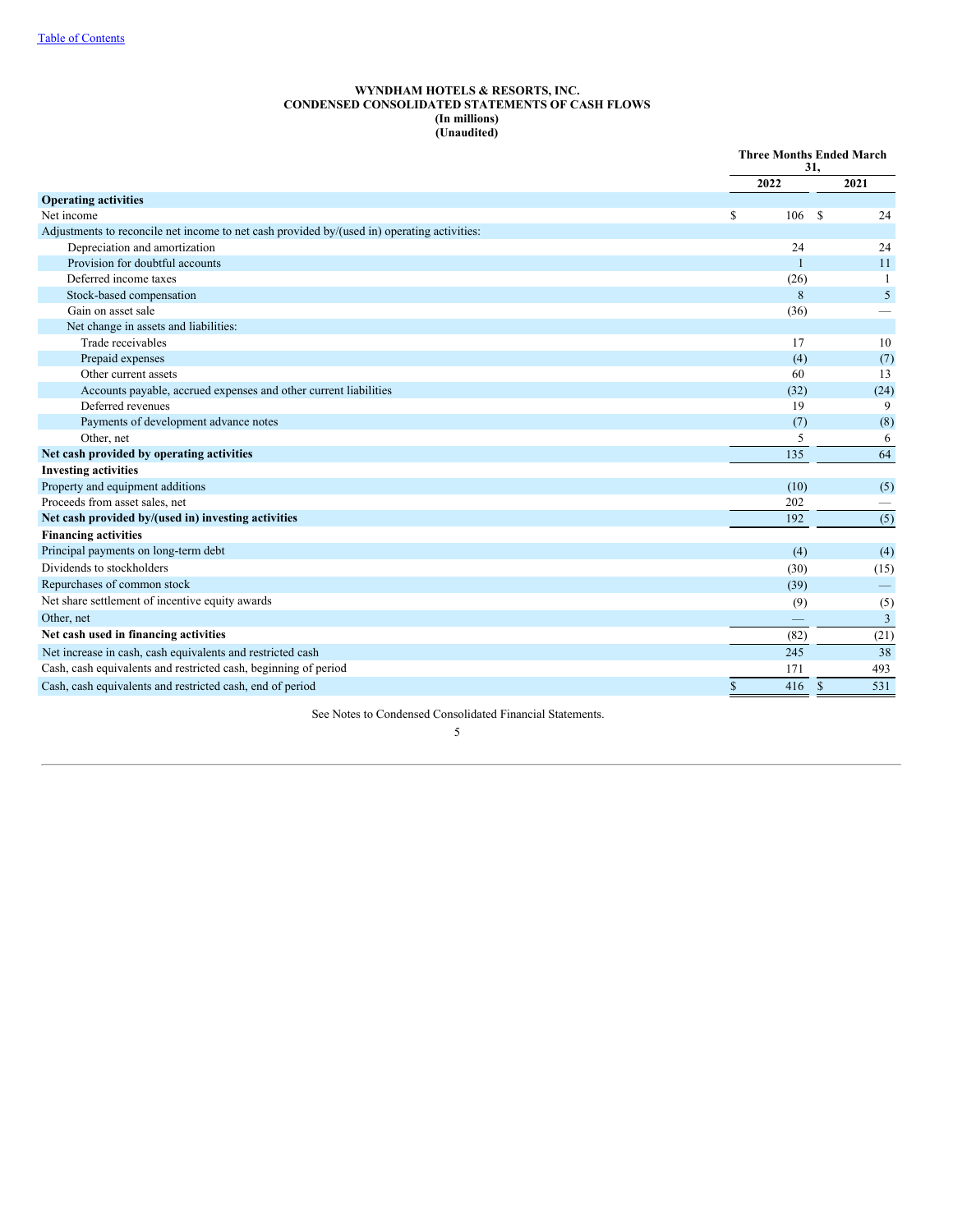## **WYNDHAM HOTELS & RESORTS, INC. CONDENSED CONSOLIDATED STATEMENTS OF CASH FLOWS (In millions) (Unaudited)**

|                                                                                             | <b>Three Months Ended March</b><br>31. |              |              |                          |
|---------------------------------------------------------------------------------------------|----------------------------------------|--------------|--------------|--------------------------|
|                                                                                             |                                        | 2022         |              | 2021                     |
| <b>Operating activities</b>                                                                 |                                        |              |              |                          |
| Net income                                                                                  | S                                      | 106          | -S           | 24                       |
| Adjustments to reconcile net income to net cash provided by/(used in) operating activities: |                                        |              |              |                          |
| Depreciation and amortization                                                               |                                        | 24           |              | 24                       |
| Provision for doubtful accounts                                                             |                                        | $\mathbf{1}$ |              | 11                       |
| Deferred income taxes                                                                       |                                        | (26)         |              | $\mathbf{1}$             |
| Stock-based compensation                                                                    |                                        | 8            |              | 5 <sup>5</sup>           |
| Gain on asset sale                                                                          |                                        | (36)         |              |                          |
| Net change in assets and liabilities:                                                       |                                        |              |              |                          |
| Trade receivables                                                                           |                                        | 17           |              | 10                       |
| Prepaid expenses                                                                            |                                        | (4)          |              | (7)                      |
| Other current assets                                                                        |                                        | 60           |              | 13                       |
| Accounts payable, accrued expenses and other current liabilities                            |                                        | (32)         |              | (24)                     |
| Deferred revenues                                                                           |                                        | 19           |              | 9                        |
| Payments of development advance notes                                                       |                                        | (7)          |              | (8)                      |
| Other, net                                                                                  |                                        | 5            |              | 6                        |
| Net cash provided by operating activities                                                   |                                        | 135          |              | 64                       |
| <b>Investing activities</b>                                                                 |                                        |              |              |                          |
| Property and equipment additions                                                            |                                        | (10)         |              | (5)                      |
| Proceeds from asset sales, net                                                              |                                        | 202          |              |                          |
| Net cash provided by/(used in) investing activities                                         |                                        | 192          |              | (5)                      |
| <b>Financing activities</b>                                                                 |                                        |              |              |                          |
| Principal payments on long-term debt                                                        |                                        | (4)          |              | (4)                      |
| Dividends to stockholders                                                                   |                                        | (30)         |              | (15)                     |
| Repurchases of common stock                                                                 |                                        | (39)         |              | $\overline{\phantom{0}}$ |
| Net share settlement of incentive equity awards                                             |                                        | (9)          |              | (5)                      |
| Other, net                                                                                  |                                        |              |              | 3                        |
| Net cash used in financing activities                                                       |                                        | (82)         |              | (21)                     |
| Net increase in cash, cash equivalents and restricted cash                                  |                                        | 245          |              | 38                       |
| Cash, cash equivalents and restricted cash, beginning of period                             |                                        | 171          |              | 493                      |
| Cash, cash equivalents and restricted cash, end of period                                   | $\mathbb{S}$                           | 416          | $\mathbf{s}$ | 531                      |

<span id="page-6-0"></span>See Notes to Condensed Consolidated Financial Statements.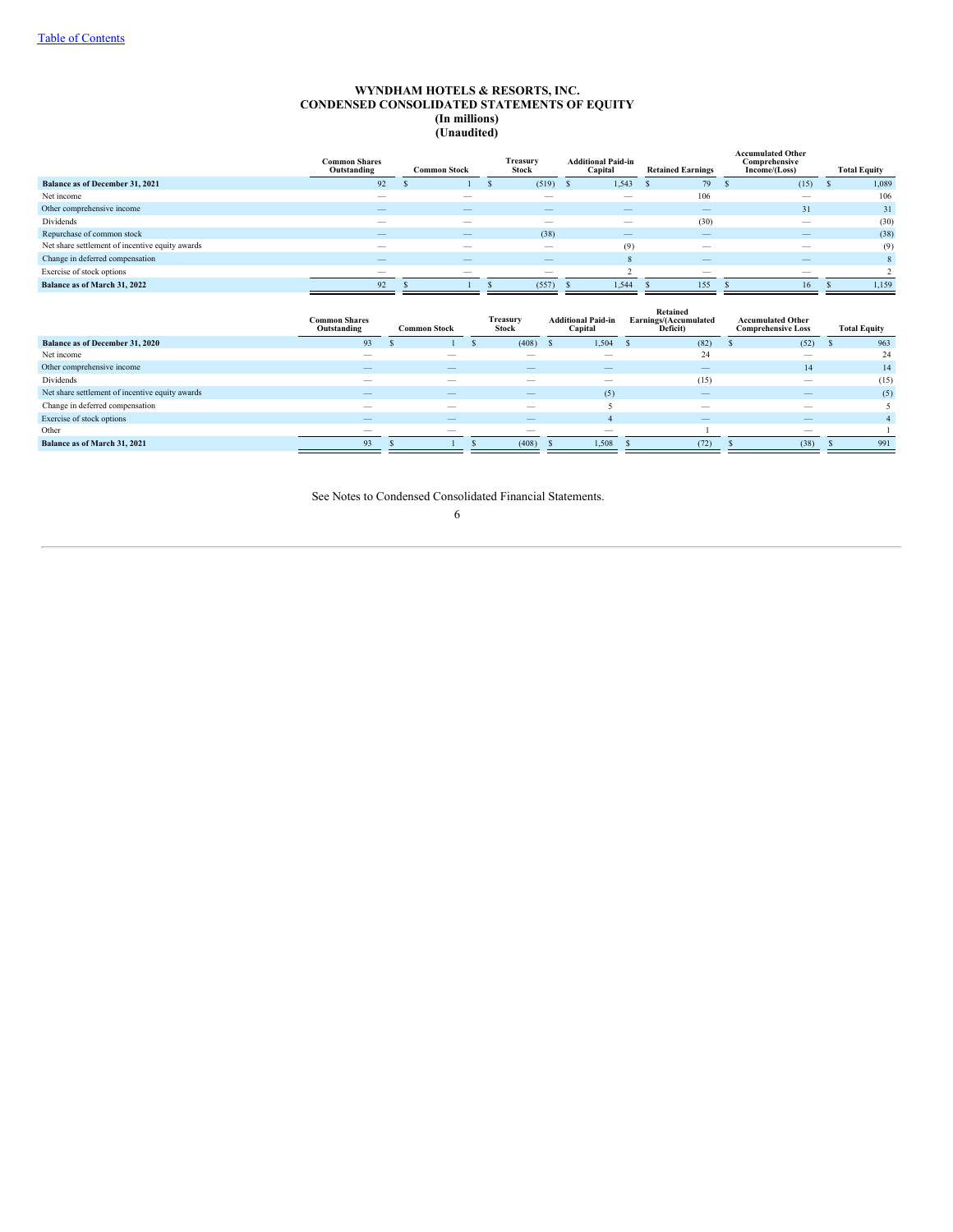## **WYNDHAM HOTELS & RESORTS, INC. CONDENSED CONSOLIDATED STATEMENTS OF EQUITY (In millions) (Unaudited)**

|                                                 | <b>Common Shares</b><br>Outstanding | <b>Common Stock</b>      | Treasury<br>Stock        | <b>Additional Paid-in</b><br>Capital | <b>Retained Earnings</b>                  | <b>Accumulated Other</b><br>Comprehensive<br>Income/(Loss) | <b>Total Equity</b> |
|-------------------------------------------------|-------------------------------------|--------------------------|--------------------------|--------------------------------------|-------------------------------------------|------------------------------------------------------------|---------------------|
| Balance as of December 31, 2021                 | 92                                  |                          | (519)                    | 1,543                                | 79                                        | (15)                                                       | 1,089               |
| Net income                                      | $\overline{\phantom{a}}$            |                          |                          |                                      | 106                                       |                                                            | 106                 |
| Other comprehensive income                      | $-$                                 | $\overline{\phantom{m}}$ | $\qquad \qquad$          |                                      | $\qquad \qquad \overline{\qquad \qquad }$ | 31                                                         | 31                  |
| Dividends                                       | $\overline{\phantom{a}}$            | $\overline{\phantom{a}}$ |                          | $\overline{\phantom{m}}$             | (30)                                      | $\overline{\phantom{a}}$                                   | (30)                |
| Repurchase of common stock                      | $-$                                 | $\overline{\phantom{m}}$ | (38)                     |                                      | $\qquad \qquad \overline{\qquad \qquad }$ |                                                            | (38)                |
| Net share settlement of incentive equity awards | $\overline{\phantom{a}}$            | $\overline{\phantom{a}}$ | $\overline{\phantom{m}}$ | (9)                                  |                                           | $\overline{\phantom{a}}$                                   | (9)                 |
| Change in deferred compensation                 | $\overline{\phantom{a}}$            | $-$                      | $\overline{\phantom{a}}$ | 8                                    |                                           | $-$                                                        | $\mathbf{8}$        |
| Exercise of stock options                       | $\overline{\phantom{a}}$            | $\overline{\phantom{m}}$ | $\overline{\phantom{m}}$ |                                      |                                           | $\overline{\phantom{a}}$                                   |                     |
| Balance as of March 31, 2022                    | 92                                  |                          | (557)                    | 1,544                                | 155                                       | 16                                                         | 1,159               |

<span id="page-7-0"></span>

|                                                 | <b>Common Shares</b><br>Outstanding | <b>Common Stock</b>      | Treasury<br>Stock        | <b>Additional Paid-in</b><br>Capital | Retained<br>Earnings/(Accumulated<br>Deficit) | <b>Accumulated Other</b><br><b>Comprehensive Loss</b> | <b>Total Equity</b> |
|-------------------------------------------------|-------------------------------------|--------------------------|--------------------------|--------------------------------------|-----------------------------------------------|-------------------------------------------------------|---------------------|
| <b>Balance as of December 31, 2020</b>          | 93                                  |                          | (408)                    | 1,504                                | (82)                                          | (52)                                                  | 963                 |
| Net income                                      |                                     |                          |                          | $\sim$                               | 24                                            | $\overline{\phantom{a}}$                              | 24                  |
| Other comprehensive income                      | _                                   |                          |                          | $\overline{\phantom{a}}$             |                                               | 14                                                    | 14                  |
| Dividends                                       | $\overline{\phantom{a}}$            |                          |                          |                                      | (15)                                          | $\overline{\phantom{a}}$                              | (15)                |
| Net share settlement of incentive equity awards | $\overline{\phantom{a}}$            |                          | $\overline{\phantom{a}}$ | (5)                                  | $\overline{\phantom{a}}$                      | $-$                                                   | (5)                 |
| Change in deferred compensation                 | $\overline{\phantom{a}}$            |                          | __                       |                                      | $\overline{\phantom{a}}$                      | _                                                     |                     |
| Exercise of stock options                       | $\overline{\phantom{a}}$            | --                       | $-$                      |                                      | $-$                                           | $\overline{\phantom{a}}$                              |                     |
| Other                                           |                                     | $\overline{\phantom{a}}$ | $\overline{\phantom{a}}$ | $\overline{\phantom{a}}$             |                                               | $\overline{\phantom{a}}$                              |                     |
| Balance as of March 31, 2021                    | 93                                  |                          | (408)                    | 1,508                                | (72)                                          | (38)                                                  | 991                 |
|                                                 |                                     |                          |                          |                                      |                                               |                                                       |                     |

See Notes to Condensed Consolidated Financial Statements.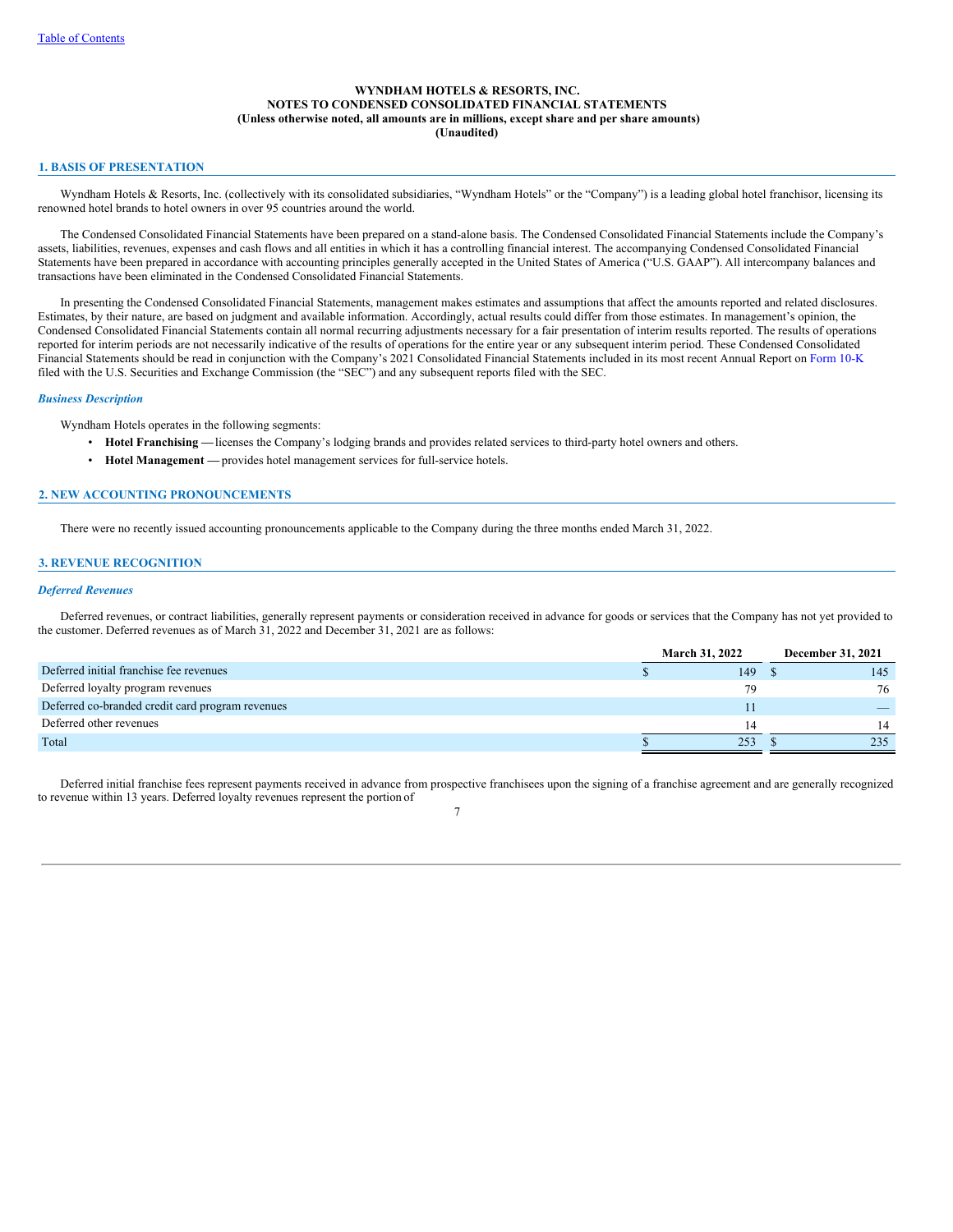## **WYNDHAM HOTELS & RESORTS, INC. NOTES TO CONDENSED CONSOLIDATED FINANCIAL STATEMENTS (Unless otherwise noted, all amounts are in millions, except share and per share amounts) (Unaudited)**

#### **1. BASIS OF PRESENTATION**

Wyndham Hotels & Resorts, Inc. (collectively with its consolidated subsidiaries, "Wyndham Hotels" or the "Company") is a leading global hotel franchisor, licensing its renowned hotel brands to hotel owners in over 95 countries around the world.

The Condensed Consolidated Financial Statements have been prepared on a stand-alone basis. The Condensed Consolidated Financial Statements include the Company's assets, liabilities, revenues, expenses and cash flows and all entities in which it has a controlling financial interest. The accompanying Condensed Consolidated Financial Statements have been prepared in accordance with accounting principles generally accepted in the United States of America ("U.S. GAAP"). All intercompany balances and transactions have been eliminated in the Condensed Consolidated Financial Statements.

In presenting the Condensed Consolidated Financial Statements, management makes estimates and assumptions that affect the amounts reported and related disclosures. Estimates, by their nature, are based on judgment and available information. Accordingly, actual results could differ from those estimates. In management's opinion, the Condensed Consolidated Financial Statements contain all normal recurring adjustments necessary for a fair presentation of interim results reported. The results of operations reported for interim periods are not necessarily indicative of the results of operations for the entire year or any subsequent interim period. These Condensed Consolidated Financial Statements should be read in conjunction with the Company's 2021 Consolidated Financial Statements included in its most recent Annual Report on [Form](https://www.sec.gov/Archives/edgar/data/1722684/000172268422000005/wh-20211231.htm) 10-K filed with the U.S. Securities and Exchange Commission (the "SEC") and any subsequent reports filed with the SEC.

### *Business Description*

Wyndham Hotels operates in the following segments:

- **Hotel Franchising —**licenses the Company's lodging brands and provides related services to third-party hotel owners and others.
- **Hotel Management —** provides hotel management services for full-service hotels.

### **2. NEW ACCOUNTING PRONOUNCEMENTS**

There were no recently issued accounting pronouncements applicable to the Company during the three months ended March 31, 2022.

## **3. REVENUE RECOGNITION**

#### *Deferred Revenues*

Deferred revenues, or contract liabilities, generally represent payments or consideration received in advance for goods or services that the Company has not yet provided to the customer. Deferred revenues as of March 31, 2022 and December 31, 2021 are as follows:

|                                                  | <b>March 31, 2022</b> |  | December 31, 2021 |
|--------------------------------------------------|-----------------------|--|-------------------|
| Deferred initial franchise fee revenues          | 149                   |  | 145               |
| Deferred loyalty program revenues                | 79                    |  | 76                |
| Deferred co-branded credit card program revenues | 11                    |  |                   |
| Deferred other revenues                          | 14                    |  | 14                |
| Total                                            | 253                   |  | 235               |

Deferred initial franchise fees represent payments received in advance from prospective franchisees upon the signing of a franchise agreement and are generally recognized to revenue within 13 years. Deferred loyalty revenues represent the portion of 7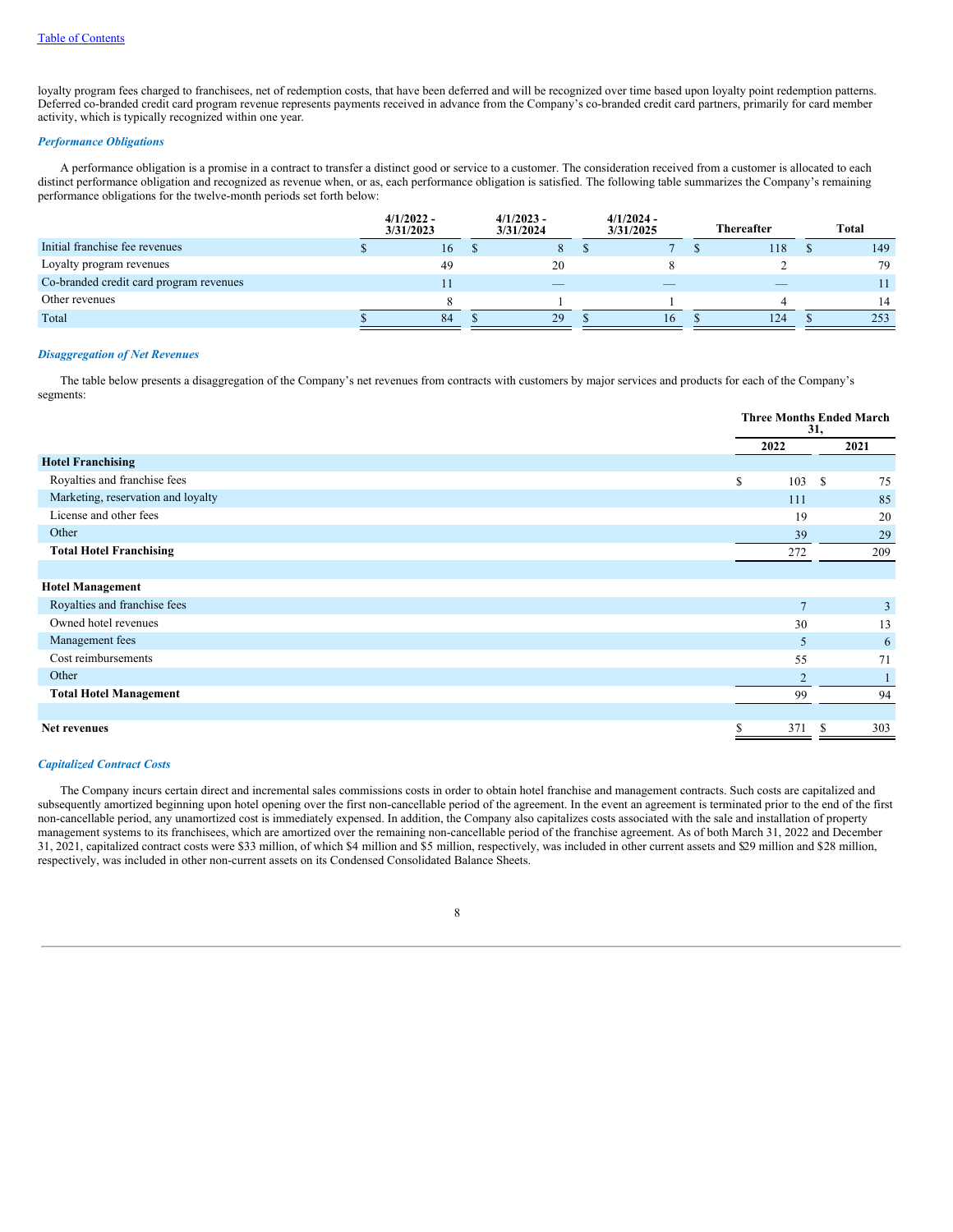loyalty program fees charged to franchisees, net of redemption costs, that have been deferred and will be recognized over time based upon loyalty point redemption patterns. Deferred co-branded credit card program revenue represents payments received in advance from the Company's co-branded credit card partners, primarily for card member activity, which is typically recognized within one year.

### *Performance Obligations*

A performance obligation is a promise in a contract to transfer a distinct good or service to a customer. The consideration received from a customer is allocated to each distinct performance obligation and recognized as revenue when, or as, each performance obligation is satisfied. The following table summarizes the Company's remaining performance obligations for the twelve-month periods set forth below:

|                                         | $4/1/2022 -$<br>3/31/2023 | $4/1/2023 -$<br>3/31/2024 | $4/1/2024 -$<br>3/31/2025 | <b>Thereafter</b> |     |     |  |  |  |  |  |  |  |  |  | Total |
|-----------------------------------------|---------------------------|---------------------------|---------------------------|-------------------|-----|-----|--|--|--|--|--|--|--|--|--|-------|
| Initial franchise fee revenues          | 16                        | 8                         |                           |                   | 118 | 149 |  |  |  |  |  |  |  |  |  |       |
| Loyalty program revenues                | 49                        | 20                        |                           |                   |     | 79  |  |  |  |  |  |  |  |  |  |       |
| Co-branded credit card program revenues |                           |                           | $-$                       |                   |     |     |  |  |  |  |  |  |  |  |  |       |
| Other revenues                          |                           |                           |                           |                   |     | 14  |  |  |  |  |  |  |  |  |  |       |
| Total                                   | 84                        | 29                        | 16.                       |                   | 124 | 253 |  |  |  |  |  |  |  |  |  |       |

#### *Disaggregation of Net Revenues*

The table below presents a disaggregation of the Company's net revenues from contracts with customers by major services and products for each of the Company's segments:

|                                    |                 | <b>Three Months Ended March</b><br>31, |
|------------------------------------|-----------------|----------------------------------------|
|                                    | 2022            | 2021                                   |
| <b>Hotel Franchising</b>           |                 |                                        |
| Royalties and franchise fees       | \$<br>103       | S.<br>75                               |
| Marketing, reservation and loyalty | 111             | 85                                     |
| License and other fees             | 19              | 20                                     |
| Other                              | 39              | 29                                     |
| <b>Total Hotel Franchising</b>     | 272             | 209                                    |
|                                    |                 |                                        |
| <b>Hotel Management</b>            |                 |                                        |
| Royalties and franchise fees       | $7\phantom{.0}$ | 3                                      |
| Owned hotel revenues               | 30              | 13                                     |
| Management fees                    | 5               | 6                                      |
| Cost reimbursements                | 55              | 71                                     |
|                                    |                 |                                        |

Other  $\overline{2}$  1 **Total Hotel Management** 94 94 94

#### **Net revenues** \$ 371 \$ 303

#### *Capitalized Contract Costs*

The Company incurs certain direct and incremental sales commissions costs in order to obtain hotel franchise and management contracts. Such costs are capitalized and subsequently amortized beginning upon hotel opening over the first non-cancellable period of the agreement. In the event an agreement is terminated prior to the end of the first non-cancellable period, any unamortized cost is immediately expensed. In addition, the Company also capitalizes costs associated with the sale and installation of property management systems to its franchisees, which are amortized over the remaining non-cancellable period of the franchise agreement. As of both March 31, 2022 and December 31, 2021, capitalized contract costs were \$33 million, of which \$4 million and \$5 million, respectively, was included in other current assets and \$29 million and \$28 million, respectively, was included in other non-current assets on its Condensed Consolidated Balance Sheets.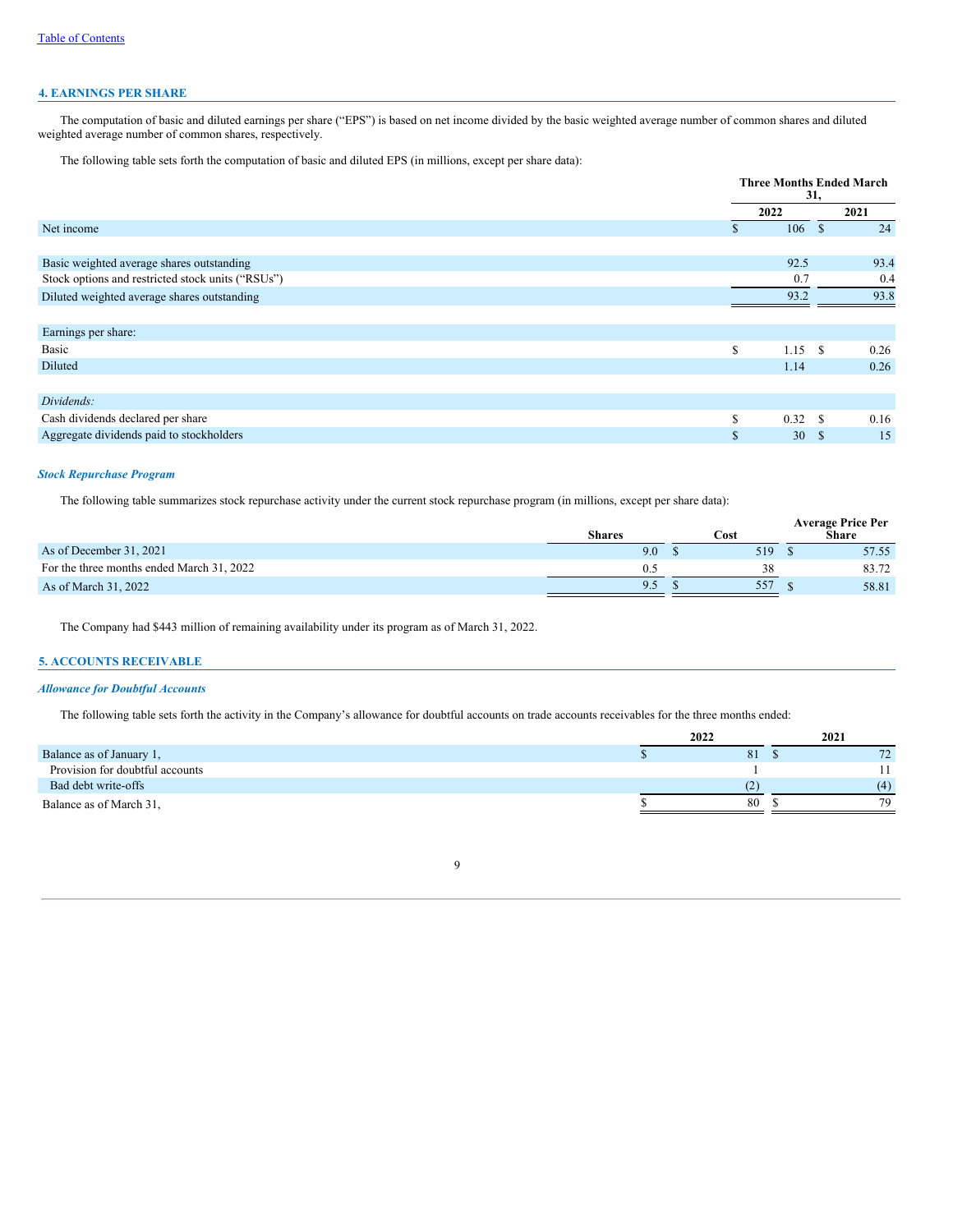# **4. EARNINGS PER SHARE**

The computation of basic and diluted earnings per share ("EPS") is based on net income divided by the basic weighted average number of common shares and diluted weighted average number of common shares, respectively.

The following table sets forth the computation of basic and diluted EPS (in millions, except per share data):

|                                                   | <b>Three Months Ended March</b><br>31, |           |               |      |  |
|---------------------------------------------------|----------------------------------------|-----------|---------------|------|--|
|                                                   | 2022                                   |           |               | 2021 |  |
| Net income                                        | S.                                     | 106       | <sup>\$</sup> | 24   |  |
|                                                   |                                        |           |               |      |  |
| Basic weighted average shares outstanding         |                                        | 92.5      |               | 93.4 |  |
| Stock options and restricted stock units ("RSUs") |                                        | 0.7       |               | 0.4  |  |
| Diluted weighted average shares outstanding       |                                        | 93.2      |               | 93.8 |  |
|                                                   |                                        |           |               |      |  |
| Earnings per share:                               |                                        |           |               |      |  |
| Basic                                             | S                                      | $1.15$ \$ |               | 0.26 |  |
| Diluted                                           |                                        | 1.14      |               | 0.26 |  |
|                                                   |                                        |           |               |      |  |
| Dividends:                                        |                                        |           |               |      |  |
| Cash dividends declared per share                 | S                                      | 0.32 S    |               | 0.16 |  |
| Aggregate dividends paid to stockholders          | \$                                     | 30        | <sup>\$</sup> | 15   |  |

## *Stock Repurchase Program*

The following table summarizes stock repurchase activity under the current stock repurchase program (in millions, except per share data):

|                                           | <b>Shares</b> | Cost | <b>Average Price Per</b><br>Share |
|-------------------------------------------|---------------|------|-----------------------------------|
| As of December 31, 2021                   | 9.0           | 519  | 57.55                             |
| For the three months ended March 31, 2022 |               |      | 83.72                             |
| As of March 31, 2022                      | 9.5           | 557  | 58.81                             |

The Company had \$443 million of remaining availability under its program as of March 31, 2022.

# **5. ACCOUNTS RECEIVABLE**

## *Allowance for Doubtful Accounts*

The following table sets forth the activity in the Company's allowance for doubtful accounts on trade accounts receivables for the three months ended:

|                                 | 2022 |    | 2021 |
|---------------------------------|------|----|------|
| Balance as of January 1,        |      | 81 |      |
| Provision for doubtful accounts |      |    |      |
| Bad debt write-offs             |      |    | (4)  |
| Balance as of March 31,         |      | 80 | 79   |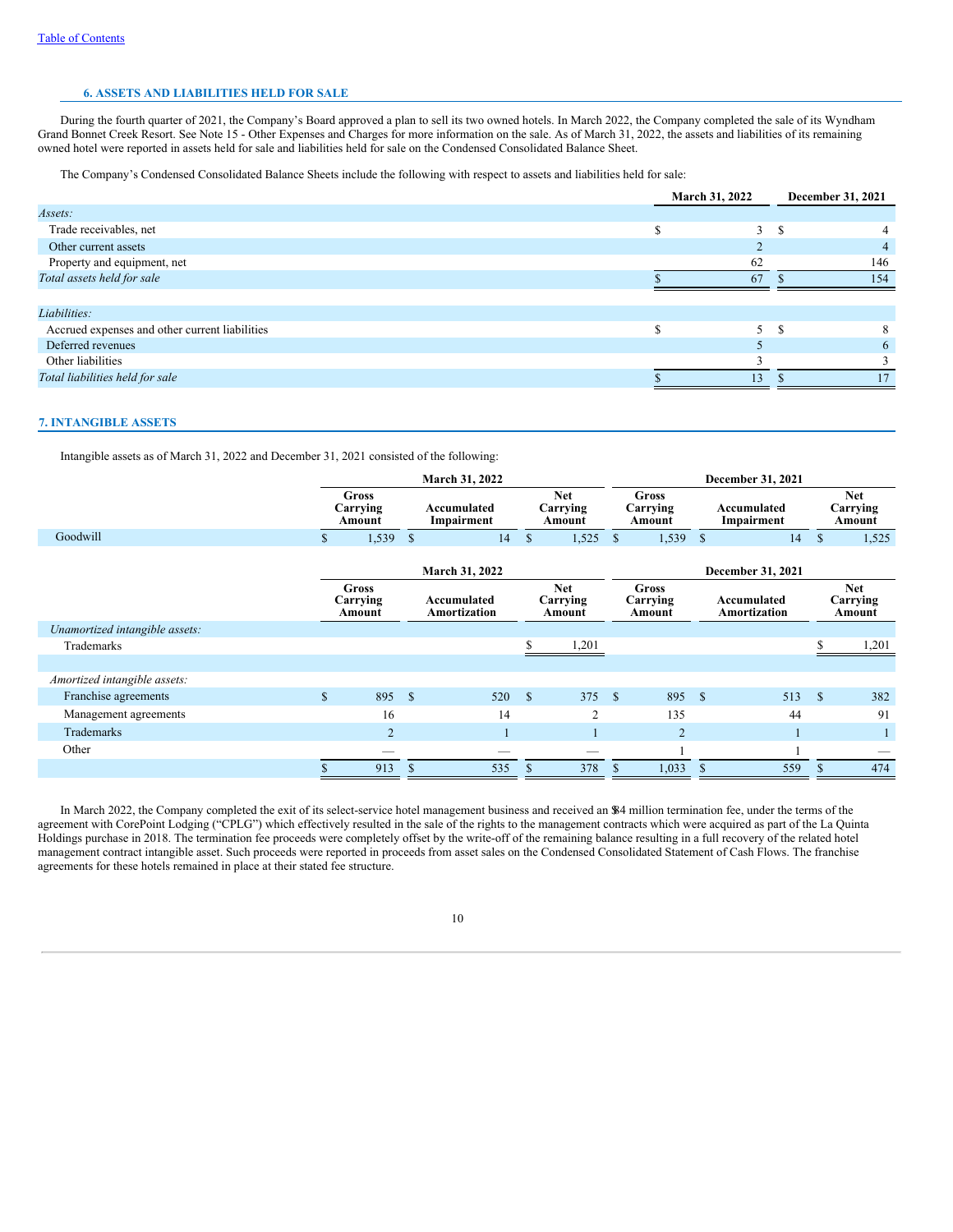# **6. ASSETS AND LIABILITIES HELD FOR SALE**

During the fourth quarter of 2021, the Company's Board approved a plan to sell its two owned hotels. In March 2022, the Company completed the sale of its Wyndham Grand Bonnet Creek Resort. See Note 15 - Other Expenses and Charges for more information on the sale. As of March 31, 2022, the assets and liabilities of its remaining owned hotel were reported in assets held for sale and liabilities held for sale on the Condensed Consolidated Balance Sheet.

The Company's Condensed Consolidated Balance Sheets include the following with respect to assets and liabilities held for sale:

|                                                | March 31, 2022 | December 31, 2021 |
|------------------------------------------------|----------------|-------------------|
| Assets:                                        |                |                   |
| Trade receivables, net                         | $\mathcal{R}$  | - \$              |
| Other current assets                           |                | 4                 |
| Property and equipment, net                    | 62             | 146               |
| Total assets held for sale                     | 67             | 154               |
|                                                |                |                   |
| Liabilities:                                   |                |                   |
| Accrued expenses and other current liabilities | $\sim$         | -S                |
| Deferred revenues                              |                | 6                 |
| Other liabilities                              |                |                   |
| Total liabilities held for sale                | 13             |                   |

## **7. INTANGIBLE ASSETS**

Intangible assets as of March 31, 2022 and December 31, 2021 consisted of the following:

|                                |              |                                    |             | March 31, 2022                     |              |                                  |              | December 31, 2021           |              |                             |               |                                  |
|--------------------------------|--------------|------------------------------------|-------------|------------------------------------|--------------|----------------------------------|--------------|-----------------------------|--------------|-----------------------------|---------------|----------------------------------|
|                                |              | <b>Gross</b><br>Carrying<br>Amount |             | Accumulated<br>Impairment          |              | <b>Net</b><br>Carrying<br>Amount |              | Gross<br>Carrying<br>Amount |              | Accumulated<br>Impairment   |               | <b>Net</b><br>Carrying<br>Amount |
| Goodwill                       | S.           | 1,539                              | -S          | 14                                 | $\mathbb{S}$ | 1,525                            | $\mathbb{S}$ | 1,539                       | $\mathbb{S}$ | 14                          | $\mathbb{S}$  | 1,525                            |
|                                |              |                                    |             | March 31, 2022                     |              |                                  |              |                             |              | December 31, 2021           |               |                                  |
|                                |              | Gross<br>Carrying<br>Amount        |             | Accumulated<br><b>Amortization</b> |              | <b>Net</b><br>Carrying<br>Amount |              | Gross<br>Carrying<br>Amount |              | Accumulated<br>Amortization |               | <b>Net</b><br>Carrying<br>Amount |
| Unamortized intangible assets: |              |                                    |             |                                    |              |                                  |              |                             |              |                             |               |                                  |
| Trademarks                     |              |                                    |             |                                    |              | 1,201                            |              |                             |              |                             |               | 1,201                            |
|                                |              |                                    |             |                                    |              |                                  |              |                             |              |                             |               |                                  |
| Amortized intangible assets:   |              |                                    |             |                                    |              |                                  |              |                             |              |                             |               |                                  |
| Franchise agreements           | $\mathbf{s}$ | 895                                | $\mathbf S$ | 520                                | -S           | 375                              | -S           | 895                         | $\mathbf{s}$ | 513                         | <sup>\$</sup> | 382                              |
| Management agreements          |              | 16                                 |             | 14                                 |              | $\overline{2}$                   |              | 135                         |              | 44                          |               | 91                               |
| <b>Trademarks</b>              |              | 2                                  |             |                                    |              |                                  |              | $\overline{2}$              |              |                             |               |                                  |
| Other                          |              |                                    |             |                                    |              |                                  |              |                             |              |                             |               |                                  |
|                                |              | 913                                |             | 535                                | -S           | 378                              | <sup>S</sup> | 1,033                       |              | 559                         | S             | 474                              |

In March 2022, the Company completed the exit of its select-service hotel management business and received an \$84 million termination fee, under the terms of the agreement with CorePoint Lodging ("CPLG") which effectively resulted in the sale of the rights to the management contracts which were acquired as part of the La Quinta Holdings purchase in 2018. The termination fee proceeds were completely offset by the write-off of the remaining balance resulting in a full recovery of the related hotel management contract intangible asset. Such proceeds were reported in proceeds from asset sales on the Condensed Consolidated Statement of Cash Flows. The franchise agreements for these hotels remained in place at their stated fee structure.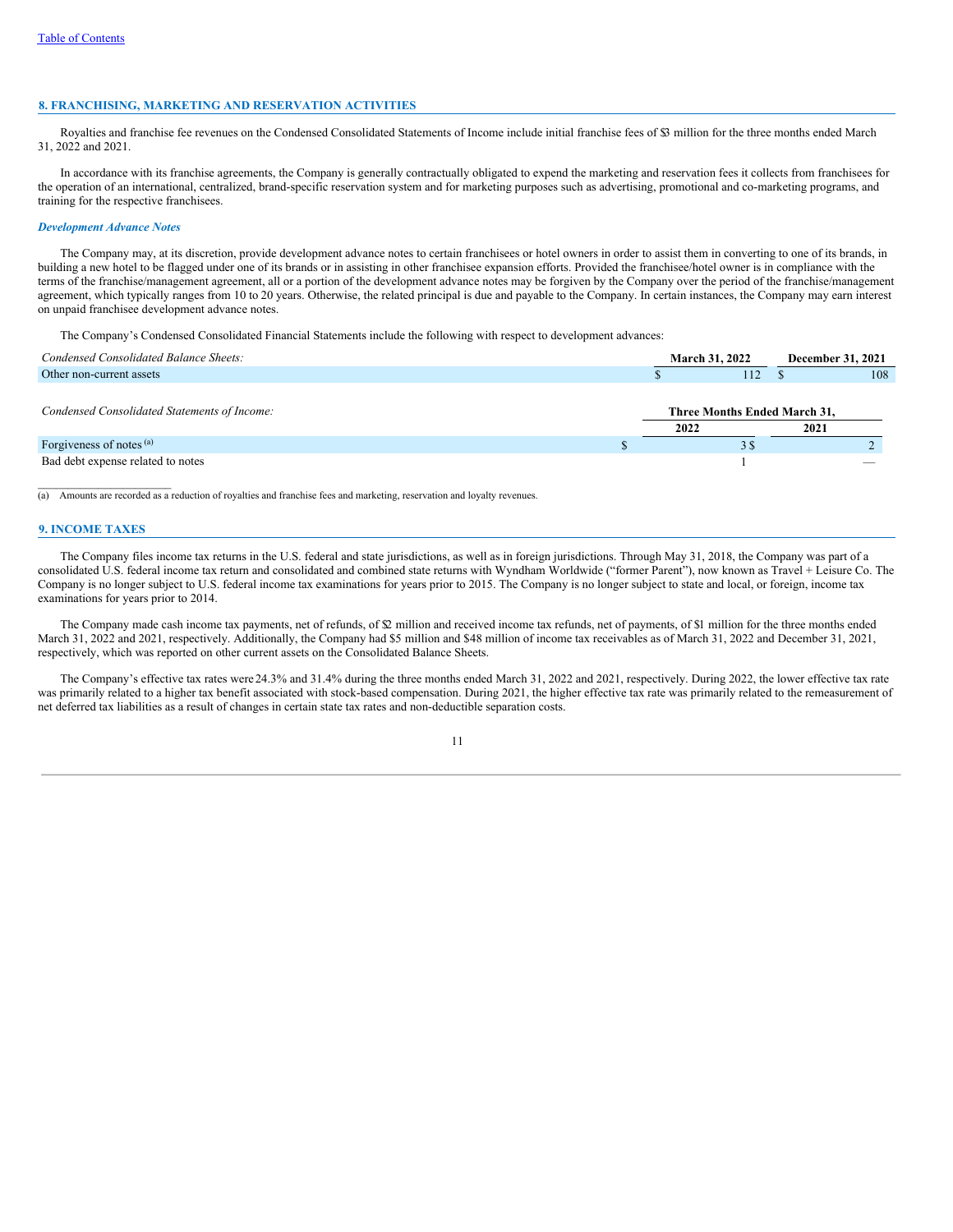### **8. FRANCHISING, MARKETING AND RESERVATION ACTIVITIES**

Royalties and franchise fee revenues on the Condensed Consolidated Statements of Income include initial franchise fees of \$3 million for the three months ended March 31, 2022 and 2021.

In accordance with its franchise agreements, the Company is generally contractually obligated to expend the marketing and reservation fees it collects from franchisees for the operation of an international, centralized, brand-specific reservation system and for marketing purposes such as advertising, promotional and co-marketing programs, and training for the respective franchisees.

#### *Development Advance Notes*

The Company may, at its discretion, provide development advance notes to certain franchisees or hotel owners in order to assist them in converting to one of its brands, in building a new hotel to be flagged under one of its brands or in assisting in other franchisee expansion efforts. Provided the franchisee/hotel owner is in compliance with the terms of the franchise/management agreement, all or a portion of the development advance notes may be forgiven by the Company over the period of the franchise/management agreement, which typically ranges from 10 to 20 years. Otherwise, the related principal is due and payable to the Company. In certain instances, the Company may earn interest on unpaid franchisee development advance notes.

The Company's Condensed Consolidated Financial Statements include the following with respect to development advances:

| Condensed Consolidated Balance Sheets:       | <b>March 31, 2022</b>                | <b>December 31, 2021</b> |                          |
|----------------------------------------------|--------------------------------------|--------------------------|--------------------------|
| Other non-current assets                     | 112                                  |                          | 108                      |
| Condensed Consolidated Statements of Income: | Three Months Ended March 31,<br>2022 | 2021                     |                          |
| Forgiveness of notes (a)                     | 38                                   |                          |                          |
| Bad debt expense related to notes            |                                      |                          | $\overline{\phantom{a}}$ |

(a) Amounts are recorded as a reduction of royalties and franchise fees and marketing, reservation and loyalty revenues.

## **9. INCOME TAXES**

 $\mathcal{L}=\mathcal{L}=\mathcal{L}=\mathcal{L}=\mathcal{L}=\mathcal{L}=\mathcal{L}=\mathcal{L}=\mathcal{L}=\mathcal{L}=\mathcal{L}=\mathcal{L}=\mathcal{L}=\mathcal{L}=\mathcal{L}=\mathcal{L}=\mathcal{L}=\mathcal{L}=\mathcal{L}=\mathcal{L}=\mathcal{L}=\mathcal{L}=\mathcal{L}=\mathcal{L}=\mathcal{L}=\mathcal{L}=\mathcal{L}=\mathcal{L}=\mathcal{L}=\mathcal{L}=\mathcal{L}=\mathcal{L}=\mathcal{L}=\mathcal{L}=\mathcal{L}=\mathcal{L}=\mathcal{$ 

The Company files income tax returns in the U.S. federal and state jurisdictions, as well as in foreign jurisdictions. Through May 31, 2018, the Company was part of a consolidated U.S. federal income tax return and consolidated and combined state returns with Wyndham Worldwide ("former Parent"), now known as Travel + Leisure Co. The Company is no longer subject to U.S. federal income tax examinations for years prior to 2015. The Company is no longer subject to state and local, or foreign, income tax examinations for years prior to 2014.

The Company made cash income tax payments, net of refunds, of  $\mathcal{D}$  million and received income tax refunds, net of payments, of  $\mathcal{S}1$  million for the three months ended March 31, 2022 and 2021, respectively. Additionally, the Company had \$5 million and \$48 million of income tax receivables as of March 31, 2022 and December 31, 2021, respectively, which was reported on other current assets on the Consolidated Balance Sheets.

The Company's effective tax rates were 24.3% and 31.4% during the three months ended March 31, 2022 and 2021, respectively. During 2022, the lower effective tax rate was primarily related to a higher tax benefit associated with stock-based compensation. During 2021, the higher effective tax rate was primarily related to the remeasurement of net deferred tax liabilities as a result of changes in certain state tax rates and non-deductible separation costs.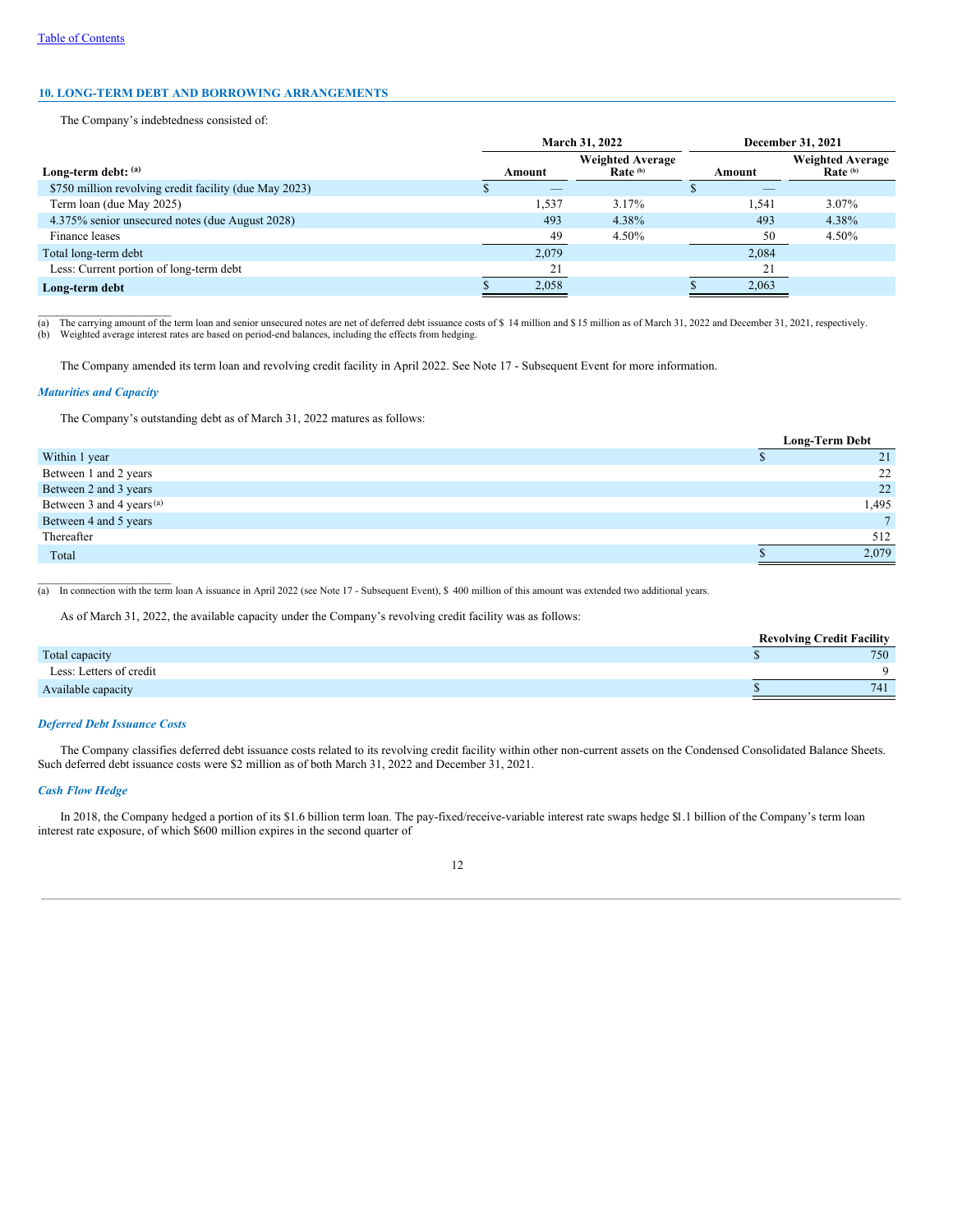# **10. LONG-TERM DEBT AND BORROWING ARRANGEMENTS**

The Company's indebtedness consisted of:

|                                                        | March 31, 2022 |                          |                                     |        | December 31, 2021                              |
|--------------------------------------------------------|----------------|--------------------------|-------------------------------------|--------|------------------------------------------------|
| Long-term debt: $(a)$                                  |                | Amount                   | <b>Weighted Average</b><br>Rate (b) | Amount | <b>Weighted Average</b><br>Rate <sup>(b)</sup> |
| \$750 million revolving credit facility (due May 2023) |                | $\overline{\phantom{a}}$ |                                     |        |                                                |
| Term loan (due May 2025)                               |                | 1,537                    | 3.17%                               | 1.541  | $3.07\%$                                       |
| 4.375% senior unsecured notes (due August 2028)        |                | 493                      | 4.38%                               | 493    | 4.38%                                          |
| Finance leases                                         |                | 49                       | 4.50%                               | 50     | 4.50%                                          |
| Total long-term debt                                   |                | 2,079                    |                                     | 2,084  |                                                |
| Less: Current portion of long-term debt                |                | 21                       |                                     | 21     |                                                |
| Long-term debt                                         |                | 2,058                    |                                     | 2,063  |                                                |

\_\_\_\_\_\_\_\_\_\_\_\_\_\_\_\_\_\_\_\_\_\_ (a) The carrying amount of the term loan and senior unsecured notes are net of deferred debt issuance costs of \$ 14 million and \$ 15 million as of March 31, 2022 and December 31, 2021, respectively. (b) Weighted average interest rates are based on period-end balances, including the effects from hedging.

The Company amended its term loan and revolving credit facility in April 2022. See Note 17 - Subsequent Event for more information.

## *Maturities and Capacity*

The Company's outstanding debt as of March 31, 2022 matures as follows:

|                                      | <b>Long-Term Debt</b> |
|--------------------------------------|-----------------------|
| Within 1 year                        | 21                    |
| Between 1 and 2 years                | 22                    |
| Between 2 and 3 years                | 22                    |
| Between 3 and 4 years <sup>(a)</sup> | 1,495                 |
| Between 4 and 5 years                | $\tau$                |
| Thereafter                           | 512                   |
| Total                                | 2.079                 |

(a) In connection with the term loan A issuance in April 2022 (see Note 17 - Subsequent Event), \$ 400 million of this amount was extended two additional years.

As of March 31, 2022, the available capacity under the Company's revolving credit facility was as follows:

|                         | <b>Revolving Credit Facility</b> |
|-------------------------|----------------------------------|
| Total capacity          | 750                              |
| Less: Letters of credit | 0                                |
| Available capacity      | 741                              |

## *Deferred Debt Issuance Costs*

 $\mathcal{L}_\text{max}$ 

The Company classifies deferred debt issuance costs related to its revolving credit facility within other non-current assets on the Condensed Consolidated Balance Sheets. Such deferred debt issuance costs were \$2 million as of both March 31, 2022 and December 31, 2021.

#### *Cash Flow Hedge*

In 2018, the Company hedged a portion of its \$1.6 billion term loan. The pay-fixed/receive-variable interest rate swaps hedge \$1.1 billion of the Company's term loan interest rate exposure, of which \$600 million expires in the second quarter of

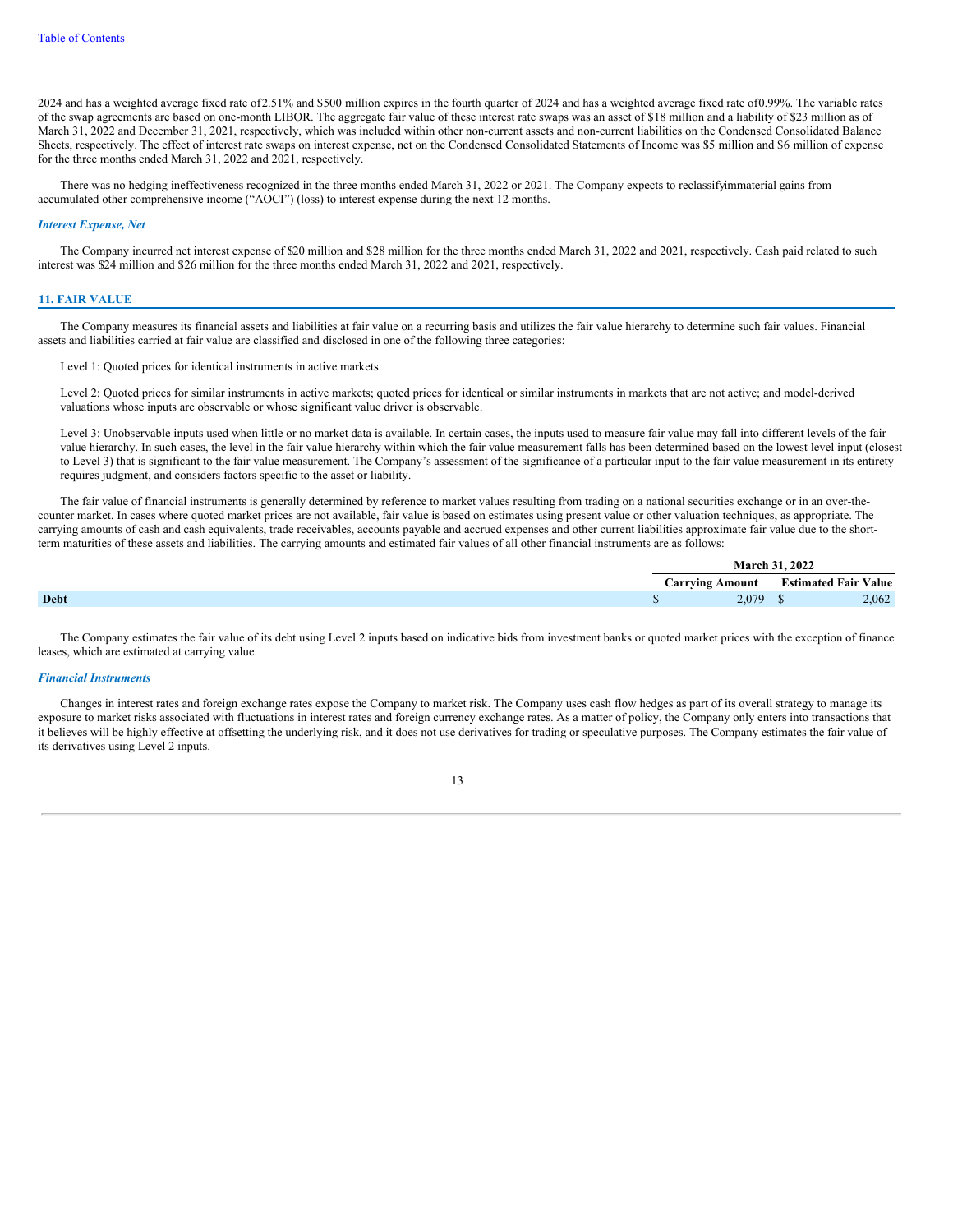2024 and has a weighted average fixed rate of2.51% and \$500 million expires in the fourth quarter of 2024 and has a weighted average fixed rate of0.99%. The variable rates of the swap agreements are based on one-month LIBOR. The aggregate fair value of these interest rate swaps was an asset of \$18 million and a liability of \$23 million as of March 31, 2022 and December 31, 2021, respectively, which was included within other non-current assets and non-current liabilities on the Condensed Consolidated Balance Sheets, respectively. The effect of interest rate swaps on interest expense, net on the Condensed Consolidated Statements of Income was \$5 million and \$6 million of expense for the three months ended March 31, 2022 and 2021, respectively.

There was no hedging ineffectiveness recognized in the three months ended March 31, 2022 or 2021. The Company expects to reclassifyimmaterial gains from accumulated other comprehensive income ("AOCI") (loss) to interest expense during the next 12 months.

#### *Interest Expense, Net*

The Company incurred net interest expense of \$20 million and \$28 million for the three months ended March 31, 2022 and 2021, respectively. Cash paid related to such interest was \$24 million and \$26 million for the three months ended March 31, 2022 and 2021, respectively.

### **11. FAIR VALUE**

The Company measures its financial assets and liabilities at fair value on a recurring basis and utilizes the fair value hierarchy to determine such fair values. Financial assets and liabilities carried at fair value are classified and disclosed in one of the following three categories:

Level 1: Quoted prices for identical instruments in active markets.

Level 2: Quoted prices for similar instruments in active markets; quoted prices for identical or similar instruments in markets that are not active; and model-derived valuations whose inputs are observable or whose significant value driver is observable.

Level 3: Unobservable inputs used when little or no market data is available. In certain cases, the inputs used to measure fair value may fall into different levels of the fair value hierarchy. In such cases, the level in the fair value hierarchy within which the fair value measurement falls has been determined based on the lowest level input (closest to Level 3) that is significant to the fair value measurement. The Company's assessment of the significance of a particular input to the fair value measurement in its entirety requires judgment, and considers factors specific to the asset or liability.

The fair value of financial instruments is generally determined by reference to market values resulting from trading on a national securities exchange or in an over-thecounter market. In cases where quoted market prices are not available, fair value is based on estimates using present value or other valuation techniques, as appropriate. The carrying amounts of cash and cash equivalents, trade receivables, accounts payable and accrued expenses and other current liabilities approximate fair value due to the shortterm maturities of these assets and liabilities. The carrying amounts and estimated fair values of all other financial instruments are as follows:

|             | <b>March</b> .  | 31, 2022                    |       |
|-------------|-----------------|-----------------------------|-------|
|             | Carrving Amount | <b>Estimated Fair Value</b> |       |
| <b>Debt</b> | 2,079           |                             | 2,062 |

The Company estimates the fair value of its debt using Level 2 inputs based on indicative bids from investment banks or quoted market prices with the exception of finance leases, which are estimated at carrying value.

#### *Financial Instruments*

Changes in interest rates and foreign exchange rates expose the Company to market risk. The Company uses cash flow hedges as part of its overall strategy to manage its exposure to market risks associated with fluctuations in interest rates and foreign currency exchange rates. As a matter of policy, the Company only enters into transactions that it believes will be highly effective at offsetting the underlying risk, and it does not use derivatives for trading or speculative purposes. The Company estimates the fair value of its derivatives using Level 2 inputs.

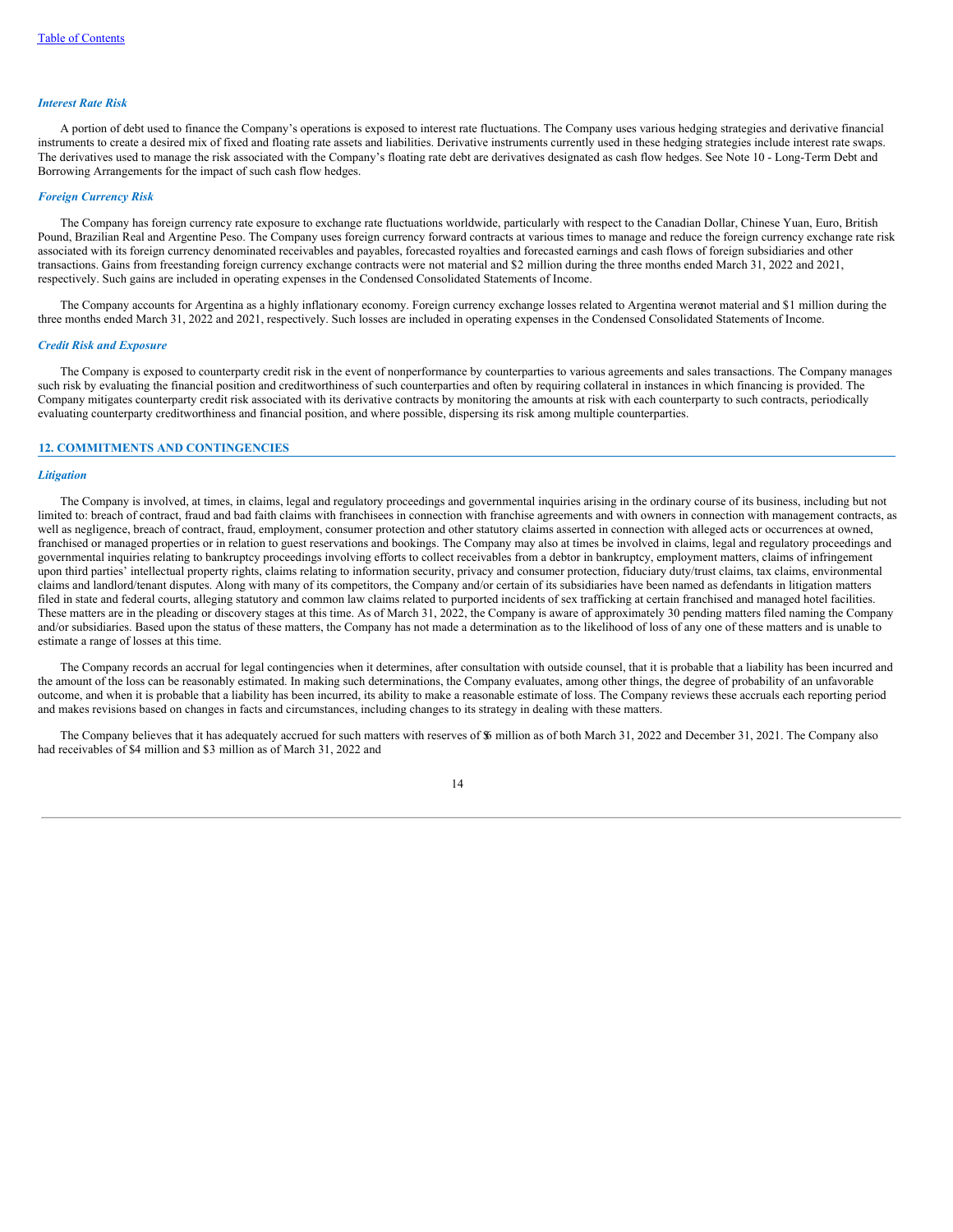### *Interest Rate Risk*

A portion of debt used to finance the Company's operations is exposed to interest rate fluctuations. The Company uses various hedging strategies and derivative financial instruments to create a desired mix of fixed and floating rate assets and liabilities. Derivative instruments currently used in these hedging strategies include interest rate swaps. The derivatives used to manage the risk associated with the Company's floating rate debt are derivatives designated as cash flow hedges. See Note 10 - Long-Term Debt and Borrowing Arrangements for the impact of such cash flow hedges.

#### *Foreign Currency Risk*

The Company has foreign currency rate exposure to exchange rate fluctuations worldwide, particularly with respect to the Canadian Dollar, Chinese Yuan, Euro, British Pound, Brazilian Real and Argentine Peso. The Company uses foreign currency forward contracts at various times to manage and reduce the foreign currency exchange rate risk associated with its foreign currency denominated receivables and payables, forecasted royalties and forecasted earnings and cash flows of foreign subsidiaries and other transactions. Gains from freestanding foreign currency exchange contracts were not material and \$2 million during the three months ended March 31, 2022 and 2021, respectively. Such gains are included in operating expenses in the Condensed Consolidated Statements of Income.

The Company accounts for Argentina as a highly inflationary economy. Foreign currency exchange losses related to Argentina werenot material and \$1 million during the three months ended March 31, 2022 and 2021, respectively. Such losses are included in operating expenses in the Condensed Consolidated Statements of Income.

#### *Credit Risk and Exposure*

The Company is exposed to counterparty credit risk in the event of nonperformance by counterparties to various agreements and sales transactions. The Company manages such risk by evaluating the financial position and creditworthiness of such counterparties and often by requiring collateral in instances in which financing is provided. The Company mitigates counterparty credit risk associated with its derivative contracts by monitoring the amounts at risk with each counterparty to such contracts, periodically evaluating counterparty creditworthiness and financial position, and where possible, dispersing its risk among multiple counterparties.

### **12. COMMITMENTS AND CONTINGENCIES**

#### *Litigation*

The Company is involved, at times, in claims, legal and regulatory proceedings and governmental inquiries arising in the ordinary course of its business, including but not limited to: breach of contract, fraud and bad faith claims with franchisees in connection with franchise agreements and with owners in connection with management contracts, as well as negligence, breach of contract, fraud, employment, consumer protection and other statutory claims asserted in connection with alleged acts or occurrences at owned, franchised or managed properties or in relation to guest reservations and bookings. The Company may also at times be involved in claims, legal and regulatory proceedings and governmental inquiries relating to bankruptcy proceedings involving efforts to collect receivables from a debtor in bankruptcy, employment matters, claims of infringement upon third parties' intellectual property rights, claims relating to information security, privacy and consumer protection, fiduciary duty/trust claims, tax claims, environmental claims and landlord/tenant disputes. Along with many of its competitors, the Company and/or certain of its subsidiaries have been named as defendants in litigation matters filed in state and federal courts, alleging statutory and common law claims related to purported incidents of sex trafficking at certain franchised and managed hotel facilities. These matters are in the pleading or discovery stages at this time. As of March 31, 2022, the Company is aware of approximately 30 pending matters filed naming the Company and/or subsidiaries. Based upon the status of these matters, the Company has not made a determination as to the likelihood of loss of any one of these matters and is unable to estimate a range of losses at this time.

The Company records an accrual for legal contingencies when it determines, after consultation with outside counsel, that it is probable that a liability has been incurred and the amount of the loss can be reasonably estimated. In making such determinations, the Company evaluates, among other things, the degree of probability of an unfavorable outcome, and when it is probable that a liability has been incurred, its ability to make a reasonable estimate of loss. The Company reviews these accruals each reporting period and makes revisions based on changes in facts and circumstances, including changes to its strategy in dealing with these matters.

The Company believes that it has adequately accrued for such matters with reserves of  $\frac{1}{2}$  million as of both March 31, 2022 and December 31, 2021. The Company also had receivables of \$4 million and \$3 million as of March 31, 2022 and

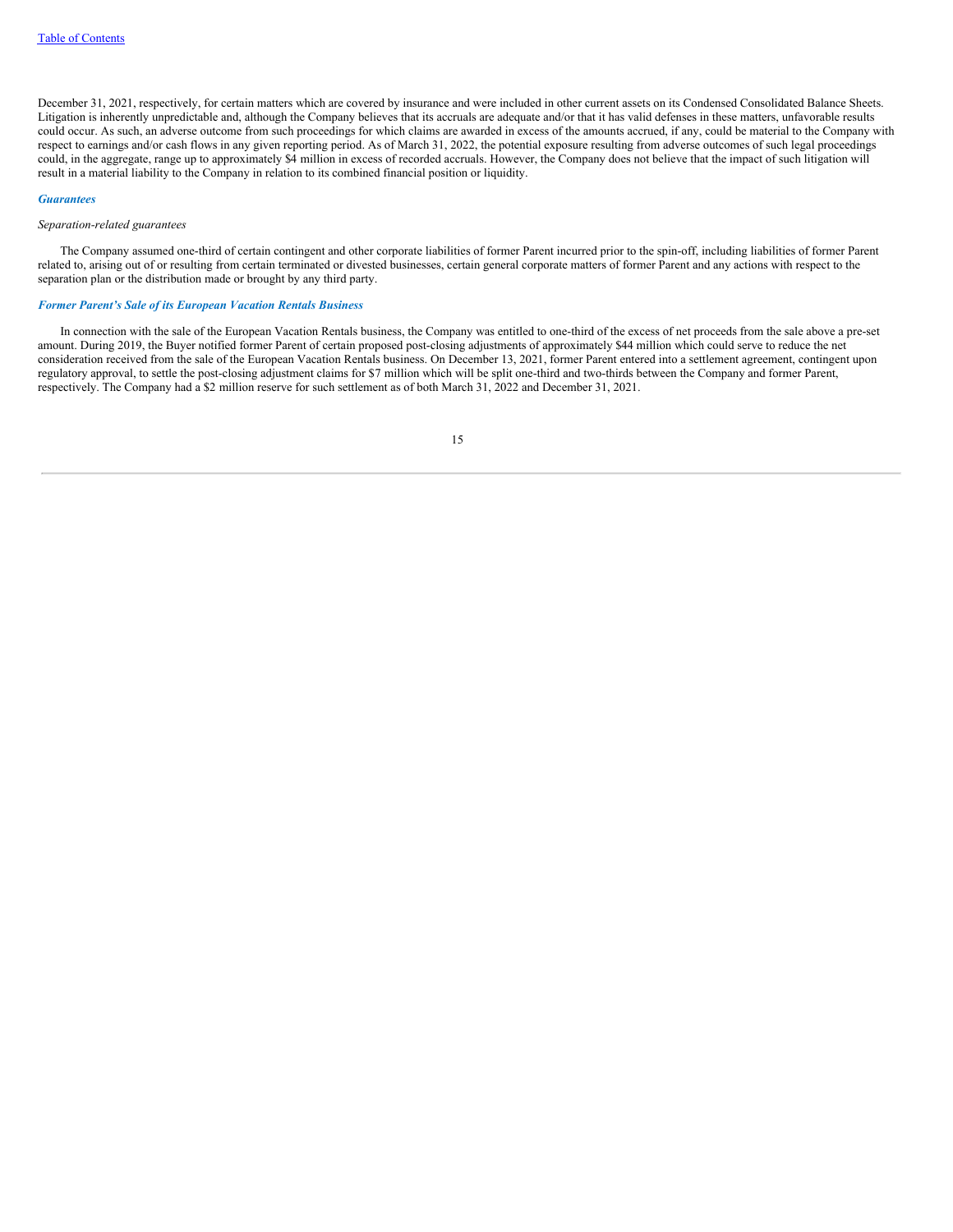December 31, 2021, respectively, for certain matters which are covered by insurance and were included in other current assets on its Condensed Consolidated Balance Sheets. Litigation is inherently unpredictable and, although the Company believes that its accruals are adequate and/or that it has valid defenses in these matters, unfavorable results could occur. As such, an adverse outcome from such proceedings for which claims are awarded in excess of the amounts accrued, if any, could be material to the Company with respect to earnings and/or cash flows in any given reporting period. As of March 31, 2022, the potential exposure resulting from adverse outcomes of such legal proceedings could, in the aggregate, range up to approximately \$4 million in excess of recorded accruals. However, the Company does not believe that the impact of such litigation will result in a material liability to the Company in relation to its combined financial position or liquidity.

#### *Guarantees*

#### *Separation-related guarantees*

The Company assumed one-third of certain contingent and other corporate liabilities of former Parent incurred prior to the spin-off, including liabilities of former Parent related to, arising out of or resulting from certain terminated or divested businesses, certain general corporate matters of former Parent and any actions with respect to the separation plan or the distribution made or brought by any third party.

## *Former Parent's Sale of its European Vacation Rentals Business*

In connection with the sale of the European Vacation Rentals business, the Company was entitled to one-third of the excess of net proceeds from the sale above a pre-set amount. During 2019, the Buyer notified former Parent of certain proposed post-closing adjustments of approximately \$44 million which could serve to reduce the net consideration received from the sale of the European Vacation Rentals business. On December 13, 2021, former Parent entered into a settlement agreement, contingent upon regulatory approval, to settle the post-closing adjustment claims for \$7 million which will be split one-third and two-thirds between the Company and former Parent, respectively. The Company had a \$2 million reserve for such settlement as of both March 31, 2022 and December 31, 2021.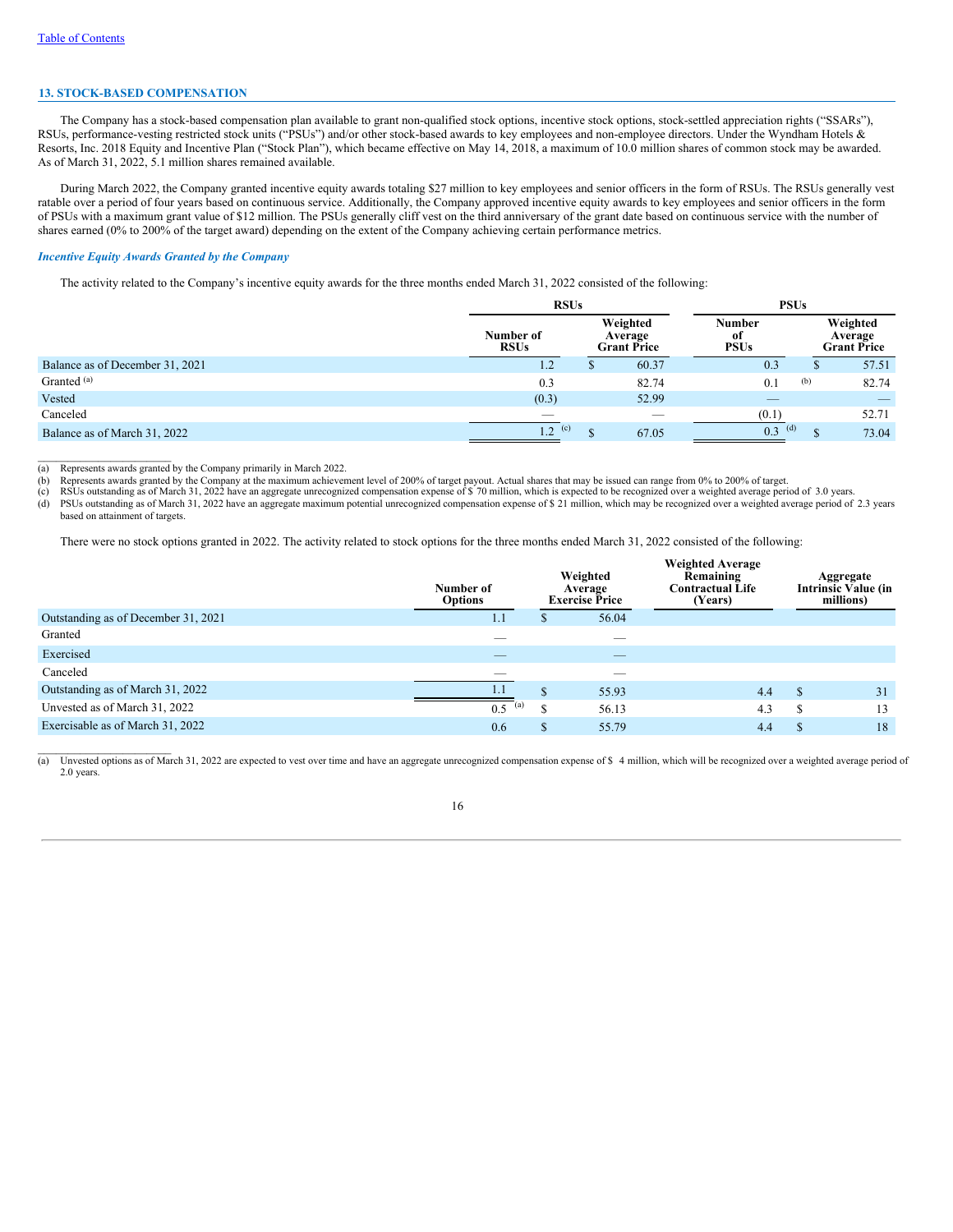## **13. STOCK-BASED COMPENSATION**

The Company has a stock-based compensation plan available to grant non-qualified stock options, incentive stock options, stock-settled appreciation rights ("SSARs"), RSUs, performance-vesting restricted stock units ("PSUs") and/or other stock-based awards to key employees and non-employee directors. Under the Wyndham Hotels & Resorts, Inc. 2018 Equity and Incentive Plan ("Stock Plan"), which became effective on May 14, 2018, a maximum of 10.0 million shares of common stock may be awarded. As of March 31, 2022, 5.1 million shares remained available.

During March 2022, the Company granted incentive equity awards totaling \$27 million to key employees and senior officers in the form of RSUs. The RSUs generally vest ratable over a period of four years based on continuous service. Additionally, the Company approved incentive equity awards to key employees and senior officers in the form of PSUs with a maximum grant value of \$12 million. The PSUs generally cliff vest on the third anniversary of the grant date based on continuous service with the number of shares earned (0% to 200% of the target award) depending on the extent of the Company achieving certain performance metrics.

### *Incentive Equity Awards Granted by the Company*

The activity related to the Company's incentive equity awards for the three months ended March 31, 2022 consisted of the following:

|                                 | <b>RSUs</b>                    |  |                                           | <b>PSUs</b>                         |     |                                           |
|---------------------------------|--------------------------------|--|-------------------------------------------|-------------------------------------|-----|-------------------------------------------|
|                                 | Number of<br><b>RSUs</b>       |  | Weighted<br>Average<br><b>Grant Price</b> | <b>Number</b><br>-of<br><b>PSUs</b> |     | Weighted<br>Average<br><b>Grant Price</b> |
| Balance as of December 31, 2021 | 1.2                            |  | 60.37                                     | 0.3                                 | D.  | 57.51                                     |
| Granted <sup>(a)</sup>          | 0.3                            |  | 82.74                                     | 0.1                                 | (b) | 82.74                                     |
| Vested                          | (0.3)                          |  | 52.99                                     | $\overline{\phantom{a}}$            |     |                                           |
| Canceled                        | $\overbrace{\hspace{25mm}}^{}$ |  | $\hspace{0.1mm}-\hspace{0.1mm}$           | (0.1)                               |     | 52.71                                     |
| Balance as of March 31, 2022    | 1.2<br>(c)                     |  | 67.05                                     | (d)<br>0.3                          |     | 73.04                                     |

 $\mathcal{L}=\mathcal{L}=\mathcal{L}=\mathcal{L}=\mathcal{L}=\mathcal{L}=\mathcal{L}=\mathcal{L}=\mathcal{L}=\mathcal{L}=\mathcal{L}=\mathcal{L}=\mathcal{L}=\mathcal{L}=\mathcal{L}=\mathcal{L}=\mathcal{L}=\mathcal{L}=\mathcal{L}=\mathcal{L}=\mathcal{L}=\mathcal{L}=\mathcal{L}=\mathcal{L}=\mathcal{L}=\mathcal{L}=\mathcal{L}=\mathcal{L}=\mathcal{L}=\mathcal{L}=\mathcal{L}=\mathcal{L}=\mathcal{L}=\mathcal{L}=\mathcal{L}=\mathcal{L}=\mathcal{$ (a) Represents awards granted by the Company primarily in March 2022.

 $\mathcal{L}_\text{max}$ 

(b) Represents awards granted by the Company at the maximum achievement level of 200% of target payout. Actual shares that may be issued can range from 0% to 200% of target.<br>(c) RSUs outstanding as of March 31, 2022 have a

(d) PSUs outstanding as of March 31, 2022 have an aggregate maximum potential unrecognized compensation expense of \$ 21 million, which may be recognized over a weighted average period of 2.3 years based on attainment of targets.

There were no stock options granted in 2022. The activity related to stock options for the three months ended March 31, 2022 consisted of the following:

|                                     | Number of<br><b>Options</b> |          | Weighted<br>Average<br><b>Exercise Price</b> | <b>Weighted Average</b><br>Remaining<br><b>Contractual Life</b><br>(Years) |               | Aggregate<br><b>Intrinsic Value (in</b><br>millions) |
|-------------------------------------|-----------------------------|----------|----------------------------------------------|----------------------------------------------------------------------------|---------------|------------------------------------------------------|
| Outstanding as of December 31, 2021 | 1.1                         | D        | 56.04                                        |                                                                            |               |                                                      |
| Granted                             |                             |          | --                                           |                                                                            |               |                                                      |
| Exercised                           |                             |          | _                                            |                                                                            |               |                                                      |
| Canceled                            | __                          |          | $\overline{\phantom{a}}$                     |                                                                            |               |                                                      |
| Outstanding as of March 31, 2022    | 1.1                         | ¢<br>ЭĐ. | 55.93                                        | 4.4                                                                        | <sup>\$</sup> | 31                                                   |
| Unvested as of March 31, 2022       | 0.5<br>$\left( a\right)$    | S        | 56.13                                        | 4.3                                                                        | S             | 13                                                   |
| Exercisable as of March 31, 2022    | 0.6                         | \$       | 55.79                                        | 4.4                                                                        | S             | 18                                                   |

(a) Unvested options as of March 31, 2022 are expected to vest over time and have an aggregate unrecognized compensation expense of \$ 4 million, which will be recognized over a weighted average period of 2.0 years.

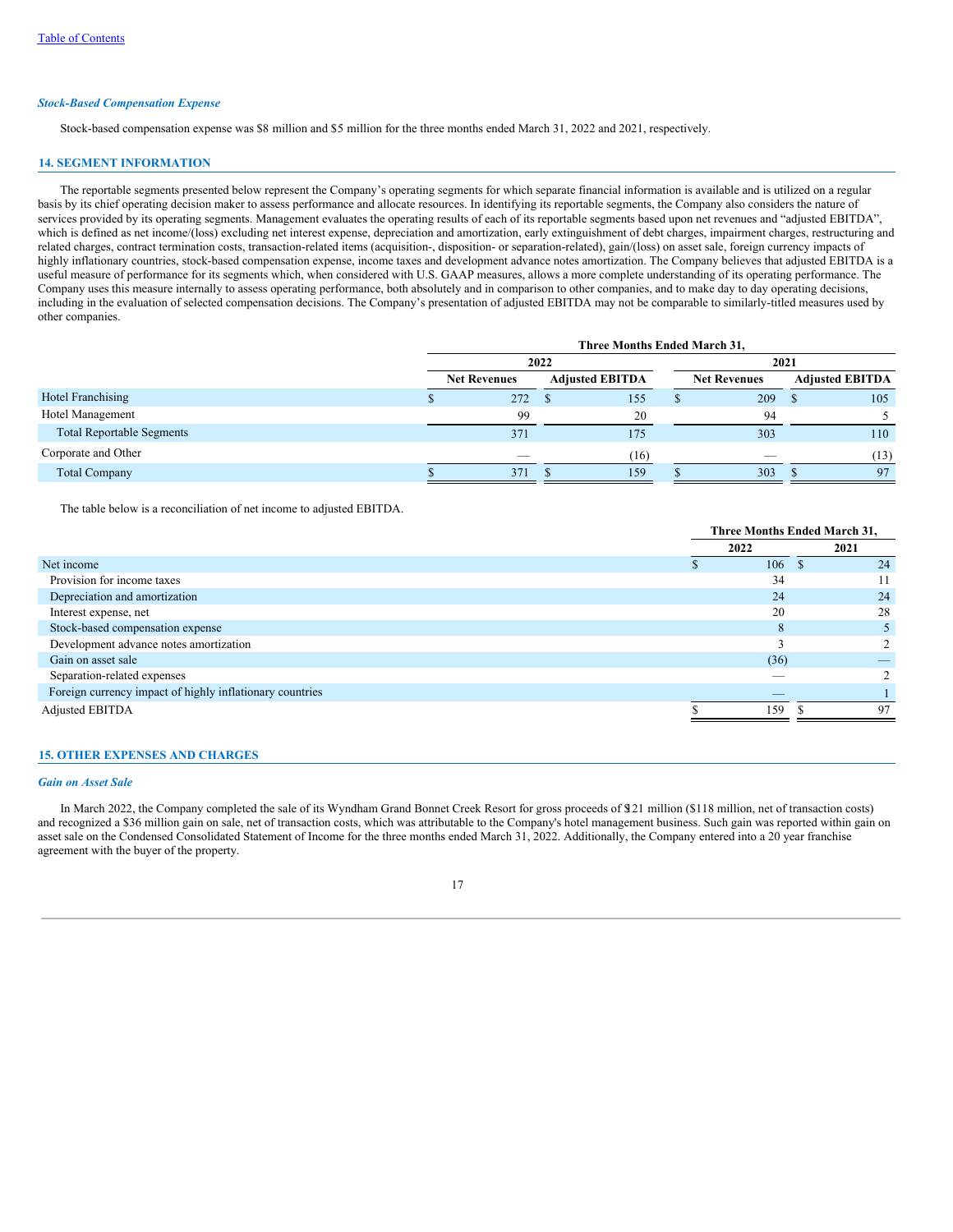## *Stock-Based Compensation Expense*

Stock-based compensation expense was \$8 million and \$5 million for the three months ended March 31, 2022 and 2021, respectively.

### **14. SEGMENT INFORMATION**

The reportable segments presented below represent the Company's operating segments for which separate financial information is available and is utilized on a regular basis by its chief operating decision maker to assess performance and allocate resources. In identifying its reportable segments, the Company also considers the nature of services provided by its operating segments. Management evaluates the operating results of each of its reportable segments based upon net revenues and "adjusted EBITDA", which is defined as net income/(loss) excluding net interest expense, depreciation and amortization, early extinguishment of debt charges, impairment charges, restructuring and related charges, contract termination costs, transaction-related items (acquisition-, disposition- or separation-related), gain/(loss) on asset sale, foreign currency impacts of highly inflationary countries, stock-based compensation expense, income taxes and development advance notes amortization. The Company believes that adjusted EBITDA is a useful measure of performance for its segments which, when considered with U.S. GAAP measures, allows a more complete understanding of its operating performance. The Company uses this measure internally to assess operating performance, both absolutely and in comparison to other companies, and to make day to day operating decisions, including in the evaluation of selected compensation decisions. The Company's presentation of adjusted EBITDA may not be comparable to similarly-titled measures used by other companies.

|                                  | Three Months Ended March 31, |                     |      |                        |  |                     |                        |      |  |  |
|----------------------------------|------------------------------|---------------------|------|------------------------|--|---------------------|------------------------|------|--|--|
|                                  |                              |                     | 2022 |                        |  | 2021                |                        |      |  |  |
|                                  |                              | <b>Net Revenues</b> |      | <b>Adjusted EBITDA</b> |  | <b>Net Revenues</b> | <b>Adjusted EBITDA</b> |      |  |  |
| Hotel Franchising                |                              | 272                 |      | 155                    |  | 209                 | - 8                    | 105  |  |  |
| Hotel Management                 |                              | 99                  |      | 20                     |  | 94                  |                        |      |  |  |
| <b>Total Reportable Segments</b> |                              | 371                 |      | 175                    |  | 303                 |                        | 110  |  |  |
| Corporate and Other              |                              | $\sim$              |      | (16)                   |  |                     |                        | (13) |  |  |
| <b>Total Company</b>             |                              | 371                 |      | 159                    |  | 303                 |                        | 97   |  |  |

The table below is a reconciliation of net income to adjusted EBITDA.

|                                                          | Three Months Ended March 31, |          |      |  |  |
|----------------------------------------------------------|------------------------------|----------|------|--|--|
|                                                          | 2022                         |          | 2021 |  |  |
| Net income                                               | 106                          | <b>S</b> | 24   |  |  |
| Provision for income taxes                               | 34                           |          |      |  |  |
| Depreciation and amortization                            | 24                           |          | 24   |  |  |
| Interest expense, net                                    | 20                           |          | 28   |  |  |
| Stock-based compensation expense                         | 8                            |          |      |  |  |
| Development advance notes amortization                   |                              |          |      |  |  |
| Gain on asset sale                                       | (36)                         |          |      |  |  |
| Separation-related expenses                              |                              |          |      |  |  |
| Foreign currency impact of highly inflationary countries | _                            |          |      |  |  |
| Adjusted EBITDA                                          | 159                          |          | 97   |  |  |

## **15. OTHER EXPENSES AND CHARGES**

#### *Gain on Asset Sale*

In March 2022, the Company completed the sale of its Wyndham Grand Bonnet Creek Resort for gross proceeds of \$121 million (\$118 million, net of transaction costs) and recognized a \$36 million gain on sale, net of transaction costs, which was attributable to the Company's hotel management business. Such gain was reported within gain on asset sale on the Condensed Consolidated Statement of Income for the three months ended March 31, 2022. Additionally, the Company entered into a 20 year franchise agreement with the buyer of the property.

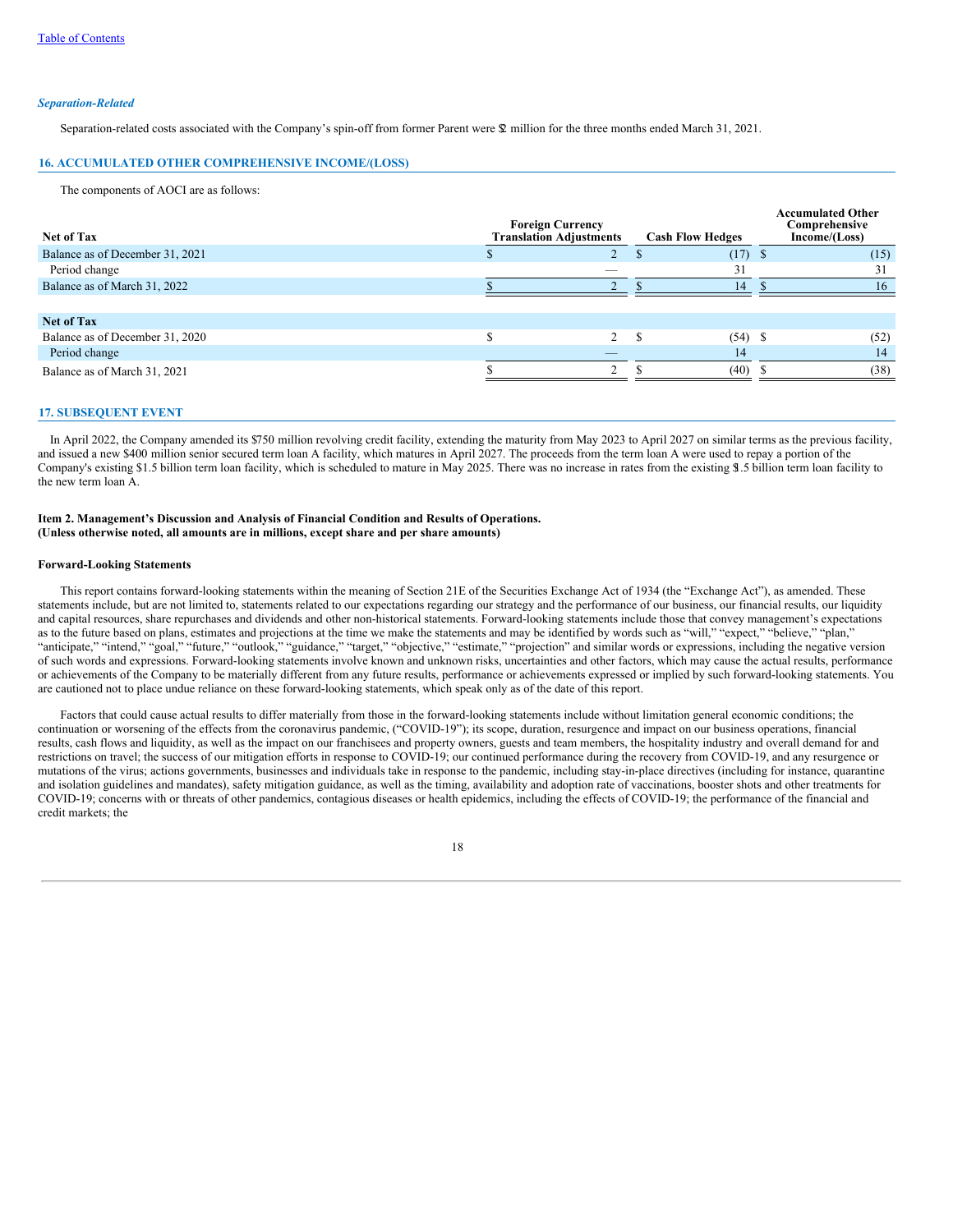#### *Separation-Related*

Separation-related costs associated with the Company's spin-off from former Parent were \$2 million for the three months ended March 31, 2021.

### **16. ACCUMULATED OTHER COMPREHENSIVE INCOME/(LOSS)**

The components of AOCI are as follows:

| Net of Tax                      | <b>Foreign Currency</b><br><b>Translation Adjustments</b> | <b>Cash Flow Hedges</b> | <b>Accumulated Other</b><br>Comprehensive<br>Income/(Loss) |
|---------------------------------|-----------------------------------------------------------|-------------------------|------------------------------------------------------------|
| Balance as of December 31, 2021 |                                                           | $(17)$ \$               | (15)                                                       |
| Period change                   |                                                           | 31                      | 31                                                         |
| Balance as of March 31, 2022    |                                                           | 14                      | 16                                                         |
|                                 |                                                           |                         |                                                            |
| <b>Net of Tax</b>               |                                                           |                         |                                                            |
| Balance as of December 31, 2020 | 2                                                         | £.<br>$(54)$ \$         | (52)                                                       |
| Period change                   |                                                           | 14                      | 14                                                         |
| Balance as of March 31, 2021    | ◠                                                         | (40)                    | (38)                                                       |

#### **17. SUBSEQUENT EVENT**

In April 2022, the Company amended its \$750 million revolving credit facility, extending the maturity from May 2023 to April 2027 on similar terms as the previous facility, and issued a new \$400 million senior secured term loan A facility, which matures in April 2027. The proceeds from the term loan A were used to repay a portion of the Company's existing \$1.5 billion term loan facility, which is scheduled to mature in May 2025. There was no increase in rates from the existing \$1.5 billion term loan facility to the new term loan A.

### <span id="page-19-0"></span>**Item 2. Management's Discussion and Analysis of Financial Condition and Results of Operations. (Unless otherwise noted, all amounts are in millions, except share and per share amounts)**

#### <span id="page-19-1"></span>**Forward-Looking Statements**

This report contains forward-looking statements within the meaning of Section 21E of the Securities Exchange Act of 1934 (the "Exchange Act"), as amended. These statements include, but are not limited to, statements related to our expectations regarding our strategy and the performance of our business, our financial results, our liquidity and capital resources, share repurchases and dividends and other non-historical statements. Forward-looking statements include those that convey management's expectations as to the future based on plans, estimates and projections at the time we make the statements and may be identified by words such as "will," "expect," "believe," "plan," "anticipate," "intend," "goal," "future," "outlook," "guidance," "target," "objective," "estimate," "projection" and similar words or expressions, including the negative version of such words and expressions. Forward-looking statements involve known and unknown risks, uncertainties and other factors, which may cause the actual results, performance or achievements of the Company to be materially different from any future results, performance or achievements expressed or implied by such forward-looking statements. You are cautioned not to place undue reliance on these forward-looking statements, which speak only as of the date of this report.

Factors that could cause actual results to differ materially from those in the forward-looking statements include without limitation general economic conditions; the continuation or worsening of the effects from the coronavirus pandemic, ("COVID-19"); its scope, duration, resurgence and impact on our business operations, financial results, cash flows and liquidity, as well as the impact on our franchisees and property owners, guests and team members, the hospitality industry and overall demand for and restrictions on travel; the success of our mitigation efforts in response to COVID-19; our continued performance during the recovery from COVID-19, and any resurgence or mutations of the virus; actions governments, businesses and individuals take in response to the pandemic, including stay-in-place directives (including for instance, quarantine and isolation guidelines and mandates), safety mitigation guidance, as well as the timing, availability and adoption rate of vaccinations, booster shots and other treatments for COVID-19; concerns with or threats of other pandemics, contagious diseases or health epidemics, including the effects of COVID-19; the performance of the financial and credit markets; the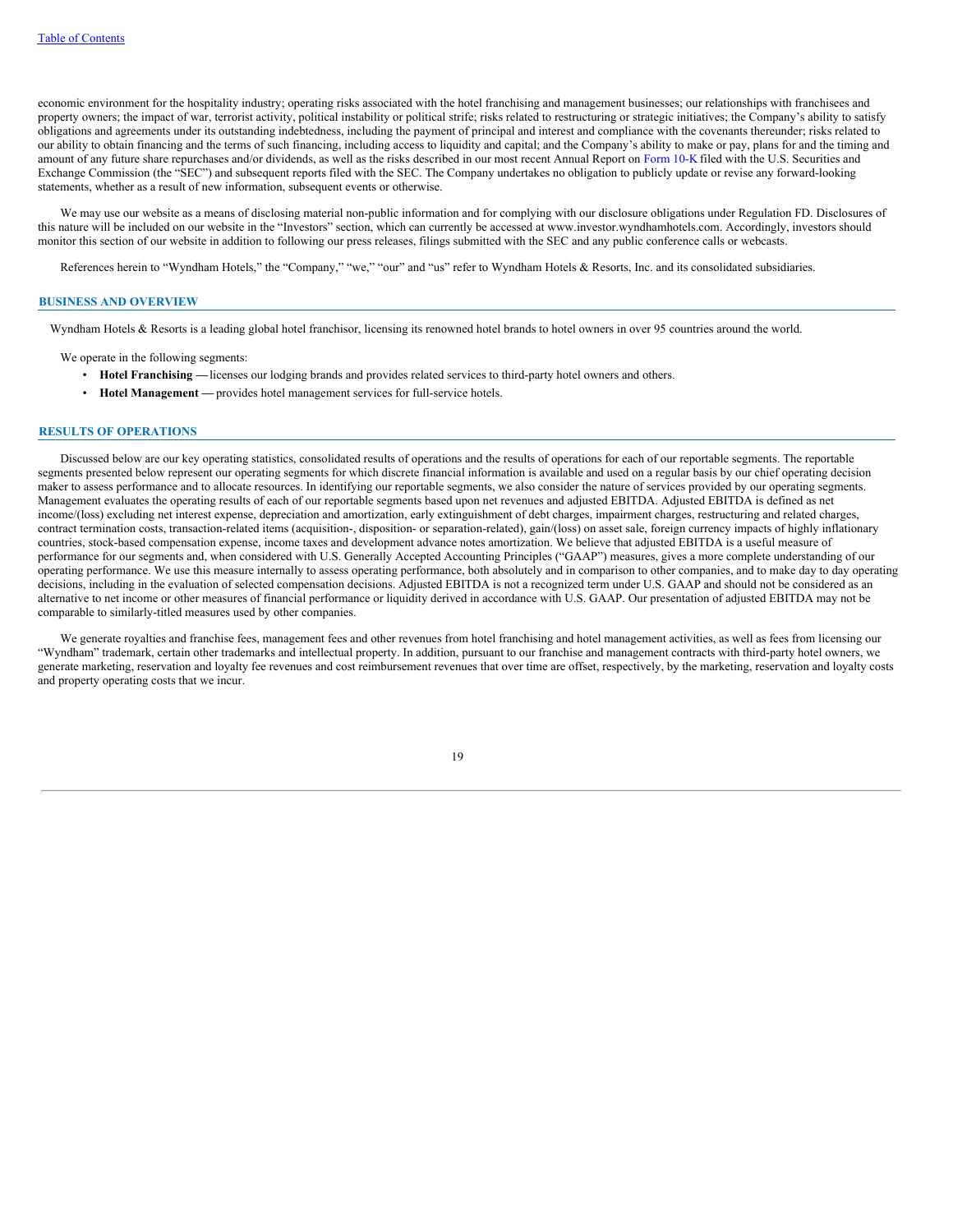economic environment for the hospitality industry; operating risks associated with the hotel franchising and management businesses; our relationships with franchisees and property owners; the impact of war, terrorist activity, political instability or political strife; risks related to restructuring or strategic initiatives; the Company's ability to satisfy obligations and agreements under its outstanding indebtedness, including the payment of principal and interest and compliance with the covenants thereunder; risks related to our ability to obtain financing and the terms of such financing, including access to liquidity and capital; and the Company's ability to make or pay, plans for and the timing and amount of any future share repurchases and/or dividends, as well as the risks described in our most recent Annual Report on [Form](https://www.sec.gov/Archives/edgar/data/1722684/000172268422000005/wh-20211231.htm) 10-K filed with the U.S. Securities and Exchange Commission (the "SEC") and subsequent reports filed with the SEC. The Company undertakes no obligation to publicly update or revise any forward-looking statements, whether as a result of new information, subsequent events or otherwise.

We may use our website as a means of disclosing material non-public information and for complying with our disclosure obligations under Regulation FD. Disclosures of this nature will be included on our website in the "Investors" section, which can currently be accessed at www.investor.wyndhamhotels.com. Accordingly, investors should monitor this section of our website in addition to following our press releases, filings submitted with the SEC and any public conference calls or webcasts.

References herein to "Wyndham Hotels," the "Company," "we," "our" and "us" refer to Wyndham Hotels & Resorts, Inc. and its consolidated subsidiaries.

### **BUSINESS AND OVERVIEW**

Wyndham Hotels & Resorts is a leading global hotel franchisor, licensing its renowned hotel brands to hotel owners in over 95 countries around the world.

We operate in the following segments:

- **Hotel Franchising —**licenses our lodging brands and provides related services to third-party hotel owners and others.
- **Hotel Management —** provides hotel management services for full-service hotels.

#### **RESULTS OF OPERATIONS**

Discussed below are our key operating statistics, consolidated results of operations and the results of operations for each of our reportable segments. The reportable segments presented below represent our operating segments for which discrete financial information is available and used on a regular basis by our chief operating decision maker to assess performance and to allocate resources. In identifying our reportable segments, we also consider the nature of services provided by our operating segments. Management evaluates the operating results of each of our reportable segments based upon net revenues and adjusted EBITDA. Adjusted EBITDA is defined as net income/(loss) excluding net interest expense, depreciation and amortization, early extinguishment of debt charges, impairment charges, restructuring and related charges, contract termination costs, transaction-related items (acquisition-, disposition- or separation-related), gain/(loss) on asset sale, foreign currency impacts of highly inflationary countries, stock-based compensation expense, income taxes and development advance notes amortization. We believe that adjusted EBITDA is a useful measure of performance for our segments and, when considered with U.S. Generally Accepted Accounting Principles ("GAAP") measures, gives a more complete understanding of our operating performance. We use this measure internally to assess operating performance, both absolutely and in comparison to other companies, and to make day to day operating decisions, including in the evaluation of selected compensation decisions. Adjusted EBITDA is not a recognized term under U.S. GAAP and should not be considered as an alternative to net income or other measures of financial performance or liquidity derived in accordance with U.S. GAAP. Our presentation of adjusted EBITDA may not be comparable to similarly-titled measures used by other companies.

We generate royalties and franchise fees, management fees and other revenues from hotel franchising and hotel management activities, as well as fees from licensing our "Wyndham" trademark, certain other trademarks and intellectual property. In addition, pursuant to our franchise and management contracts with third-party hotel owners, we generate marketing, reservation and loyalty fee revenues and cost reimbursement revenues that over time are offset, respectively, by the marketing, reservation and loyalty costs and property operating costs that we incur.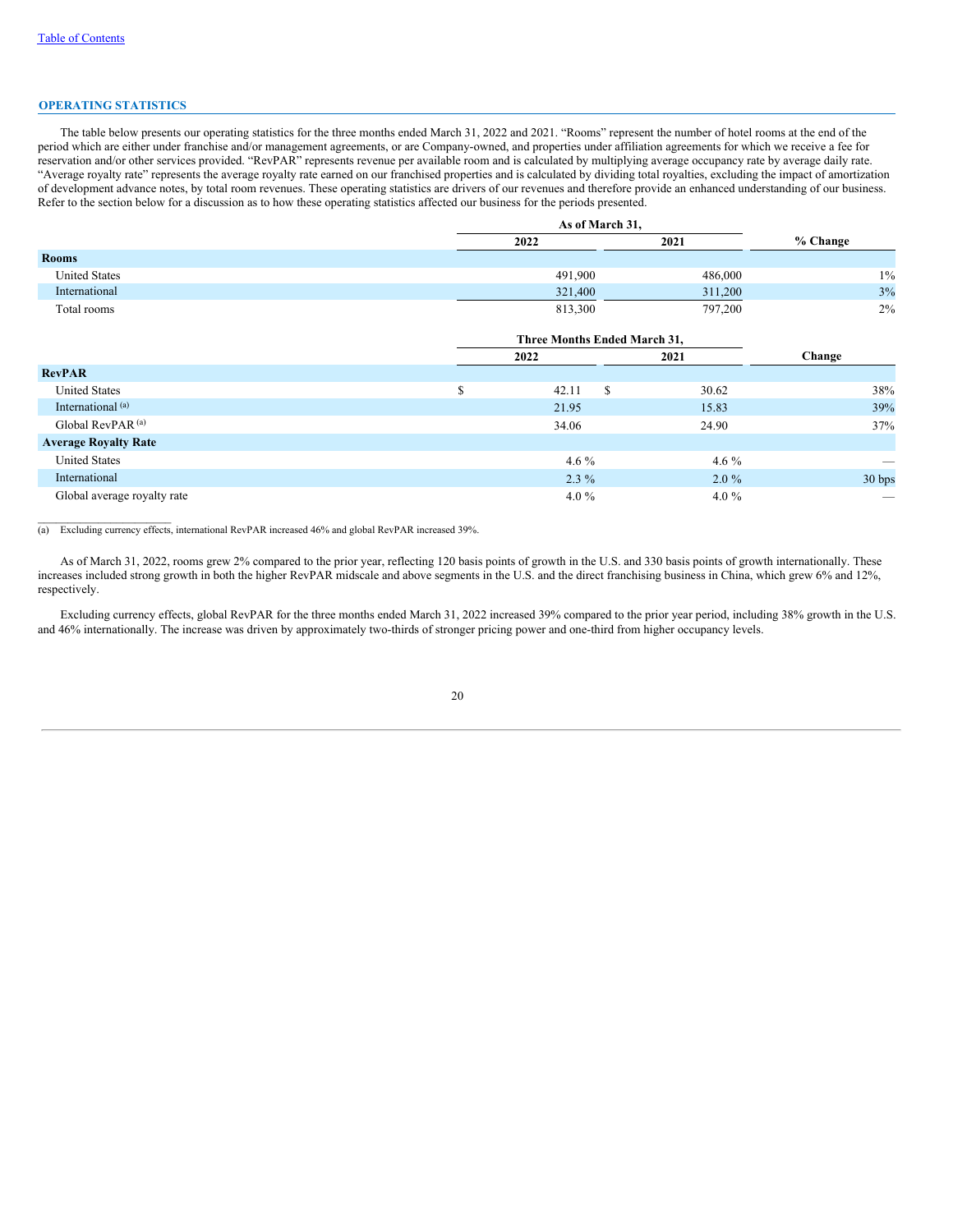#### **OPERATING STATISTICS**

The table below presents our operating statistics for the three months ended March 31, 2022 and 2021. "Rooms" represent the number of hotel rooms at the end of the period which are either under franchise and/or management agreements, or are Company-owned, and properties under affiliation agreements for which we receive a fee for reservation and/or other services provided. "RevPAR" represents revenue per available room and is calculated by multiplying average occupancy rate by average daily rate. "Average royalty rate" represents the average royalty rate earned on our franchised properties and is calculated by dividing total royalties, excluding the impact of amortization of development advance notes, by total room revenues. These operating statistics are drivers of our revenues and therefore provide an enhanced understanding of our business. Refer to the section below for a discussion as to how these operating statistics affected our business for the periods presented.

|                      |         | As of March 31, |          |  |  |  |  |
|----------------------|---------|-----------------|----------|--|--|--|--|
|                      | 2022    | 2021            | % Change |  |  |  |  |
| <b>Rooms</b>         |         |                 |          |  |  |  |  |
| <b>United States</b> | 491,900 | 486,000         | $1\%$    |  |  |  |  |
| International        | 321,400 | 311,200         | 3%       |  |  |  |  |
| Total rooms          | 813,300 | 797,200         | $2\%$    |  |  |  |  |

|                              | Three Months Ended March 31, |         |                          |  |  |  |  |
|------------------------------|------------------------------|---------|--------------------------|--|--|--|--|
|                              | 2022                         | 2021    | Change                   |  |  |  |  |
| <b>RevPAR</b>                |                              |         |                          |  |  |  |  |
| <b>United States</b>         | 42.11<br>S                   | 30.62   | 38%                      |  |  |  |  |
| International <sup>(a)</sup> | 21.95                        | 15.83   | 39%                      |  |  |  |  |
| Global RevPAR <sup>(a)</sup> | 34.06                        | 24.90   | 37%                      |  |  |  |  |
| <b>Average Royalty Rate</b>  |                              |         |                          |  |  |  |  |
| <b>United States</b>         | 4.6 $%$                      | 4.6 $%$ |                          |  |  |  |  |
| International                | $2.3\%$                      | $2.0\%$ | 30 bps                   |  |  |  |  |
| Global average royalty rate  | 4.0 $\%$                     | 4.0 $%$ | $\overline{\phantom{a}}$ |  |  |  |  |

(a) Excluding currency effects, international RevPAR increased 46% and global RevPAR increased 39%.

As of March 31, 2022, rooms grew 2% compared to the prior year, reflecting 120 basis points of growth in the U.S. and 330 basis points of growth internationally. These increases included strong growth in both the higher RevPAR midscale and above segments in the U.S. and the direct franchising business in China, which grew 6% and 12%, respectively.

Excluding currency effects, global RevPAR for the three months ended March 31, 2022 increased 39% compared to the prior year period, including 38% growth in the U.S. and 46% internationally. The increase was driven by approximately two-thirds of stronger pricing power and one-third from higher occupancy levels.

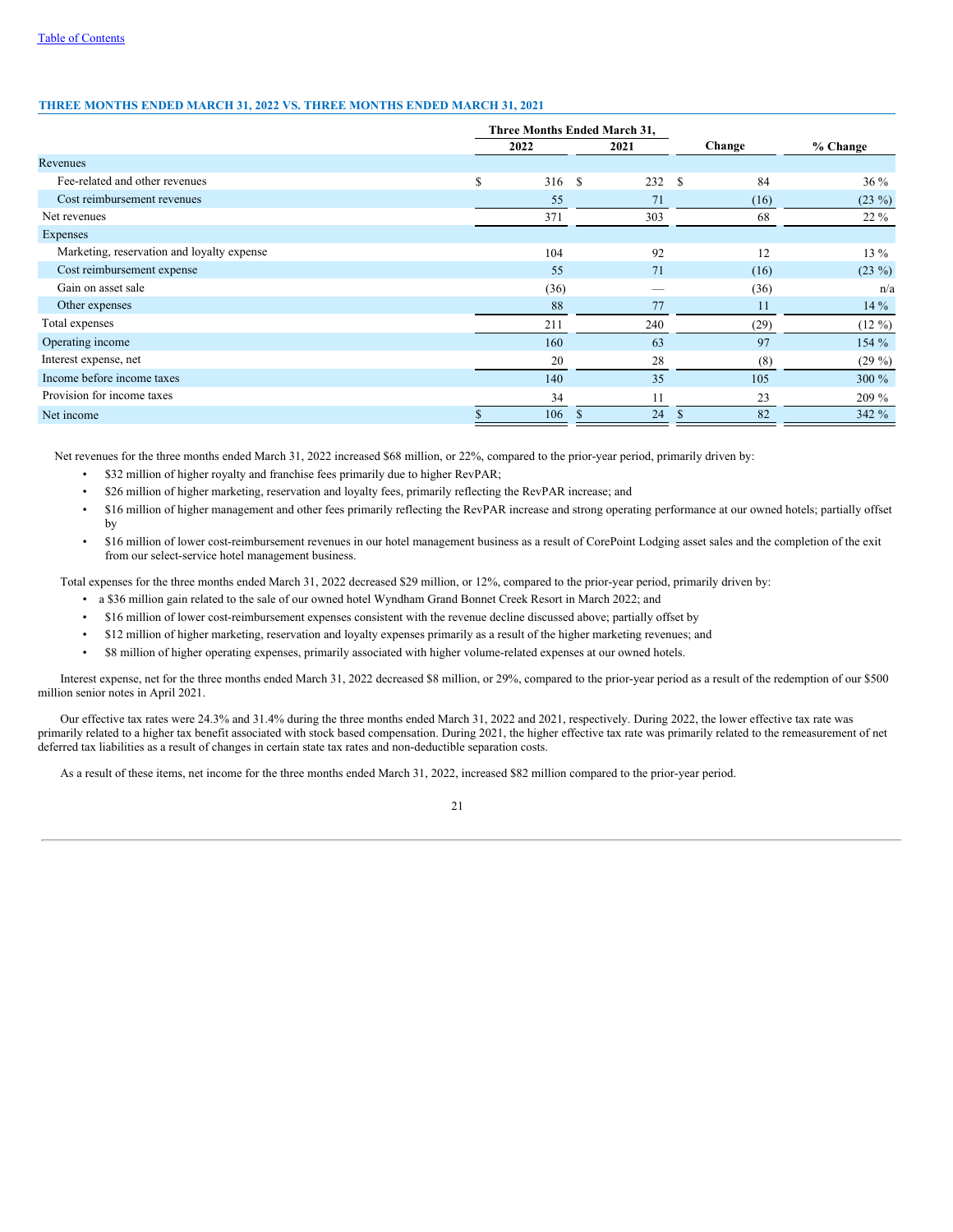## **THREE MONTHS ENDED MARCH 31, 2022 VS. THREE MONTHS ENDED MARCH 31, 2021**

|                                            |              | Three Months Ended March 31, |            |                    |
|--------------------------------------------|--------------|------------------------------|------------|--------------------|
|                                            | 2022         | 2021                         | Change     | % Change           |
| Revenues                                   |              |                              |            |                    |
| Fee-related and other revenues             | \$<br>316 \$ | 232                          | 84<br>- \$ | 36 %               |
| Cost reimbursement revenues                | 55           | 71                           | (16)       | $(23\%)$           |
| Net revenues                               | 371          | 303                          | 68         | $22\%$             |
| Expenses                                   |              |                              |            |                    |
| Marketing, reservation and loyalty expense | 104          | 92                           | 12         | 13 %               |
| Cost reimbursement expense                 | 55           | 71                           | (16)       | $(23\%)$           |
| Gain on asset sale                         | (36)         |                              | (36)       | n/a                |
| Other expenses                             | 88           | 77                           | 11         | $14\%$             |
| Total expenses                             | 211          | 240                          | (29)       | $(12 \frac{9}{6})$ |
| Operating income                           | 160          | 63                           | 97         | 154%               |
| Interest expense, net                      | 20           | 28                           | (8)        | $(29\%)$           |
| Income before income taxes                 | 140          | 35                           | 105        | $300\%$            |
| Provision for income taxes                 | 34           | 11                           | 23         | $209\%$            |
| Net income                                 | 106          | 24<br><b>S</b>               | 82         | 342 %              |

Net revenues for the three months ended March 31, 2022 increased \$68 million, or 22%, compared to the prior-year period, primarily driven by:

- \$32 million of higher royalty and franchise fees primarily due to higher RevPAR;
- \$26 million of higher marketing, reservation and loyalty fees, primarily reflecting the RevPAR increase; and
- \$16 million of higher management and other fees primarily reflecting the RevPAR increase and strong operating performance at our owned hotels; partially offset by
- \$16 million of lower cost-reimbursement revenues in our hotel management business as a result of CorePoint Lodging asset sales and the completion of the exit from our select-service hotel management business.

Total expenses for the three months ended March 31, 2022 decreased \$29 million, or 12%, compared to the prior-year period, primarily driven by:

- a \$36 million gain related to the sale of our owned hotel Wyndham Grand Bonnet Creek Resort in March 2022; and
- \$16 million of lower cost-reimbursement expenses consistent with the revenue decline discussed above; partially offset by
- \$12 million of higher marketing, reservation and loyalty expenses primarily as a result of the higher marketing revenues; and
- \$8 million of higher operating expenses, primarily associated with higher volume-related expenses at our owned hotels.

Interest expense, net for the three months ended March 31, 2022 decreased \$8 million, or 29%, compared to the prior-year period as a result of the redemption of our \$500 million senior notes in April 2021.

Our effective tax rates were 24.3% and 31.4% during the three months ended March 31, 2022 and 2021, respectively. During 2022, the lower effective tax rate was primarily related to a higher tax benefit associated with stock based compensation. During 2021, the higher effective tax rate was primarily related to the remeasurement of net deferred tax liabilities as a result of changes in certain state tax rates and non-deductible separation costs.

As a result of these items, net income for the three months ended March 31, 2022, increased \$82 million compared to the prior-year period.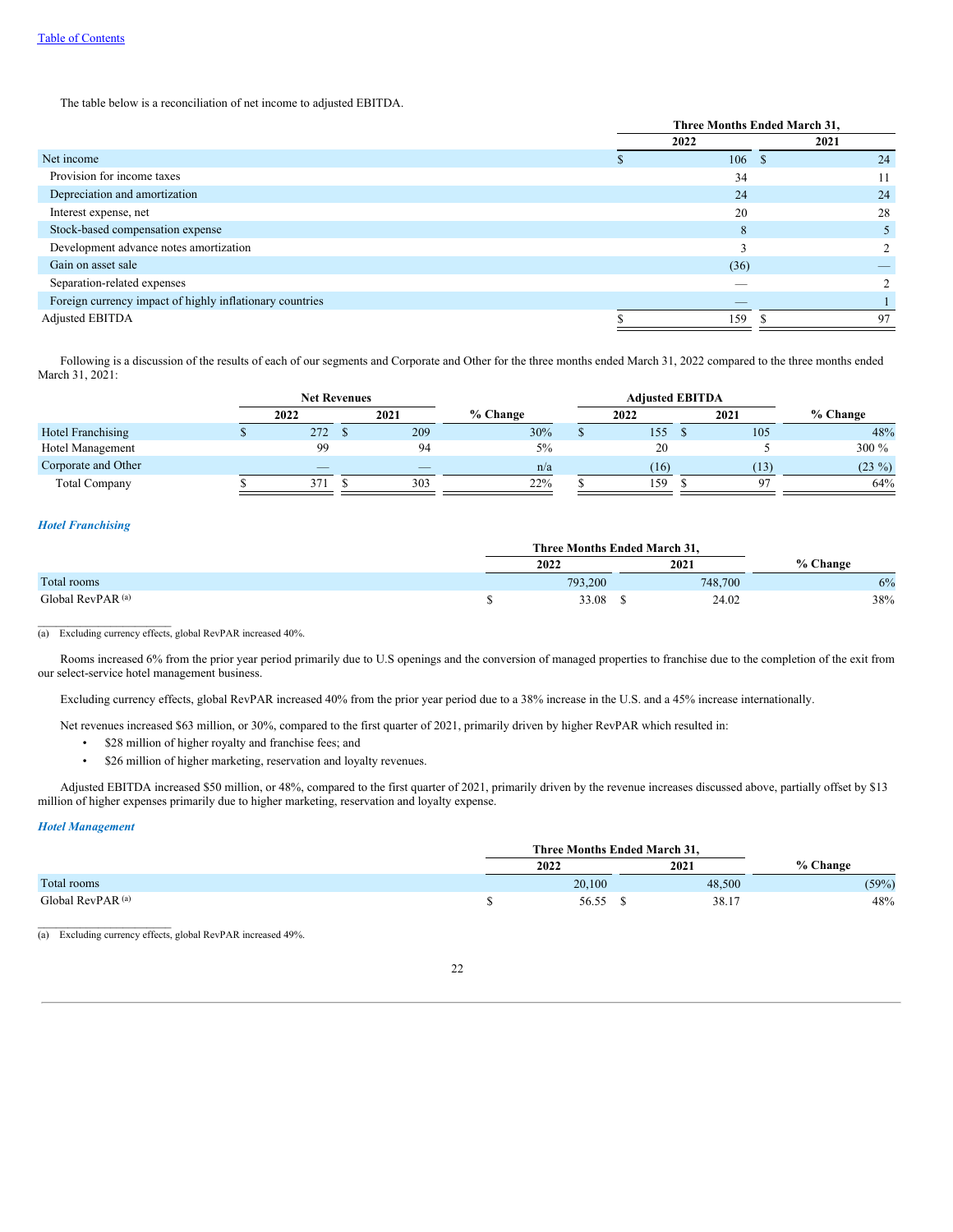The table below is a reconciliation of net income to adjusted EBITDA.

|                                                          | Three Months Ended March 31, |      |      |    |  |  |
|----------------------------------------------------------|------------------------------|------|------|----|--|--|
|                                                          |                              | 2022 | 2021 |    |  |  |
| Net income                                               |                              | 106  | -8   | 24 |  |  |
| Provision for income taxes                               |                              | 34   |      | 11 |  |  |
| Depreciation and amortization                            |                              | 24   |      | 24 |  |  |
| Interest expense, net                                    |                              | 20   |      | 28 |  |  |
| Stock-based compensation expense                         |                              | 8    |      |    |  |  |
| Development advance notes amortization                   |                              |      |      |    |  |  |
| Gain on asset sale                                       |                              | (36) |      |    |  |  |
| Separation-related expenses                              |                              |      |      |    |  |  |
| Foreign currency impact of highly inflationary countries |                              |      |      |    |  |  |
| Adjusted EBITDA                                          |                              | 159  |      | 97 |  |  |

Following is a discussion of the results of each of our segments and Corporate and Other for the three months ended March 31, 2022 compared to the three months ended March 31, 2021:

|                          |      |                          | <b>Net Revenues</b><br><b>Adjusted EBITDA</b> |                          |     |  |            |  |      |          |      |            |  |
|--------------------------|------|--------------------------|-----------------------------------------------|--------------------------|-----|--|------------|--|------|----------|------|------------|--|
|                          | 2022 |                          | 2021                                          |                          |     |  | $%$ Change |  | 2022 |          | 2021 | $%$ Change |  |
| <b>Hotel Franchising</b> |      | 272                      |                                               | 209                      | 30% |  | 155        |  | 105  | 48%      |      |            |  |
| Hotel Management         |      | 99                       |                                               | 94                       | 5%  |  | 20         |  |      | 300 %    |      |            |  |
| Corporate and Other      |      | $\overline{\phantom{a}}$ |                                               | $\overline{\phantom{a}}$ | n/a |  | (16)       |  | (13) | $(23\%)$ |      |            |  |
| <b>Total Company</b>     |      | 371                      |                                               | 303                      | 22% |  | 159        |  | o٦   | 64%      |      |            |  |

## *Hotel Franchising*

|                              | Three Months Ended March 31. |         |          |
|------------------------------|------------------------------|---------|----------|
|                              | 2022                         | 2021    | % Change |
| Total rooms                  | 793,200                      | 748,700 | 6%       |
| Global RevPAR <sup>(a)</sup> | 33.08                        | 24.02   | 38%      |

(a) Excluding currency effects, global RevPAR increased 40%.

Rooms increased 6% from the prior year period primarily due to U.S openings and the conversion of managed properties to franchise due to the completion of the exit from our select-service hotel management business.

Excluding currency effects, global RevPAR increased 40% from the prior year period due to a 38% increase in the U.S. and a 45% increase internationally.

Net revenues increased \$63 million, or 30%, compared to the first quarter of 2021, primarily driven by higher RevPAR which resulted in:

- \$28 million of higher royalty and franchise fees; and
- \$26 million of higher marketing, reservation and loyalty revenues.

Adjusted EBITDA increased \$50 million, or 48%, compared to the first quarter of 2021, primarily driven by the revenue increases discussed above, partially offset by \$13 million of higher expenses primarily due to higher marketing, reservation and loyalty expense.

## *Hotel Management*

 $\mathcal{L}=\mathcal{L}=\mathcal{L}=\mathcal{L}=\mathcal{L}=\mathcal{L}=\mathcal{L}=\mathcal{L}=\mathcal{L}=\mathcal{L}=\mathcal{L}=\mathcal{L}=\mathcal{L}=\mathcal{L}=\mathcal{L}=\mathcal{L}=\mathcal{L}=\mathcal{L}=\mathcal{L}=\mathcal{L}=\mathcal{L}=\mathcal{L}=\mathcal{L}=\mathcal{L}=\mathcal{L}=\mathcal{L}=\mathcal{L}=\mathcal{L}=\mathcal{L}=\mathcal{L}=\mathcal{L}=\mathcal{L}=\mathcal{L}=\mathcal{L}=\mathcal{L}=\mathcal{L}=\mathcal{$ 

|                              | Three Months Ended March 31. |        |          |
|------------------------------|------------------------------|--------|----------|
|                              | 2022                         | 2021   | % Change |
| Total rooms                  | 20.100                       | 48.500 | (59%)    |
| Global RevPAR <sup>(a)</sup> | 56.55                        | 38.17  | 48%      |

(a) Excluding currency effects, global RevPAR increased 49%.

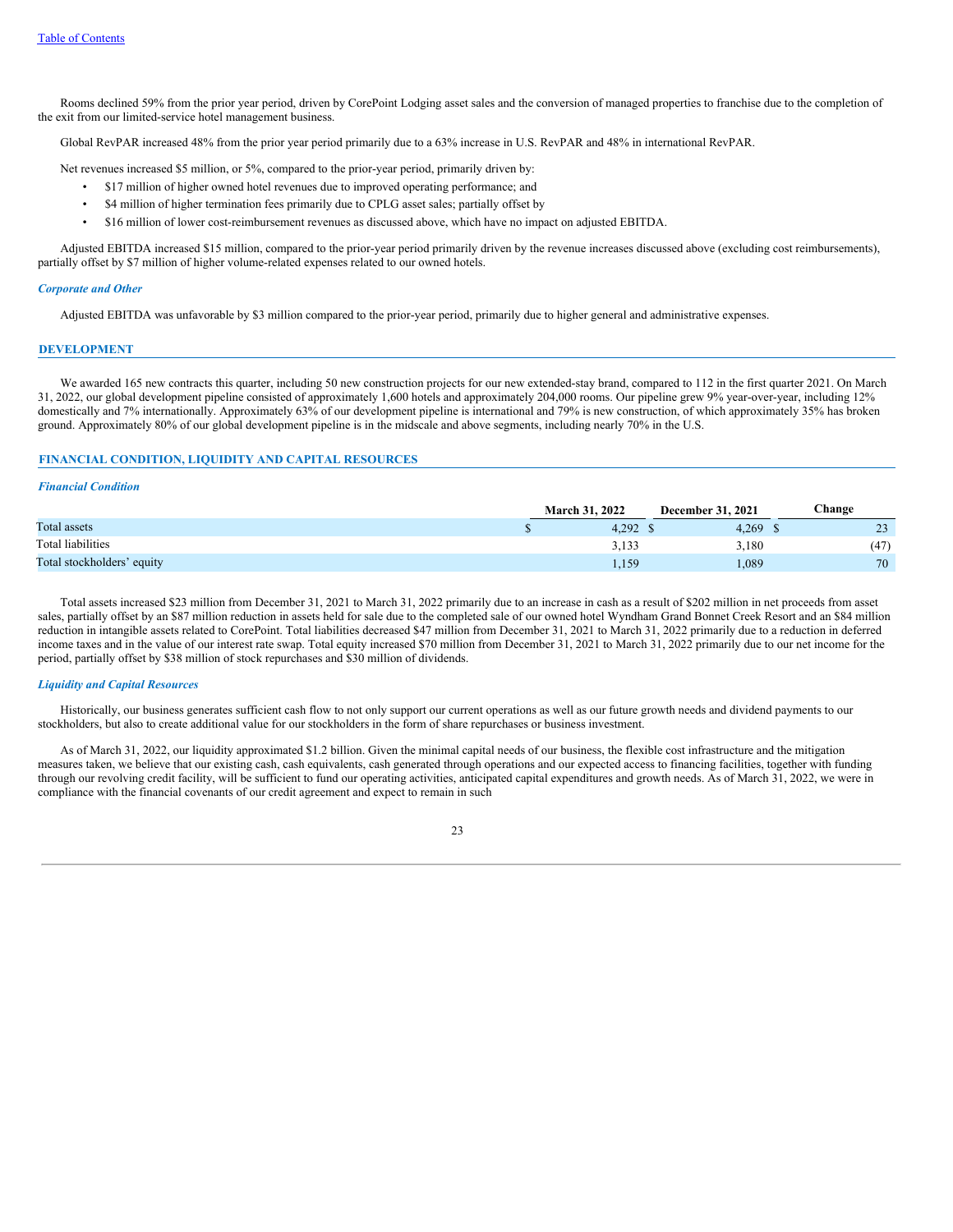Rooms declined 59% from the prior year period, driven by CorePoint Lodging asset sales and the conversion of managed properties to franchise due to the completion of the exit from our limited-service hotel management business.

Global RevPAR increased 48% from the prior year period primarily due to a 63% increase in U.S. RevPAR and 48% in international RevPAR.

Net revenues increased \$5 million, or 5%, compared to the prior-year period, primarily driven by:

- \$17 million of higher owned hotel revenues due to improved operating performance; and
- \$4 million of higher termination fees primarily due to CPLG asset sales; partially offset by
- \$16 million of lower cost-reimbursement revenues as discussed above, which have no impact on adjusted EBITDA.

Adjusted EBITDA increased \$15 million, compared to the prior-year period primarily driven by the revenue increases discussed above (excluding cost reimbursements), partially offset by \$7 million of higher volume-related expenses related to our owned hotels.

#### *Corporate and Other*

Adjusted EBITDA was unfavorable by \$3 million compared to the prior-year period, primarily due to higher general and administrative expenses.

### **DEVELOPMENT**

We awarded 165 new contracts this quarter, including 50 new construction projects for our new extended-stay brand, compared to 112 in the first quarter 2021. On March 31, 2022, our global development pipeline consisted of approximately 1,600 hotels and approximately 204,000 rooms. Our pipeline grew 9% year-over-year, including 12% domestically and 7% internationally. Approximately 63% of our development pipeline is international and 79% is new construction, of which approximately 35% has broken ground. Approximately 80% of our global development pipeline is in the midscale and above segments, including nearly 70% in the U.S.

# **FINANCIAL CONDITION, LIQUIDITY AND CAPITAL RESOURCES**

# *Financial Condition*

|                            | <b>March 31, 2022</b> | December 31, 2021 | Change |
|----------------------------|-----------------------|-------------------|--------|
| Total assets               | 4.292                 | 4.269             | 23     |
| Total liabilities          | 3,133                 | 3,180             | (47)   |
| Total stockholders' equity | 150<br>1,10,          | 1,089             | 70     |

Total assets increased \$23 million from December 31, 2021 to March 31, 2022 primarily due to an increase in cash as a result of \$202 million in net proceeds from asset sales, partially offset by an \$87 million reduction in assets held for sale due to the completed sale of our owned hotel Wyndham Grand Bonnet Creek Resort and an \$84 million reduction in intangible assets related to CorePoint. Total liabilities decreased \$47 million from December 31, 2021 to March 31, 2022 primarily due to a reduction in deferred income taxes and in the value of our interest rate swap. Total equity increased \$70 million from December 31, 2021 to March 31, 2022 primarily due to our net income for the period, partially offset by \$38 million of stock repurchases and \$30 million of dividends.

#### *Liquidity and Capital Resources*

Historically, our business generates sufficient cash flow to not only support our current operations as well as our future growth needs and dividend payments to our stockholders, but also to create additional value for our stockholders in the form of share repurchases or business investment.

As of March 31, 2022, our liquidity approximated \$1.2 billion. Given the minimal capital needs of our business, the flexible cost infrastructure and the mitigation measures taken, we believe that our existing cash, cash equivalents, cash generated through operations and our expected access to financing facilities, together with funding through our revolving credit facility, will be sufficient to fund our operating activities, anticipated capital expenditures and growth needs. As of March 31, 2022, we were in compliance with the financial covenants of our credit agreement and expect to remain in such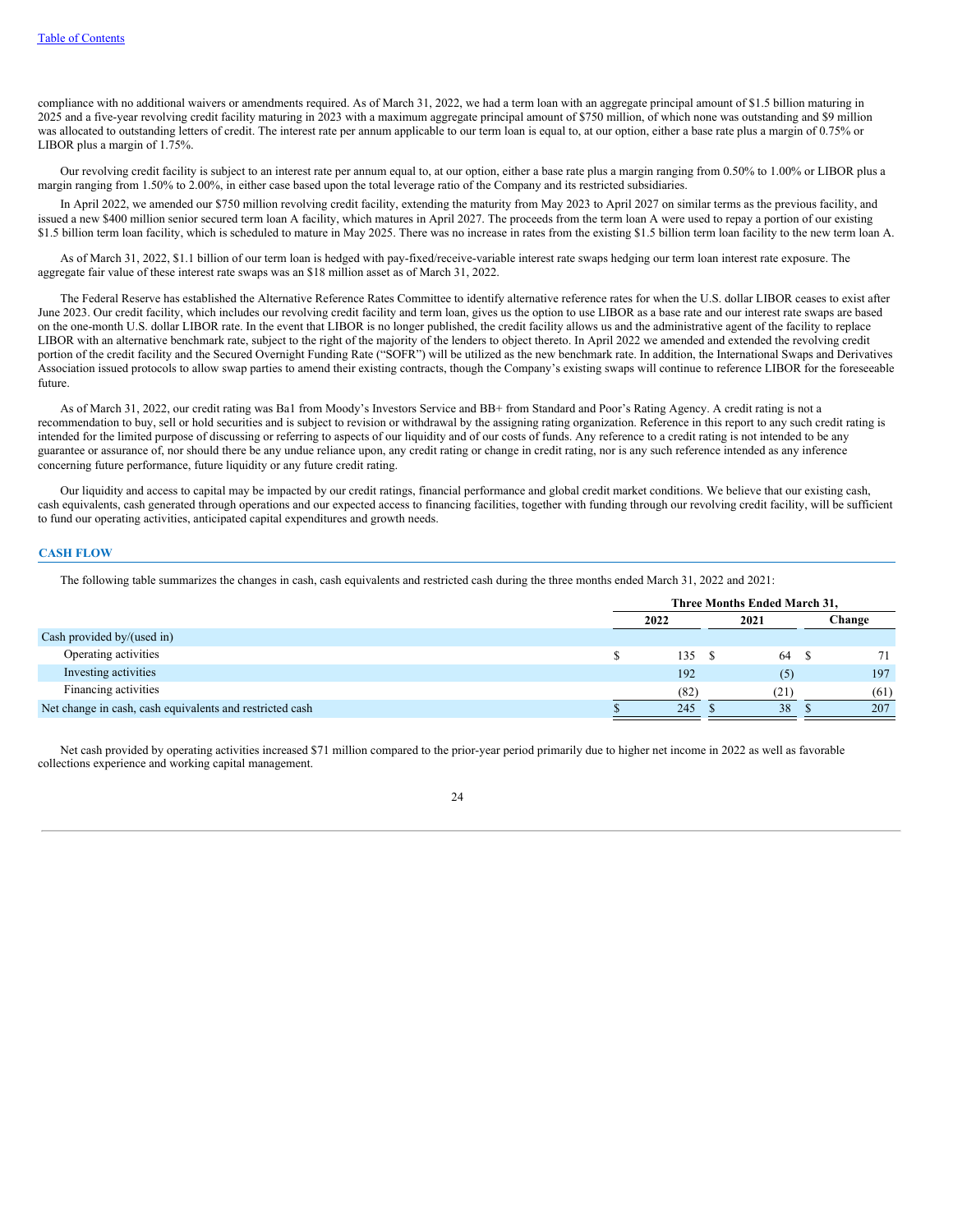compliance with no additional waivers or amendments required. As of March 31, 2022, we had a term loan with an aggregate principal amount of \$1.5 billion maturing in 2025 and a five-year revolving credit facility maturing in 2023 with a maximum aggregate principal amount of \$750 million, of which none was outstanding and \$9 million was allocated to outstanding letters of credit. The interest rate per annum applicable to our term loan is equal to, at our option, either a base rate plus a margin of 0.75% or LIBOR plus a margin of 1.75%.

Our revolving credit facility is subject to an interest rate per annum equal to, at our option, either a base rate plus a margin ranging from 0.50% to 1.00% or LIBOR plus a margin ranging from 1.50% to 2.00%, in either case based upon the total leverage ratio of the Company and its restricted subsidiaries.

In April 2022, we amended our \$750 million revolving credit facility, extending the maturity from May 2023 to April 2027 on similar terms as the previous facility, and issued a new \$400 million senior secured term loan A facility, which matures in April 2027. The proceeds from the term loan A were used to repay a portion of our existing \$1.5 billion term loan facility, which is scheduled to mature in May 2025. There was no increase in rates from the existing \$1.5 billion term loan facility to the new term loan A.

As of March 31, 2022, \$1.1 billion of our term loan is hedged with pay-fixed/receive-variable interest rate swaps hedging our term loan interest rate exposure. The aggregate fair value of these interest rate swaps was an \$18 million asset as of March 31, 2022.

The Federal Reserve has established the Alternative Reference Rates Committee to identify alternative reference rates for when the U.S. dollar LIBOR ceases to exist after June 2023. Our credit facility, which includes our revolving credit facility and term loan, gives us the option to use LIBOR as a base rate and our interest rate swaps are based on the one-month U.S. dollar LIBOR rate. In the event that LIBOR is no longer published, the credit facility allows us and the administrative agent of the facility to replace LIBOR with an alternative benchmark rate, subject to the right of the majority of the lenders to object thereto. In April 2022 we amended and extended the revolving credit portion of the credit facility and the Secured Overnight Funding Rate ("SOFR") will be utilized as the new benchmark rate. In addition, the International Swaps and Derivatives Association issued protocols to allow swap parties to amend their existing contracts, though the Company's existing swaps will continue to reference LIBOR for the foreseeable future.

As of March 31, 2022, our credit rating was Ba1 from Moody's Investors Service and BB+ from Standard and Poor's Rating Agency. A credit rating is not a recommendation to buy, sell or hold securities and is subject to revision or withdrawal by the assigning rating organization. Reference in this report to any such credit rating is intended for the limited purpose of discussing or referring to aspects of our liquidity and of our costs of funds. Any reference to a credit rating is not intended to be any guarantee or assurance of, nor should there be any undue reliance upon, any credit rating or change in credit rating, nor is any such reference intended as any inference concerning future performance, future liquidity or any future credit rating.

Our liquidity and access to capital may be impacted by our credit ratings, financial performance and global credit market conditions. We believe that our existing cash, cash equivalents, cash generated through operations and our expected access to financing facilities, together with funding through our revolving credit facility, will be sufficient to fund our operating activities, anticipated capital expenditures and growth needs.

## **CASH FLOW**

The following table summarizes the changes in cash, cash equivalents and restricted cash during the three months ended March 31, 2022 and 2021:

|                                                          | Three Months Ended March 31, |      |  |      |  |        |
|----------------------------------------------------------|------------------------------|------|--|------|--|--------|
|                                                          |                              | 2022 |  | 2021 |  | Change |
| Cash provided by/(used in)                               |                              |      |  |      |  |        |
| Operating activities                                     |                              | 135  |  | 64   |  | 71     |
| Investing activities                                     |                              | 192  |  | (5)  |  | 197    |
| Financing activities                                     |                              | (82) |  | (21) |  | (61)   |
| Net change in cash, cash equivalents and restricted cash |                              | 245  |  | 38   |  | 207    |

Net cash provided by operating activities increased \$71 million compared to the prior-year period primarily due to higher net income in 2022 as well as favorable collections experience and working capital management.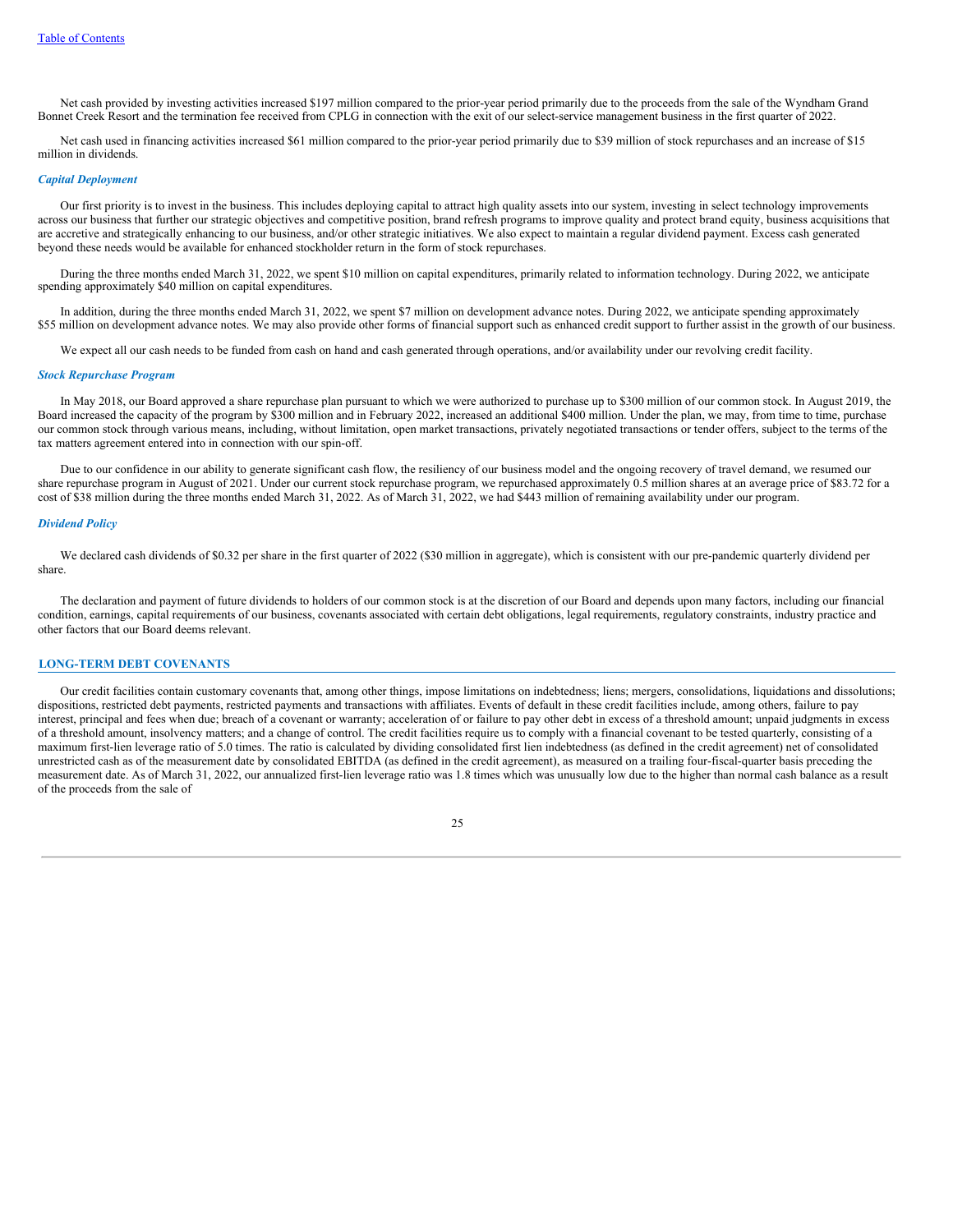Net cash provided by investing activities increased \$197 million compared to the prior-year period primarily due to the proceeds from the sale of the Wyndham Grand Bonnet Creek Resort and the termination fee received from CPLG in connection with the exit of our select-service management business in the first quarter of 2022.

Net cash used in financing activities increased \$61 million compared to the prior-year period primarily due to \$39 million of stock repurchases and an increase of \$15 million in dividends.

#### *Capital Deployment*

Our first priority is to invest in the business. This includes deploying capital to attract high quality assets into our system, investing in select technology improvements across our business that further our strategic objectives and competitive position, brand refresh programs to improve quality and protect brand equity, business acquisitions that are accretive and strategically enhancing to our business, and/or other strategic initiatives. We also expect to maintain a regular dividend payment. Excess cash generated beyond these needs would be available for enhanced stockholder return in the form of stock repurchases.

During the three months ended March 31, 2022, we spent \$10 million on capital expenditures, primarily related to information technology. During 2022, we anticipate spending approximately \$40 million on capital expenditures.

In addition, during the three months ended March 31, 2022, we spent \$7 million on development advance notes. During 2022, we anticipate spending approximately \$55 million on development advance notes. We may also provide other forms of financial support such as enhanced credit support to further assist in the growth of our business.

We expect all our cash needs to be funded from cash on hand and cash generated through operations, and/or availability under our revolving credit facility.

### *Stock Repurchase Program*

In May 2018, our Board approved a share repurchase plan pursuant to which we were authorized to purchase up to \$300 million of our common stock. In August 2019, the Board increased the capacity of the program by \$300 million and in February 2022, increased an additional \$400 million. Under the plan, we may, from time to time, purchase our common stock through various means, including, without limitation, open market transactions, privately negotiated transactions or tender offers, subject to the terms of the tax matters agreement entered into in connection with our spin-off.

Due to our confidence in our ability to generate significant cash flow, the resiliency of our business model and the ongoing recovery of travel demand, we resumed our share repurchase program in August of 2021. Under our current stock repurchase program, we repurchased approximately 0.5 million shares at an average price of \$83.72 for a cost of \$38 million during the three months ended March 31, 2022. As of March 31, 2022, we had \$443 million of remaining availability under our program.

#### *Dividend Policy*

We declared cash dividends of \$0.32 per share in the first quarter of 2022 (\$30 million in aggregate), which is consistent with our pre-pandemic quarterly dividend per share.

The declaration and payment of future dividends to holders of our common stock is at the discretion of our Board and depends upon many factors, including our financial condition, earnings, capital requirements of our business, covenants associated with certain debt obligations, legal requirements, regulatory constraints, industry practice and other factors that our Board deems relevant.

### **LONG-TERM DEBT COVENANTS**

Our credit facilities contain customary covenants that, among other things, impose limitations on indebtedness; liens; mergers, consolidations, liquidations and dissolutions; dispositions, restricted debt payments, restricted payments and transactions with affiliates. Events of default in these credit facilities include, among others, failure to pay interest, principal and fees when due; breach of a covenant or warranty; acceleration of or failure to pay other debt in excess of a threshold amount; unpaid judgments in excess of a threshold amount, insolvency matters; and a change of control. The credit facilities require us to comply with a financial covenant to be tested quarterly, consisting of a maximum first-lien leverage ratio of 5.0 times. The ratio is calculated by dividing consolidated first lien indebtedness (as defined in the credit agreement) net of consolidated unrestricted cash as of the measurement date by consolidated EBITDA (as defined in the credit agreement), as measured on a trailing four-fiscal-quarter basis preceding the measurement date. As of March 31, 2022, our annualized first-lien leverage ratio was 1.8 times which was unusually low due to the higher than normal cash balance as a result of the proceeds from the sale of

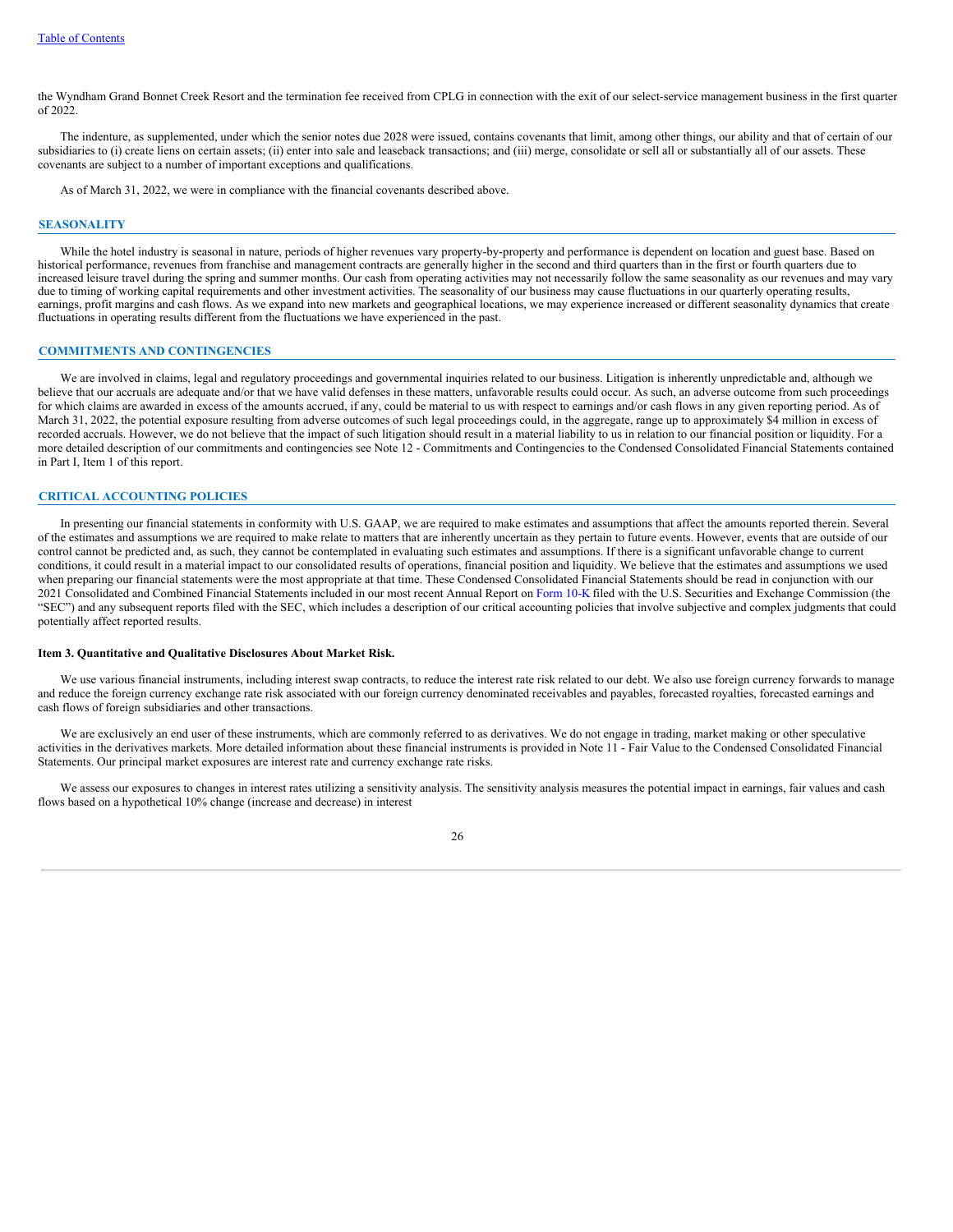the Wyndham Grand Bonnet Creek Resort and the termination fee received from CPLG in connection with the exit of our select-service management business in the first quarter of 2022.

The indenture, as supplemented, under which the senior notes due 2028 were issued, contains covenants that limit, among other things, our ability and that of certain of our subsidiaries to (i) create liens on certain assets; (ii) enter into sale and leaseback transactions; and (iii) merge, consolidate or sell all or substantially all of our assets. These covenants are subject to a number of important exceptions and qualifications.

As of March 31, 2022, we were in compliance with the financial covenants described above.

#### **SEASONALITY**

While the hotel industry is seasonal in nature, periods of higher revenues vary property-by-property and performance is dependent on location and guest base. Based on historical performance, revenues from franchise and management contracts are generally higher in the second and third quarters than in the first or fourth quarters due to increased leisure travel during the spring and summer months. Our cash from operating activities may not necessarily follow the same seasonality as our revenues and may vary due to timing of working capital requirements and other investment activities. The seasonality of our business may cause fluctuations in our quarterly operating results, earnings, profit margins and cash flows. As we expand into new markets and geographical locations, we may experience increased or different seasonality dynamics that create fluctuations in operating results different from the fluctuations we have experienced in the past.

## **COMMITMENTS AND CONTINGENCIES**

We are involved in claims, legal and regulatory proceedings and governmental inquiries related to our business. Litigation is inherently unpredictable and, although we believe that our accruals are adequate and/or that we have valid defenses in these matters, unfavorable results could occur. As such, an adverse outcome from such proceedings for which claims are awarded in excess of the amounts accrued, if any, could be material to us with respect to earnings and/or cash flows in any given reporting period. As of March 31, 2022, the potential exposure resulting from adverse outcomes of such legal proceedings could, in the aggregate, range up to approximately \$4 million in excess of recorded accruals. However, we do not believe that the impact of such litigation should result in a material liability to us in relation to our financial position or liquidity. For a more detailed description of our commitments and contingencies see Note 12 - Commitments and Contingencies to the Condensed Consolidated Financial Statements contained in Part I, Item 1 of this report.

## **CRITICAL ACCOUNTING POLICIES**

In presenting our financial statements in conformity with U.S. GAAP, we are required to make estimates and assumptions that affect the amounts reported therein. Several of the estimates and assumptions we are required to make relate to matters that are inherently uncertain as they pertain to future events. However, events that are outside of our control cannot be predicted and, as such, they cannot be contemplated in evaluating such estimates and assumptions. If there is a significant unfavorable change to current conditions, it could result in a material impact to our consolidated results of operations, financial position and liquidity. We believe that the estimates and assumptions we used when preparing our financial statements were the most appropriate at that time. These Condensed Consolidated Financial Statements should be read in conjunction with our 2021 Consolidated and Combined Financial Statements included in our most recent Annual Report on [Form](https://www.sec.gov/Archives/edgar/data/1722684/000172268422000005/wh-20211231.htm) 10-K filed with the U.S. Securities and Exchange Commission (the "SEC") and any subsequent reports filed with the SEC, which includes a description of our critical accounting policies that involve subjective and complex judgments that could potentially affect reported results.

#### <span id="page-27-0"></span>**Item 3. Quantitative and Qualitative Disclosures About Market Risk.**

We use various financial instruments, including interest swap contracts, to reduce the interest rate risk related to our debt. We also use foreign currency forwards to manage and reduce the foreign currency exchange rate risk associated with our foreign currency denominated receivables and payables, forecasted royalties, forecasted earnings and cash flows of foreign subsidiaries and other transactions.

We are exclusively an end user of these instruments, which are commonly referred to as derivatives. We do not engage in trading, market making or other speculative activities in the derivatives markets. More detailed information about these financial instruments is provided in Note 11 - Fair Value to the Condensed Consolidated Financial Statements. Our principal market exposures are interest rate and currency exchange rate risks.

We assess our exposures to changes in interest rates utilizing a sensitivity analysis. The sensitivity analysis measures the potential impact in earnings, fair values and cash flows based on a hypothetical 10% change (increase and decrease) in interest

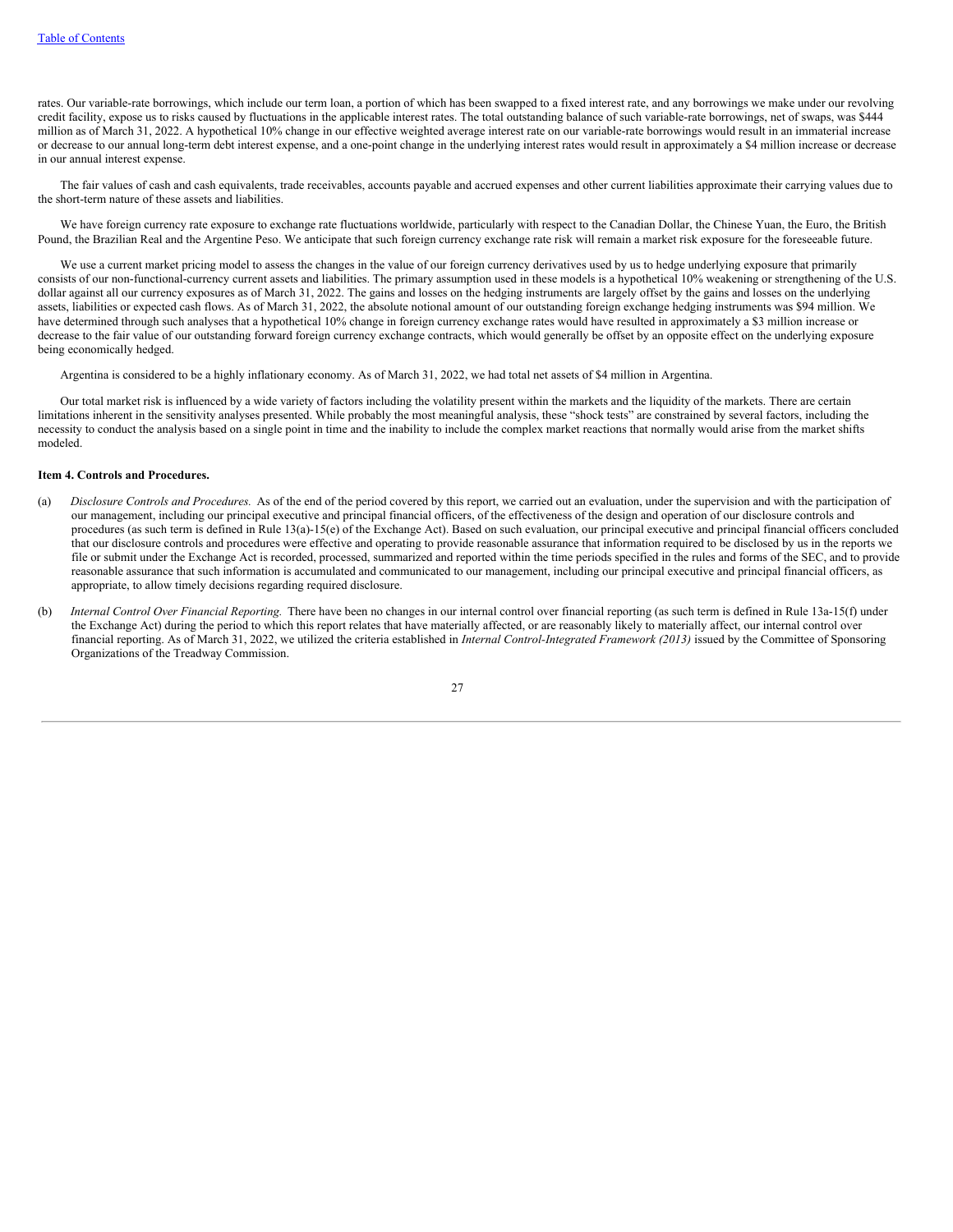rates. Our variable-rate borrowings, which include our term loan, a portion of which has been swapped to a fixed interest rate, and any borrowings we make under our revolving credit facility, expose us to risks caused by fluctuations in the applicable interest rates. The total outstanding balance of such variable-rate borrowings, net of swaps, was \$444 million as of March 31, 2022. A hypothetical 10% change in our effective weighted average interest rate on our variable-rate borrowings would result in an immaterial increase or decrease to our annual long-term debt interest expense, and a one-point change in the underlying interest rates would result in approximately a \$4 million increase or decrease in our annual interest expense.

The fair values of cash and cash equivalents, trade receivables, accounts payable and accrued expenses and other current liabilities approximate their carrying values due to the short-term nature of these assets and liabilities.

We have foreign currency rate exposure to exchange rate fluctuations worldwide, particularly with respect to the Canadian Dollar, the Chinese Yuan, the Euro, the British Pound, the Brazilian Real and the Argentine Peso. We anticipate that such foreign currency exchange rate risk will remain a market risk exposure for the foreseeable future.

We use a current market pricing model to assess the changes in the value of our foreign currency derivatives used by us to hedge underlying exposure that primarily consists of our non-functional-currency current assets and liabilities. The primary assumption used in these models is a hypothetical 10% weakening or strengthening of the U.S. dollar against all our currency exposures as of March 31, 2022. The gains and losses on the hedging instruments are largely offset by the gains and losses on the underlying assets, liabilities or expected cash flows. As of March 31, 2022, the absolute notional amount of our outstanding foreign exchange hedging instruments was \$94 million. We have determined through such analyses that a hypothetical 10% change in foreign currency exchange rates would have resulted in approximately a \$3 million increase or decrease to the fair value of our outstanding forward foreign currency exchange contracts, which would generally be offset by an opposite effect on the underlying exposure being economically hedged.

Argentina is considered to be a highly inflationary economy. As of March 31, 2022, we had total net assets of \$4 million in Argentina.

Our total market risk is influenced by a wide variety of factors including the volatility present within the markets and the liquidity of the markets. There are certain limitations inherent in the sensitivity analyses presented. While probably the most meaningful analysis, these "shock tests" are constrained by several factors, including the necessity to conduct the analysis based on a single point in time and the inability to include the complex market reactions that normally would arise from the market shifts modeled.

#### <span id="page-28-0"></span>**Item 4. Controls and Procedures.**

- (a) *Disclosure Controls and Procedures*. As of the end of the period covered by this report, we carried out an evaluation, under the supervision and with the participation of our management, including our principal executive and principal financial officers, of the effectiveness of the design and operation of our disclosure controls and procedures (as such term is defined in Rule 13(a)-15(e) of the Exchange Act). Based on such evaluation, our principal executive and principal financial officers concluded that our disclosure controls and procedures were effective and operating to provide reasonable assurance that information required to be disclosed by us in the reports we file or submit under the Exchange Act is recorded, processed, summarized and reported within the time periods specified in the rules and forms of the SEC, and to provide reasonable assurance that such information is accumulated and communicated to our management, including our principal executive and principal financial officers, as appropriate, to allow timely decisions regarding required disclosure.
- (b) *Internal Control Over Financial Reporting.* There have been no changes in our internal control over financial reporting (as such term is defined in Rule 13a-15(f) under the Exchange Act) during the period to which this report relates that have materially affected, or are reasonably likely to materially affect, our internal control over financial reporting. As of March 31, 2022, we utilized the criteria established in *Internal Control-Integrated Framework (2013)* issued by the Committee of Sponsoring Organizations of the Treadway Commission.

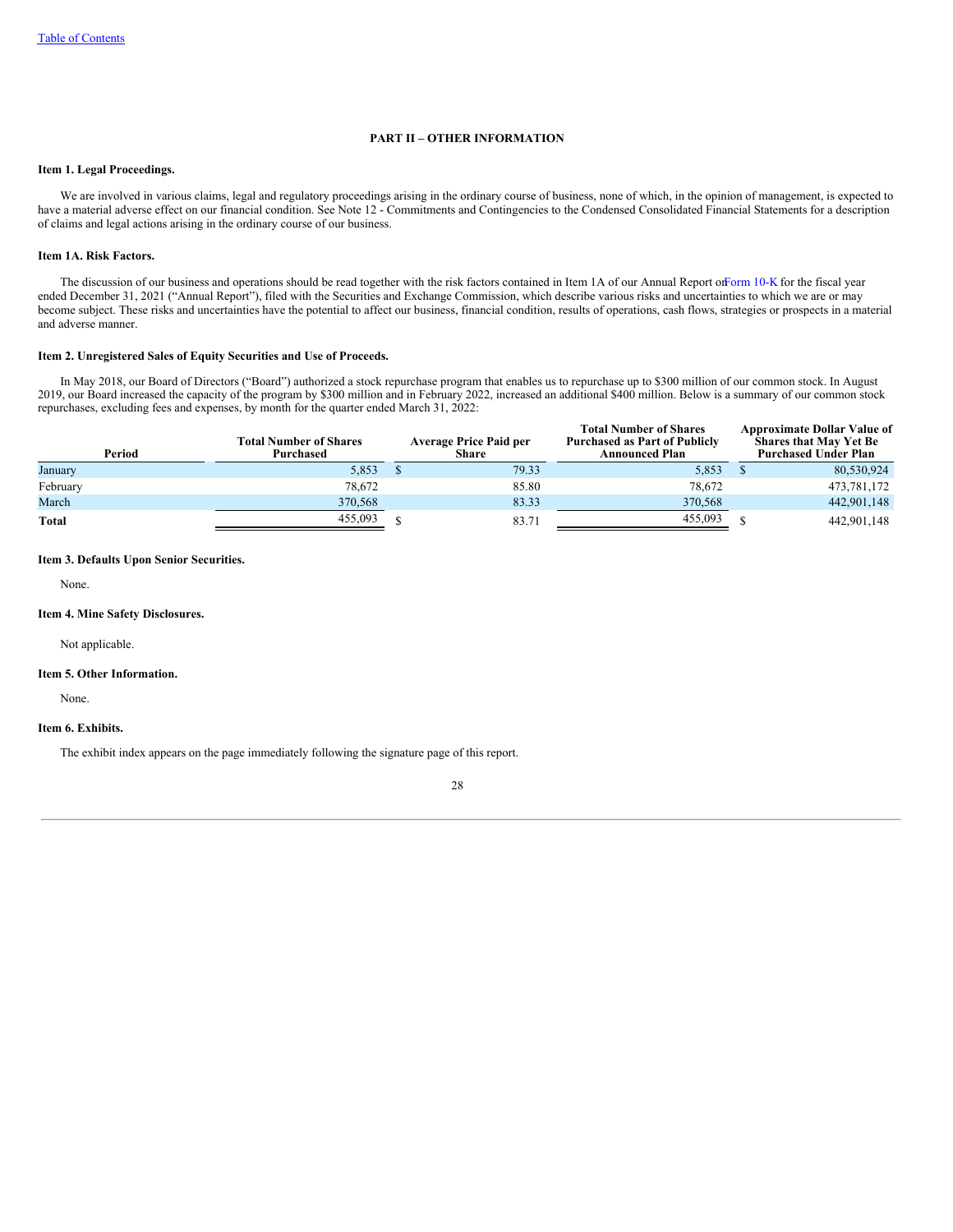## **PART II – OTHER INFORMATION**

## <span id="page-29-0"></span>**Item 1. Legal Proceedings.**

We are involved in various claims, legal and regulatory proceedings arising in the ordinary course of business, none of which, in the opinion of management, is expected to have a material adverse effect on our financial condition. See Note 12 - Commitments and Contingencies to the Condensed Consolidated Financial Statements for a description of claims and legal actions arising in the ordinary course of our business.

# <span id="page-29-1"></span>**Item 1A. Risk Factors.**

The discussion of our business and operations should be read together with the risk factors contained in Item 1A of our Annual Report o[nForm](https://www.sec.gov/Archives/edgar/data/1722684/000172268422000005/wh-20211231.htm) 10-K for the fiscal year ended December 31, 2021 ("Annual Report"), filed with the Securities and Exchange Commission, which describe various risks and uncertainties to which we are or may become subject. These risks and uncertainties have the potential to affect our business, financial condition, results of operations, cash flows, strategies or prospects in a material and adverse manner.

#### <span id="page-29-2"></span>**Item 2. Unregistered Sales of Equity Securities and Use of Proceeds.**

In May 2018, our Board of Directors ("Board") authorized a stock repurchase program that enables us to repurchase up to \$300 million of our common stock. In August 2019, our Board increased the capacity of the program by \$300 million and in February 2022, increased an additional \$400 million. Below is a summary of our common stock repurchases, excluding fees and expenses, by month for the quarter ended March 31, 2022:

**Total Number of Shares**

**Approximate Dollar Value of**

| <b>Total Number of Shares</b><br>Purchased | Share | <b>Total Number of Shares</b><br><b>Purchased as Part of Publicly</b><br><b>Announced Plan</b> | Approximate Dollar Value of<br><b>Shares that May Yet Be</b><br><b>Purchased Under Plan</b> |
|--------------------------------------------|-------|------------------------------------------------------------------------------------------------|---------------------------------------------------------------------------------------------|
| 5,853                                      | 79.33 | 5,853                                                                                          | 80,530,924                                                                                  |
| 78.672                                     | 85.80 | 78.672                                                                                         | 473,781,172                                                                                 |
| 370,568                                    | 83.33 | 370,568                                                                                        | 442,901,148                                                                                 |
| 455,093                                    | 83.71 | 455,093                                                                                        | 442,901,148                                                                                 |
|                                            |       | <b>Average Price Paid per</b>                                                                  |                                                                                             |

### <span id="page-29-3"></span>**Item 3. Defaults Upon Senior Securities.**

None.

## <span id="page-29-4"></span>**Item 4. Mine Safety Disclosures.**

Not applicable.

#### <span id="page-29-5"></span>**Item 5. Other Information.**

None.

# <span id="page-29-6"></span>**Item 6. Exhibits.**

<span id="page-29-7"></span>The exhibit index appears on the page immediately following the signature page of this report.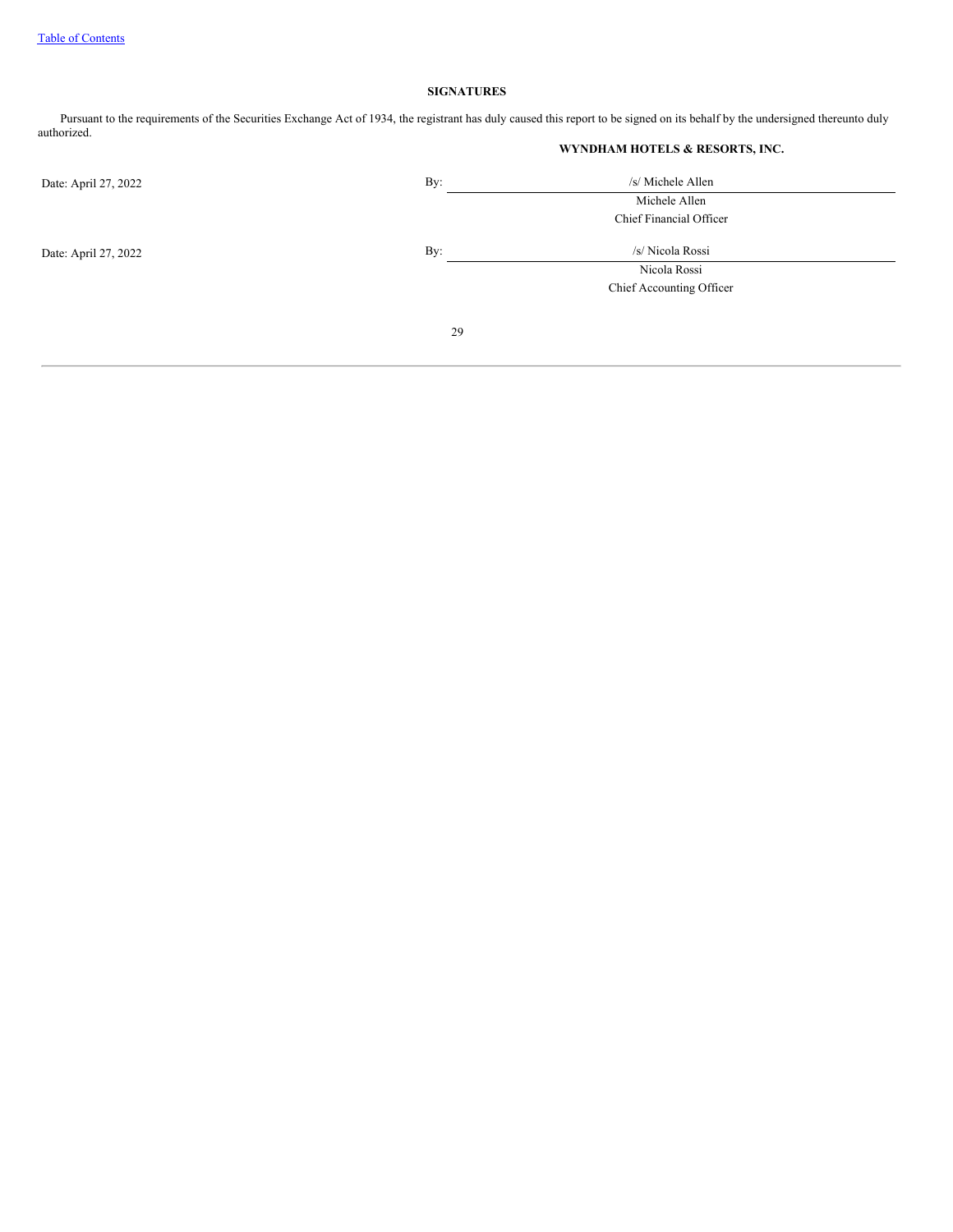# **SIGNATURES**

Pursuant to the requirements of the Securities Exchange Act of 1934, the registrant has duly caused this report to be signed on its behalf by the undersigned thereunto duly authorized.

**WYNDHAM HOTELS & RESORTS, INC.**

| Date: April 27, 2022 | By: | /s/ Michele Allen        |
|----------------------|-----|--------------------------|
|                      |     | Michele Allen            |
|                      |     | Chief Financial Officer  |
| Date: April 27, 2022 | By: | /s/ Nicola Rossi         |
|                      |     | Nicola Rossi             |
|                      |     | Chief Accounting Officer |
|                      |     |                          |
|                      | 29  |                          |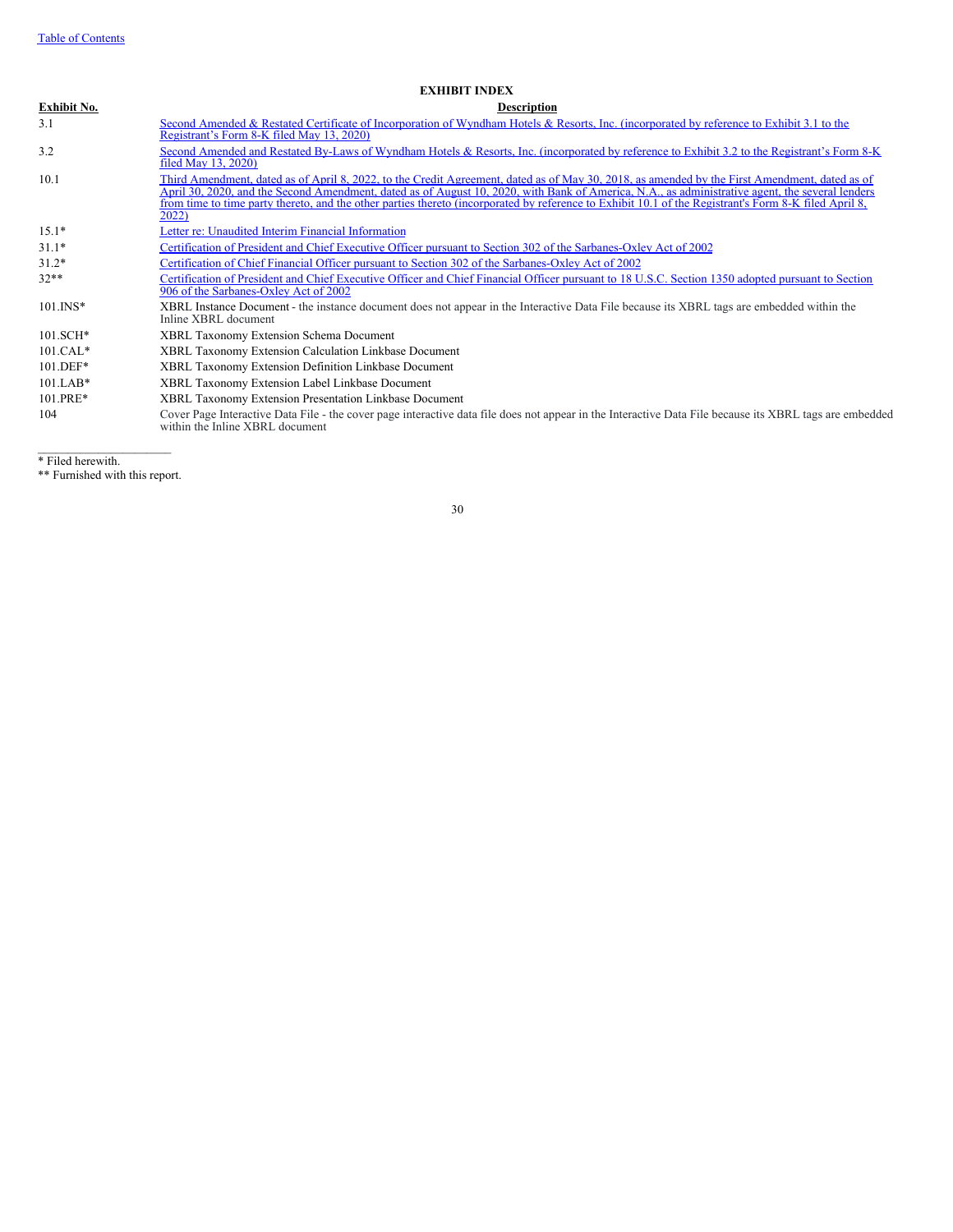## **EXHIBIT INDEX**

| Exhibit No. | <b>Description</b>                                                                                                                                                                                                                                                                                                                                                                                                                                                 |
|-------------|--------------------------------------------------------------------------------------------------------------------------------------------------------------------------------------------------------------------------------------------------------------------------------------------------------------------------------------------------------------------------------------------------------------------------------------------------------------------|
| 3.1         | Second Amended & Restated Certificate of Incorporation of Wyndham Hotels & Resorts, Inc. (incorporated by reference to Exhibit 3.1 to the<br>Registrant's Form 8-K filed May 13, 2020)                                                                                                                                                                                                                                                                             |
| 3.2         | Second Amended and Restated By-Laws of Wyndham Hotels & Resorts, Inc. (incorporated by reference to Exhibit 3.2 to the Registrant's Form 8-K<br>filed May 13, 2020)                                                                                                                                                                                                                                                                                                |
| 10.1        | Third Amendment, dated as of April 8, 2022, to the Credit Agreement, dated as of May 30, 2018, as amended by the First Amendment, dated as of<br>April 30, 2020, and the Second Amendment, dated as of August 10, 2020, with Bank of America, N.A., as administrative agent, the several lenders<br>from time to time party thereto, and the other parties thereto (incorporated by reference to Exhibit 10.1 of the Registrant's Form 8-K filed April 8,<br>2022) |
| $15.1*$     | Letter re: Unaudited Interim Financial Information                                                                                                                                                                                                                                                                                                                                                                                                                 |
| $31.1*$     | Certification of President and Chief Executive Officer pursuant to Section 302 of the Sarbanes-Oxley Act of 2002                                                                                                                                                                                                                                                                                                                                                   |
| $31.2*$     | Certification of Chief Financial Officer pursuant to Section 302 of the Sarbanes-Oxley Act of 2002                                                                                                                                                                                                                                                                                                                                                                 |
| $32**$      | Certification of President and Chief Executive Officer and Chief Financial Officer pursuant to 18 U.S.C. Section 1350 adopted pursuant to Section<br>906 of the Sarbanes-Oxley Act of 2002                                                                                                                                                                                                                                                                         |
| $101.$ INS* | XBRL Instance Document - the instance document does not appear in the Interactive Data File because its XBRL tags are embedded within the<br>Inline XBRL document                                                                                                                                                                                                                                                                                                  |
| $101.SCH*$  | <b>XBRL Taxonomy Extension Schema Document</b>                                                                                                                                                                                                                                                                                                                                                                                                                     |
| $101.CAL*$  | XBRL Taxonomy Extension Calculation Linkbase Document                                                                                                                                                                                                                                                                                                                                                                                                              |
| $101.DEF*$  | XBRL Taxonomy Extension Definition Linkbase Document                                                                                                                                                                                                                                                                                                                                                                                                               |
| $101.LAB*$  | XBRL Taxonomy Extension Label Linkbase Document                                                                                                                                                                                                                                                                                                                                                                                                                    |
| 101.PRE*    | XBRL Taxonomy Extension Presentation Linkbase Document                                                                                                                                                                                                                                                                                                                                                                                                             |
| 104         | Cover Page Interactive Data File - the cover page interactive data file does not appear in the Interactive Data File because its XBRL tags are embedded<br>within the Inline XBRL document                                                                                                                                                                                                                                                                         |

 $\mathcal{L}_\text{max}$ \* Filed herewith.

\*\* Furnished with this report.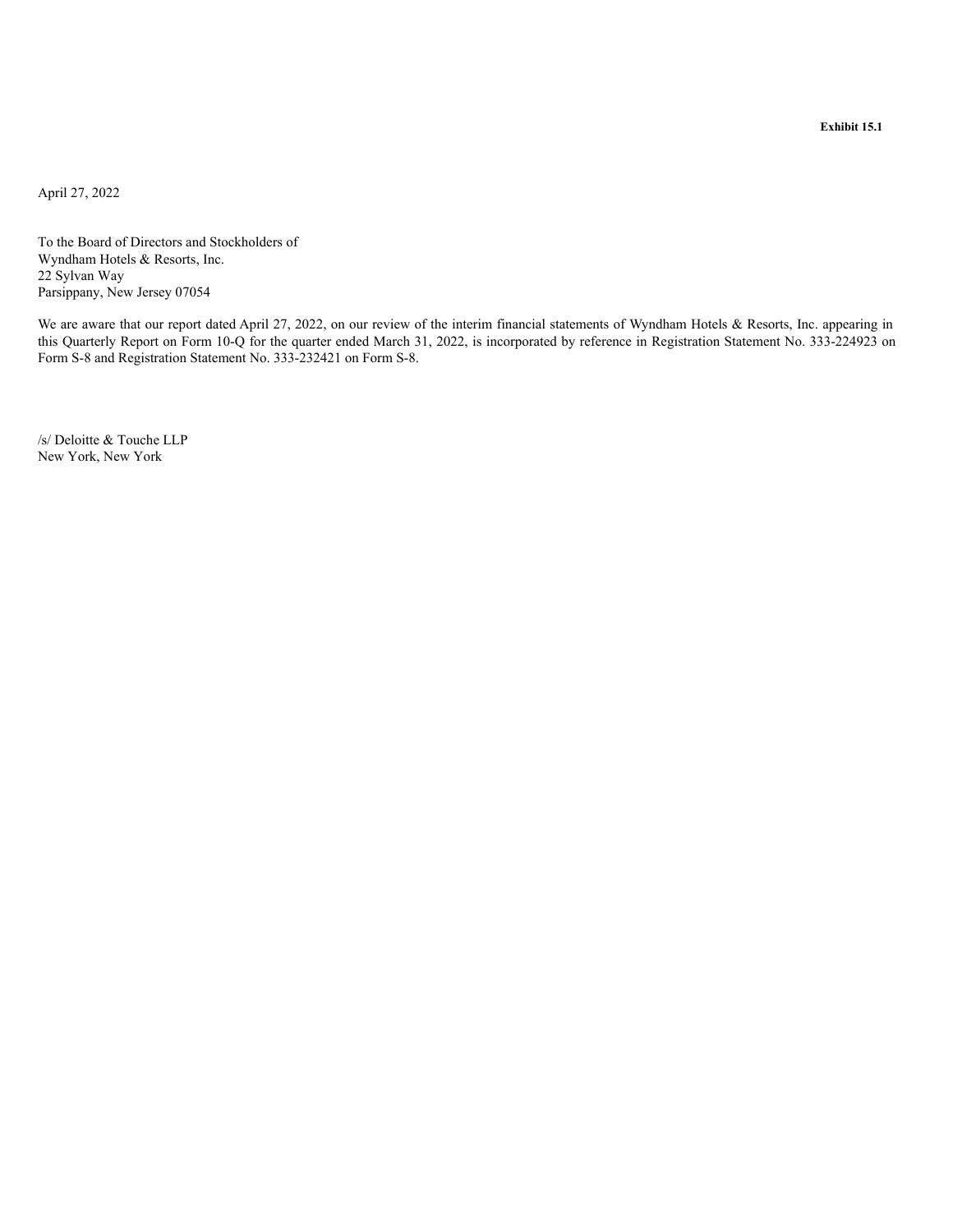<span id="page-32-0"></span>April 27, 2022

To the Board of Directors and Stockholders of Wyndham Hotels & Resorts, Inc. 22 Sylvan Way Parsippany, New Jersey 07054

We are aware that our report dated April 27, 2022, on our review of the interim financial statements of Wyndham Hotels & Resorts, Inc. appearing in this Quarterly Report on Form 10-Q for the quarter ended March 31, 2022, is incorporated by reference in Registration Statement No. 333-224923 on Form S-8 and Registration Statement No. 333-232421 on Form S-8.

/s/ Deloitte & Touche LLP New York, New York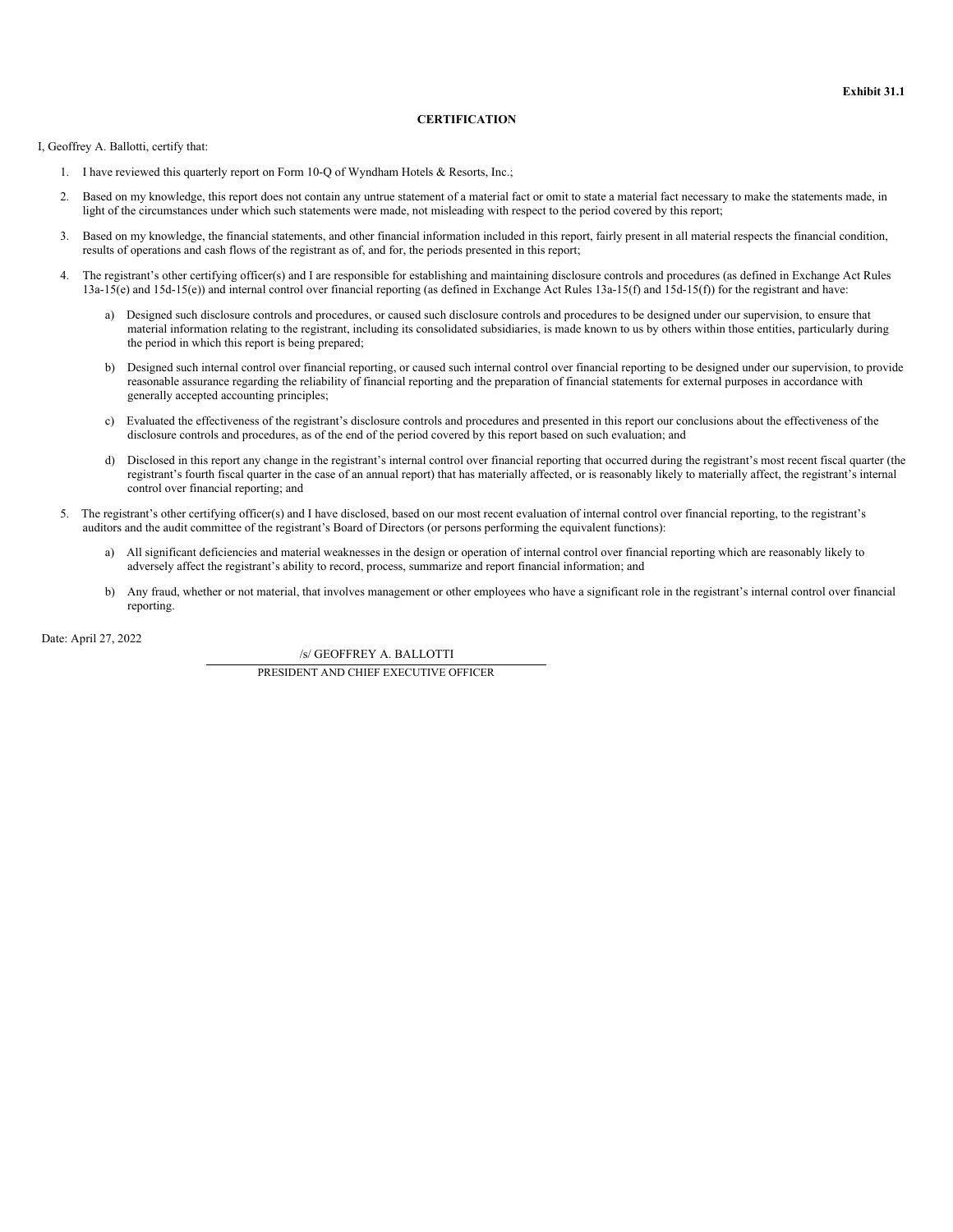# **CERTIFICATION**

<span id="page-33-0"></span>I, Geoffrey A. Ballotti, certify that:

- 1. I have reviewed this quarterly report on Form 10-Q of Wyndham Hotels & Resorts, Inc.;
- 2. Based on my knowledge, this report does not contain any untrue statement of a material fact or omit to state a material fact necessary to make the statements made, in light of the circumstances under which such statements were made, not misleading with respect to the period covered by this report;
- 3. Based on my knowledge, the financial statements, and other financial information included in this report, fairly present in all material respects the financial condition, results of operations and cash flows of the registrant as of, and for, the periods presented in this report;
- 4. The registrant's other certifying officer(s) and I are responsible for establishing and maintaining disclosure controls and procedures (as defined in Exchange Act Rules 13a-15(e) and 15d-15(e)) and internal control over financial reporting (as defined in Exchange Act Rules 13a-15(f) and 15d-15(f)) for the registrant and have:
	- a) Designed such disclosure controls and procedures, or caused such disclosure controls and procedures to be designed under our supervision, to ensure that material information relating to the registrant, including its consolidated subsidiaries, is made known to us by others within those entities, particularly during the period in which this report is being prepared;
	- b) Designed such internal control over financial reporting, or caused such internal control over financial reporting to be designed under our supervision, to provide reasonable assurance regarding the reliability of financial reporting and the preparation of financial statements for external purposes in accordance with generally accepted accounting principles;
	- c) Evaluated the effectiveness of the registrant's disclosure controls and procedures and presented in this report our conclusions about the effectiveness of the disclosure controls and procedures, as of the end of the period covered by this report based on such evaluation; and
	- d) Disclosed in this report any change in the registrant's internal control over financial reporting that occurred during the registrant's most recent fiscal quarter (the registrant's fourth fiscal quarter in the case of an annual report) that has materially affected, or is reasonably likely to materially affect, the registrant's internal control over financial reporting; and
- 5. The registrant's other certifying officer(s) and I have disclosed, based on our most recent evaluation of internal control over financial reporting, to the registrant's auditors and the audit committee of the registrant's Board of Directors (or persons performing the equivalent functions):
	- a) All significant deficiencies and material weaknesses in the design or operation of internal control over financial reporting which are reasonably likely to adversely affect the registrant's ability to record, process, summarize and report financial information; and
	- b) Any fraud, whether or not material, that involves management or other employees who have a significant role in the registrant's internal control over financial reporting.

Date: April 27, 2022

/s/ GEOFFREY A. BALLOTTI

PRESIDENT AND CHIEF EXECUTIVE OFFICER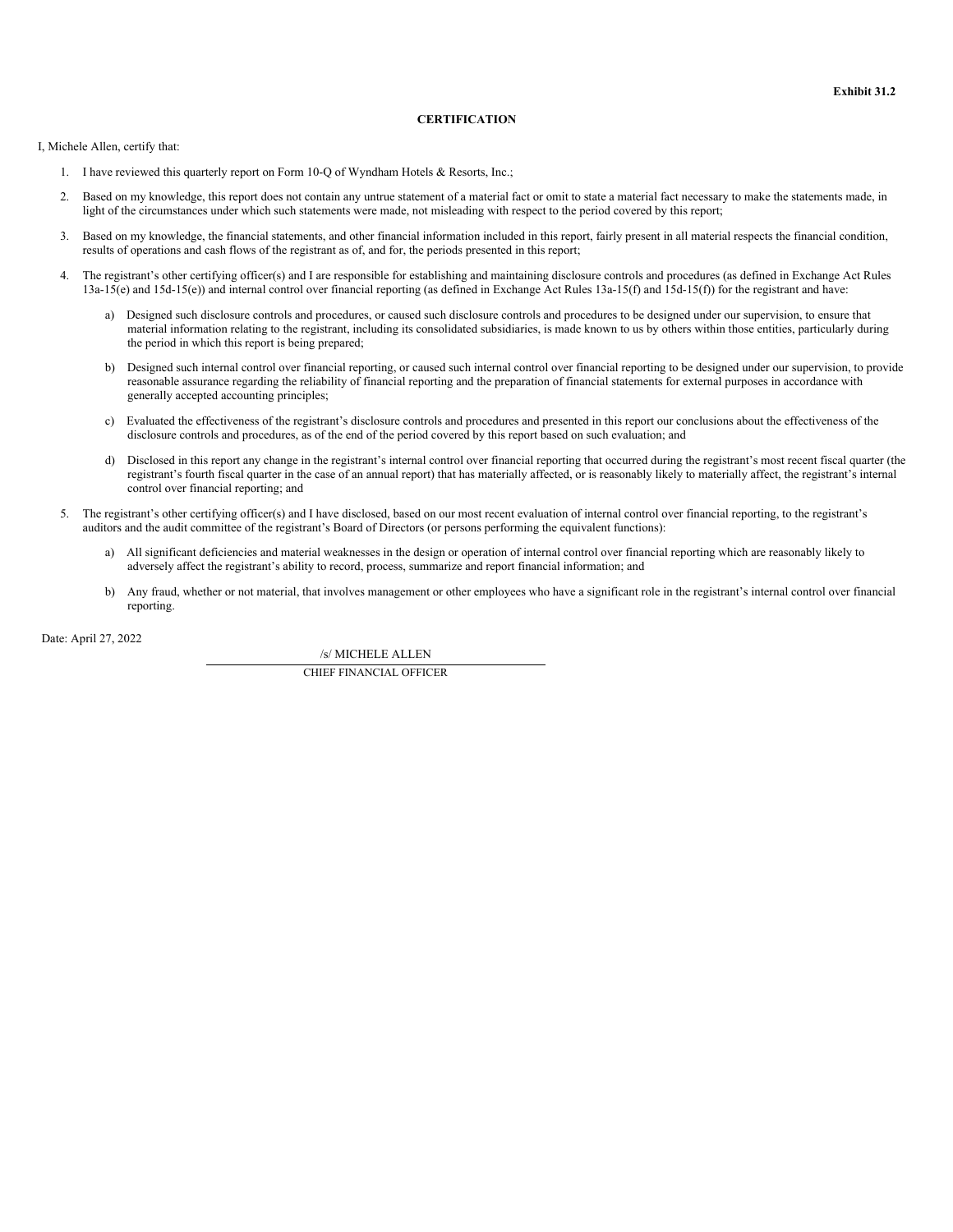# **CERTIFICATION**

<span id="page-34-0"></span>I, Michele Allen, certify that:

- 1. I have reviewed this quarterly report on Form 10-Q of Wyndham Hotels & Resorts, Inc.;
- 2. Based on my knowledge, this report does not contain any untrue statement of a material fact or omit to state a material fact necessary to make the statements made, in light of the circumstances under which such statements were made, not misleading with respect to the period covered by this report;
- 3. Based on my knowledge, the financial statements, and other financial information included in this report, fairly present in all material respects the financial condition, results of operations and cash flows of the registrant as of, and for, the periods presented in this report;
- 4. The registrant's other certifying officer(s) and I are responsible for establishing and maintaining disclosure controls and procedures (as defined in Exchange Act Rules 13a-15(e) and 15d-15(e)) and internal control over financial reporting (as defined in Exchange Act Rules 13a-15(f) and 15d-15(f)) for the registrant and have:
	- a) Designed such disclosure controls and procedures, or caused such disclosure controls and procedures to be designed under our supervision, to ensure that material information relating to the registrant, including its consolidated subsidiaries, is made known to us by others within those entities, particularly during the period in which this report is being prepared;
	- b) Designed such internal control over financial reporting, or caused such internal control over financial reporting to be designed under our supervision, to provide reasonable assurance regarding the reliability of financial reporting and the preparation of financial statements for external purposes in accordance with generally accepted accounting principles;
	- c) Evaluated the effectiveness of the registrant's disclosure controls and procedures and presented in this report our conclusions about the effectiveness of the disclosure controls and procedures, as of the end of the period covered by this report based on such evaluation; and
	- d) Disclosed in this report any change in the registrant's internal control over financial reporting that occurred during the registrant's most recent fiscal quarter (the registrant's fourth fiscal quarter in the case of an annual report) that has materially affected, or is reasonably likely to materially affect, the registrant's internal control over financial reporting; and
- 5. The registrant's other certifying officer(s) and I have disclosed, based on our most recent evaluation of internal control over financial reporting, to the registrant's auditors and the audit committee of the registrant's Board of Directors (or persons performing the equivalent functions):
	- a) All significant deficiencies and material weaknesses in the design or operation of internal control over financial reporting which are reasonably likely to adversely affect the registrant's ability to record, process, summarize and report financial information; and
	- b) Any fraud, whether or not material, that involves management or other employees who have a significant role in the registrant's internal control over financial reporting.

Date: April 27, 2022

/s/ MICHELE ALLEN

CHIEF FINANCIAL OFFICER